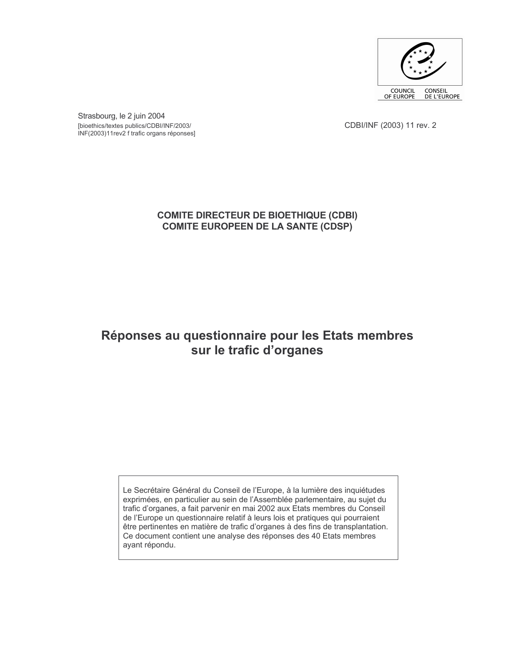

Strasbourg, le 2 juin 2004 [bioethics/textes publics/CDBI/INF/2003/ INF(2003)11rev2 f trafic organs réponses]

CDBI/INF (2003) 11 rev. 2

# **COMITE DIRECTEUR DE BIOETHIQUE (CDBI) COMITE EUROPEEN DE LA SANTE (CDSP)**

# Réponses au questionnaire pour les Etats membres sur le trafic d'organes

Le Secrétaire Général du Conseil de l'Europe, à la lumière des inquiétudes exprimées, en particulier au sein de l'Assemblée parlementaire, au sujet du trafic d'organes, a fait parvenir en mai 2002 aux Etats membres du Conseil de l'Europe un questionnaire relatif à leurs lois et pratiques qui pourraient être pertinentes en matière de trafic d'organes à des fins de transplantation. Ce document contient une analyse des réponses des 40 Etats membres ayant répondu.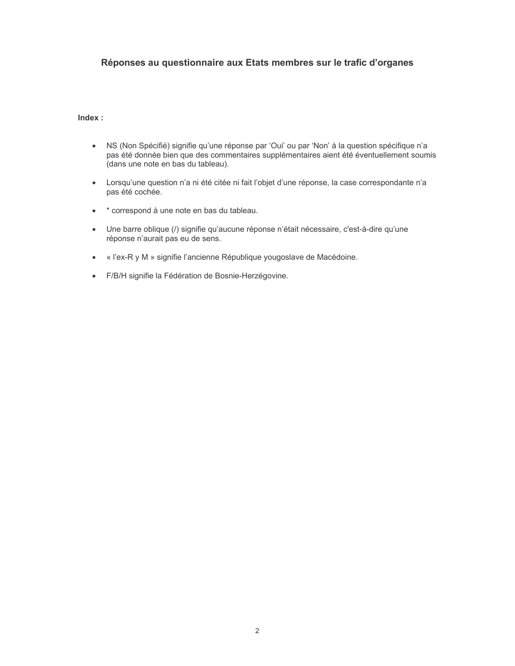## Réponses au questionnaire aux Etats membres sur le trafic d'organes

Index:

- · NS (Non Spécifié) signifie qu'une réponse par 'Oui' ou par 'Non' à la question spécifique n'a pas été donnée bien que des commentaires supplémentaires aient été éventuellement soumis dans une note en bas du tableau).
- · Lorsqu'une question n'a ni été citée ni fait l'objet d'une réponse, la case correspondante n'a pas été cochée.
- \* correspond à une note en bas du tableau.
- Une barre oblique (/) signifie qu'aucune réponse n'était nécessaire, c'est-à-dire qu'une  $\bullet$ réponse n'aurait pas eu de sens.
- « l'ex-R y M » signifie l'ancienne République yougoslave de Macédoine.  $\bullet$
- · F/B/H signifie la Fédération de Bosnie-Herzégovine.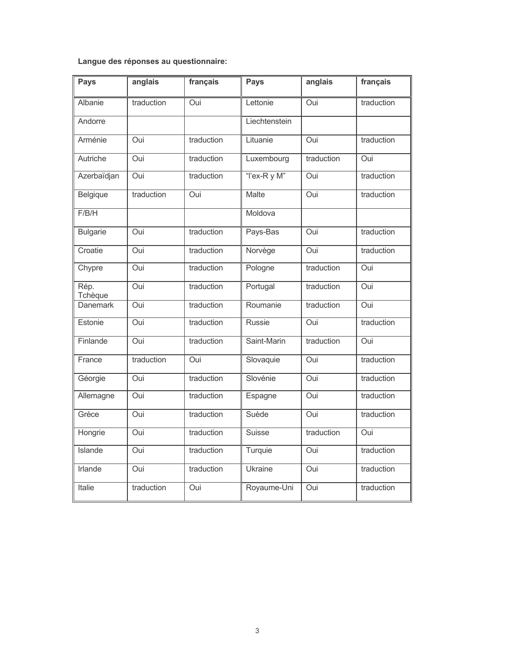Langue des réponses au questionnaire:

| <b>Pays</b>     | anglais    | français   | <b>Pays</b>    | anglais    | français   |
|-----------------|------------|------------|----------------|------------|------------|
| Albanie         | traduction | Oui        | Lettonie       | Oui        | traduction |
| Andorre         |            |            | Liechtenstein  |            |            |
| Arménie         | Oui        | traduction | Lituanie       | Oui        | traduction |
| Autriche        | Oui        | traduction | Luxembourg     | traduction | Oui        |
| Azerbaïdjan     | Oui        | traduction | "I'ex-R y M"   | Oui        | traduction |
| Belgique        | traduction | Oui        | <b>Malte</b>   | Oui        | traduction |
| F/B/H           |            |            | Moldova        |            |            |
| <b>Bulgarie</b> | Oui        | traduction | Pays-Bas       | Oui        | traduction |
| Croatie         | Oui        | traduction | Norvège        | Oui        | traduction |
| Chypre          | Oui        | traduction | Pologne        | traduction | Oui        |
| Rép.<br>Tchèque | Oui        | traduction | Portugal       | traduction | Oui        |
| <b>Danemark</b> | Oui        | traduction | Roumanie       | traduction | Oui        |
| Estonie         | Oui        | traduction | Russie         | Oui        | traduction |
| Finlande        | Oui        | traduction | Saint-Marin    | traduction | Oui        |
| France          | traduction | Oui        | Slovaquie      | Oui        | traduction |
| Géorgie         | Oui        | traduction | Slovénie       | Oui        | traduction |
| Allemagne       | Oui        | traduction | Espagne        | Oui        | traduction |
| Grèce           | Oui        | traduction | Suède          | Oui        | traduction |
| Hongrie         | Oui        | traduction | <b>Suisse</b>  | traduction | Oui        |
| <b>Islande</b>  | Oui        | traduction | Turquie        | <b>Oui</b> | traduction |
| Irlande         | Oui        | traduction | <b>Ukraine</b> | Oui        | traduction |
| Italie          | traduction | Oui        | Royaume-Uni    | Oui        | traduction |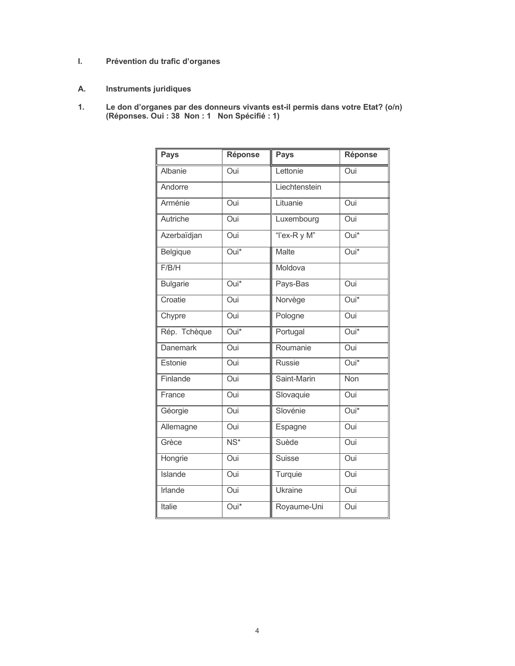#### $\mathbf{L}$ Prévention du trafic d'organes

- Instruments juridiques А.
- Le don d'organes par des donneurs vivants est-il permis dans votre Etat? (o/n)<br>(Réponses. Oui : 38 Non : 1 Non Spécifié : 1)  $1.$

| Pays            | <b>Réponse</b>           | <b>Pays</b>   | <b>Réponse</b>    |
|-----------------|--------------------------|---------------|-------------------|
| Albanie         | $\overline{O}$ ui        | Lettonie      | Oui               |
| Andorre         |                          | Liechtenstein |                   |
| Arménie         | Oui                      | Lituanie      | Oui               |
| Autriche        | Oui                      | Luxembourg    | Oui               |
| Azerbaïdjan     | Oui                      | "l'ex-R y M"  | Oui*              |
| Belgique        | Oui*                     | Malte         | Oui*              |
| F/B/H           |                          | Moldova       |                   |
| <b>Bulgarie</b> | $\overline{Oui^*}$       | Pays-Bas      | Oui               |
| Croatie         | Oui                      | Norvège       | Oui*              |
| Chypre          | $\overline{O}$ ui        | Pologne       | Oui               |
| Rép. Tchèque    | Oui*                     | Portugal      | Oui*              |
| <b>Danemark</b> | $\overline{O}$ ui        | Roumanie      | $\overline{O}$ ui |
| Estonie         | Oui                      | Russie        | Oui*              |
| Finlande        | Oui                      | Saint-Marin   | <b>Non</b>        |
| France          | Oui                      | Slovaquie     | Oui               |
| Géorgie         | Oui                      | Slovénie      | Oui*              |
| Allemagne       | Oui                      | Espagne       | Oui               |
| Grèce           | $\overline{\text{NS}^*}$ | Suède         | Oui               |
| Hongrie         | Oui                      | Suisse        | Oui               |
| <b>Islande</b>  | Oui                      | Turquie       | Oui               |
| Irlande         | Oui                      | Ukraine       | Oui               |
| Italie          | Oui*                     | Royaume-Uni   | Oui               |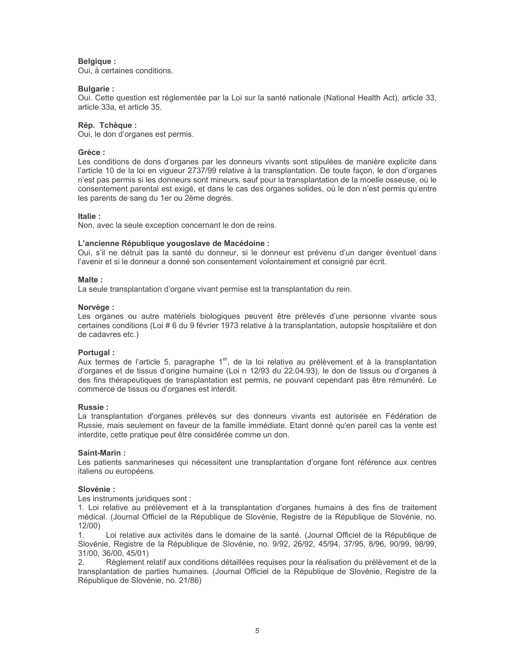## Belgique :

Oui, à certaines conditions.

## **Bulgarie:**

Oui. Cette question est réglementée par la Loi sur la santé nationale (National Health Act), article 33, article 33a, et article 35.

## Rép. Tchèque :

Oui, le don d'organes est permis.

## Grèce:

Les conditions de dons d'organes par les donneurs vivants sont stipulées de manière explicite dans l'article 10 de la loi en vigueur 2737/99 relative à la transplantation. De toute façon, le don d'organes n'est pas permis si les donneurs sont mineurs, sauf pour la transplantation de la moelle osseuse, où le consentement parental est exigé, et dans le cas des organes solides, où le don n'est permis qu'entre les parents de sang du 1er ou 2ème degrés.

## Italie:

Non, avec la seule exception concernant le don de reins.

## L'ancienne République vougoslave de Macédoine :

Oui, s'il ne détruit pas la santé du donneur, si le donneur est prévenu d'un danger éventuel dans l'avenir et si le donneur a donné son consentement volontairement et consigné par écrit.

## Malte:

La seule transplantation d'organe vivant permise est la transplantation du rein.

## Norvège :

Les organes ou autre matériels biologiques peuvent être prélevés d'une personne vivante sous certaines conditions (Loi # 6 du 9 février 1973 relative à la transplantation, autopsie hospitalière et don de cadavres etc.)

## Portugal:

Aux termes de l'article 5, paragraphe 1<sup>er</sup>, de la loi relative au prélèvement et à la transplantation d'organes et de tissus d'origine humaine (Loi n 12/93 du 22.04.93), le don de tissus ou d'organes à des fins thérapeutiques de transplantation est permis, ne pouvant cependant pas être rémunéré. Le commerce de tissus ou d'organes est interdit.

## Russie ·

La transplantation d'organes prélevés sur des donneurs vivants est autorisée en Fédération de Russie, mais seulement en faveur de la famille immédiate. Etant donné qu'en pareil cas la vente est interdite, cette pratique peut être considérée comme un don.

## Saint-Marin:

Les patients sanmarineses qui nécessitent une transplantation d'organe font référence aux centres italiens ou européens.

## Slovénie:

Les instruments juridiques sont :

1. Loi relative au prélèvement et à la transplantation d'organes humains à des fins de traitement médical. (Journal Officiel de la République de Slovénie, Registre de la République de Slovénie, no.  $12/00$ 

 $\mathbf{1}$ Loi relative aux activités dans le domaine de la santé. (Journal Officiel de la République de Slovénie, Registre de la République de Slovénie, no. 9/92, 26/92, 45/94, 37/95, 8/96, 90/99, 98/99, 31/00, 36/00, 45/01)

Règlement relatif aux conditions détaillées requises pour la réalisation du prélèvement et de la  $2.$ transplantation de parties humaines. (Journal Officiel de la République de Slovénie, Registre de la République de Slovénie, no. 21/86)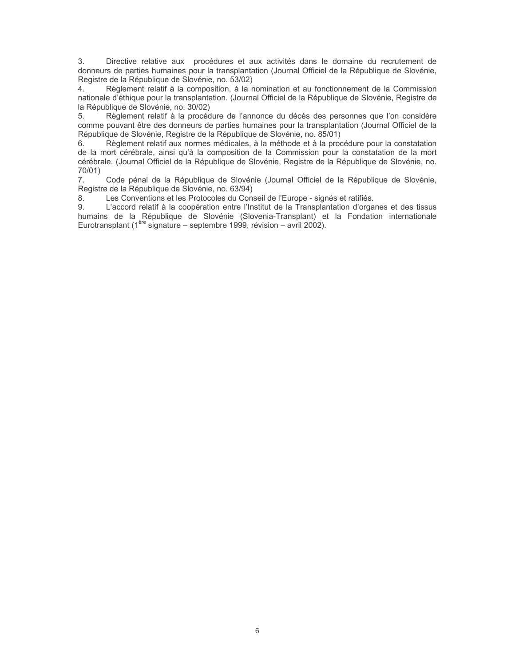Directive relative aux procédures et aux activités dans le domaine du recrutement de  $3.$ donneurs de parties humaines pour la transplantation (Journal Officiel de la République de Slovénie, Registre de la République de Slovénie, no. 53/02)

Règlement relatif à la composition, à la nomination et au fonctionnement de la Commission  $\overline{4}$ nationale d'éthique pour la transplantation. (Journal Officiel de la République de Slovénie, Registre de la République de Slovénie, no. 30/02)

Règlement relatif à la procédure de l'annonce du décès des personnes que l'on considère 5. comme pouvant être des donneurs de parties humaines pour la transplantation (Journal Officiel de la République de Slovénie, Registre de la République de Slovénie, no. 85/01)

Règlement relatif aux normes médicales, à la méthode et à la procédure pour la constatation 6. de la mort cérébrale, ainsi qu'à la composition de la Commission pour la constatation de la mort cérébrale. (Journal Officiel de la République de Slovénie, Registre de la République de Slovénie, no. 70/01)

 $7.$ Code pénal de la République de Slovénie (Journal Officiel de la République de Slovénie, Registre de la République de Slovénie, no. 63/94)

8. Les Conventions et les Protocoles du Conseil de l'Europe - signés et ratifiés.

L'accord relatif à la coopération entre l'Institut de la Transplantation d'organes et des tissus 9. humains de la République de Slovénie (Slovenia-Transplant) et la Fondation internationale Eurotransplant ( $1^{$ <sup>ère</sup> signature – septembre 1999, révision – avril 2002).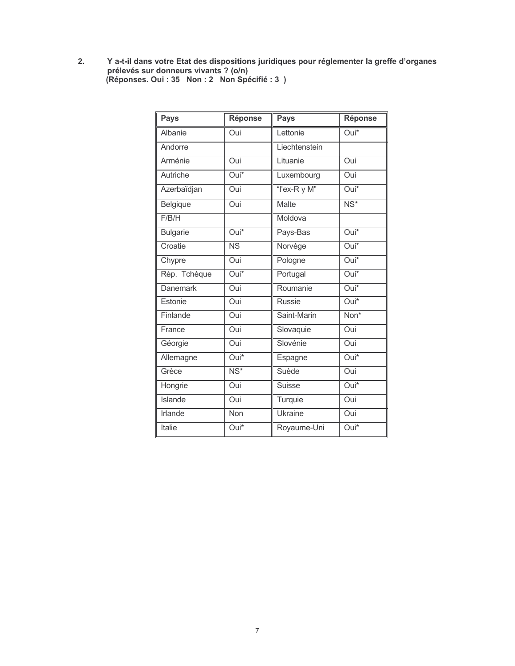Y a-t-il dans votre Etat des dispositions juridiques pour réglementer la greffe d'organes<br>prélevés sur donneurs vivants ? (o/n)<br>(Réponses. Oui : 35 Non : 2 Non Spécifié : 3 )  $2.$ 

| <b>Pays</b>     | <b>Réponse</b>           | <b>Pays</b>    | <b>Réponse</b>           |
|-----------------|--------------------------|----------------|--------------------------|
| Albanie         | Oui                      | Lettonie       | Oui*                     |
| Andorre         |                          | Liechtenstein  |                          |
| Arménie         | Oui                      | Lituanie       | Oui                      |
| Autriche        | Oui*                     | Luxembourg     | Oui                      |
| Azerbaïdjan     | Oui                      | "I'ex-R y M"   | Oui*                     |
| Belgique        | Oui                      | Malte          | $\overline{\text{NS}^*}$ |
| F/B/H           |                          | Moldova        |                          |
| <b>Bulgarie</b> | Oui*                     | Pays-Bas       | Oui*                     |
| Croatie         | $\overline{\text{NS}}$   | Norvège        | Oui*                     |
| Chypre          | Oui                      | Pologne        | Oui*                     |
| Rép. Tchèque    | Oui*                     | Portugal       | Oui*                     |
| <b>Danemark</b> | Oui                      | Roumanie       | Oui*                     |
| Estonie         | Oui                      | <b>Russie</b>  | Oui*                     |
| Finlande        | Oui                      | Saint-Marin    | Non*                     |
| France          | Oui                      | Slovaquie      | Oui                      |
| Géorgie         | Oui                      | Slovénie       | Oui                      |
| Allemagne       | Oui*                     | Espagne        | Oui*                     |
| Grèce           | $\overline{\text{NS}^*}$ | Suède          | Oui                      |
| Hongrie         | Oui                      | Suisse         | Oui*                     |
| Islande         | Oui                      | Turquie        | Oui                      |
| <b>Irlande</b>  | Non                      | <b>Ukraine</b> | Oui                      |
| Italie          | Oui*                     | Royaume-Uni    | Oui*                     |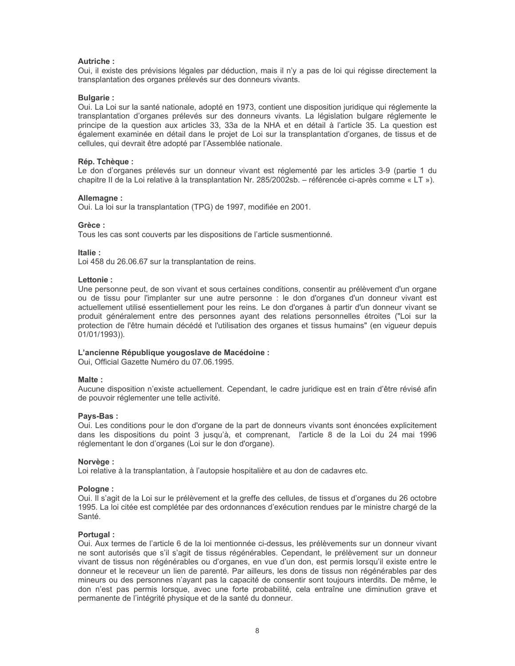## **Autriche:**

Oui, il existe des prévisions légales par déduction, mais il n'y a pas de loi qui régisse directement la transplantation des organes prélevés sur des donneurs vivants.

#### **Bulgarie:**

Oui. La Loi sur la santé nationale, adopté en 1973, contient une disposition juridique qui réglemente la transplantation d'organes prélevés sur des donneurs vivants. La législation bulgare réglemente le principe de la question aux articles 33, 33a de la NHA et en détail à l'article 35. La question est également examinée en détail dans le projet de Loi sur la transplantation d'organes, de tissus et de cellules, qui devrait être adopté par l'Assemblée nationale.

#### Rép. Tchèque :

Le don d'organes prélevés sur un donneur vivant est réglementé par les articles 3-9 (partie 1 du chapitre II de la Loi relative à la transplantation Nr. 285/2002sb. – référencée ci-après comme « LT »).

#### Allemagne:

Oui. La loi sur la transplantation (TPG) de 1997, modifiée en 2001.

#### Grèce:

Tous les cas sont couverts par les dispositions de l'article susmentionné.

ltalie ·

Loi 458 du 26.06.67 sur la transplantation de reins.

#### Lettonie:

Une personne peut, de son vivant et sous certaines conditions, consentir au prélèvement d'un organe ou de tissu pour l'implanter sur une autre personne : le don d'organes d'un donneur vivant est actuellement utilisé essentiellement pour les reins. Le don d'organes à partir d'un donneur vivant se produit généralement entre des personnes ayant des relations personnelles étroites ("Loi sur la protection de l'être humain décédé et l'utilisation des organes et tissus humains" (en viqueur depuis  $01/01/1993$ )).

#### L'ancienne République vougoslave de Macédoine :

Oui, Official Gazette Numéro du 07.06.1995.

#### Malte:

Aucune disposition n'existe actuellement. Cependant, le cadre juridique est en train d'être révisé afin de pouvoir réglementer une telle activité.

#### Pays-Bas:

Oui. Les conditions pour le don d'organe de la part de donneurs vivants sont énoncées explicitement dans les dispositions du point 3 jusqu'à, et comprenant, l'article 8 de la Loi du 24 mai 1996 réglementant le don d'organes (Loi sur le don d'organe).

#### Norvège :

Loi relative à la transplantation, à l'autopsie hospitalière et au don de cadavres etc.

#### Pologne:

Oui. Il s'agit de la Loi sur le prélèvement et la greffe des cellules, de tissus et d'organes du 26 octobre 1995. La loi citée est complétée par des ordonnances d'exécution rendues par le ministre chargé de la Santé.

#### Portugal:

Oui. Aux termes de l'article 6 de la loi mentionnée ci-dessus, les prélèvements sur un donneur vivant ne sont autorisés que s'il s'agit de tissus régénérables. Cependant, le prélèvement sur un donneur vivant de tissus non régénérables ou d'organes, en vue d'un don, est permis lorsqu'il existe entre le donneur et le receveur un lien de parenté. Par ailleurs, les dons de tissus non régénérables par des mineurs ou des personnes n'ayant pas la capacité de consentir sont toujours interdits. De même, le don n'est pas permis lorsque, avec une forte probabilité, cela entraîne une diminution grave et permanente de l'intégrité physique et de la santé du donneur.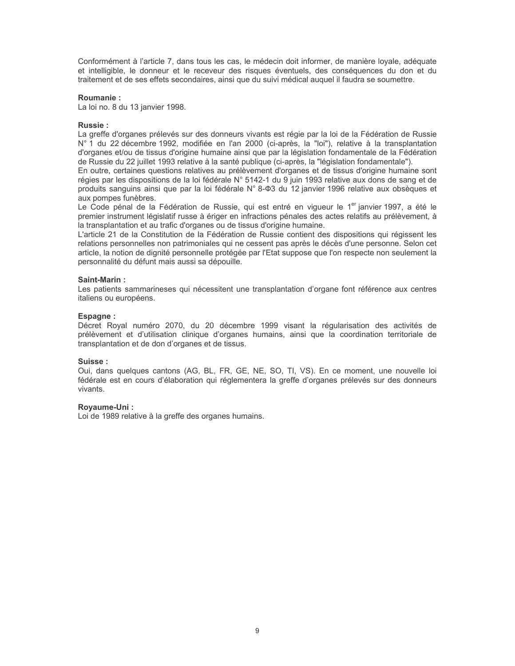Conformément à l'article 7, dans tous les cas, le médecin doit informer, de manière loyale, adéquate et intelligible, le donneur et le receveur des risques éventuels, des conséquences du don et du traitement et de ses effets secondaires, ainsi que du suivi médical auquel il faudra se soumettre.

#### **Roumanie:**

La loi no. 8 du 13 janvier 1998.

#### **Russie:**

La greffe d'organes prélevés sur des donneurs vivants est régie par la loi de la Fédération de Russie N° 1 du 22 décembre 1992, modifiée en l'an 2000 (ci-après, la "loi"), relative à la transplantation d'organes et/ou de tissus d'origine humaine ainsi que par la législation fondamentale de la Fédération de Russie du 22 juillet 1993 relative à la santé publique (ci-après, la "législation fondamentale").

En outre, certaines questions relatives au prélèvement d'organes et de tissus d'origine humaine sont régies par les dispositions de la loi fédérale N° 5142-1 du 9 juin 1993 relative aux dons de sang et de produits sanguins ainsi que par la loi fédérale N° 8-03 du 12 janvier 1996 relative aux obsèques et aux pompes funèbres.

Le Code pénal de la Fédération de Russie, qui est entré en vigueur le 1<sup>er</sup> janvier 1997, a été le premier instrument législatif russe à ériger en infractions pénales des actes relatifs au prélèvement, à la transplantation et au trafic d'organes ou de tissus d'origine humaine.

L'article 21 de la Constitution de la Fédération de Russie contient des dispositions qui régissent les relations personnelles non patrimoniales qui ne cessent pas après le décès d'une personne. Selon cet article, la notion de dignité personnelle protégée par l'Etat suppose que l'on respecte non seulement la personnalité du défunt mais aussi sa dépouille.

#### Saint-Marin:

Les patients sammarineses qui nécessitent une transplantation d'organe font référence aux centres italiens ou européens.

#### Espagne:

Décret Royal numéro 2070, du 20 décembre 1999 visant la régularisation des activités de prélèvement et d'utilisation clinique d'organes humains, ainsi que la coordination territoriale de transplantation et de don d'organes et de tissus.

#### Suisse:

Oui, dans quelques cantons (AG, BL, FR, GE, NE, SO, TI, VS). En ce moment, une nouvelle loi fédérale est en cours d'élaboration qui réglementera la greffe d'organes prélevés sur des donneurs vivants.

## Royaume-Uni:

Loi de 1989 relative à la greffe des organes humains.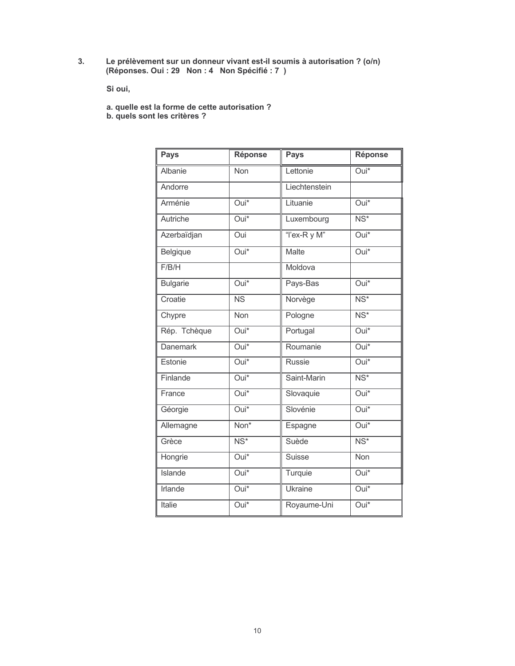Le prélèvement sur un donneur vivant est-il soumis à autorisation ? (o/n)<br>(Réponses. Oui : 29 Non : 4 Non Spécifié : 7 )  $3.$ 

Si oui,

- a. quelle est la forme de cette autorisation ?<br>b. quels sont les critères ?
- 

| Pays            | <b>Réponse</b>         | <b>Pays</b>    | Réponse                  |
|-----------------|------------------------|----------------|--------------------------|
| Albanie         | Non                    | Lettonie       | Oui*                     |
| Andorre         |                        | Liechtenstein  |                          |
| Arménie         | $\overline{Oui^*}$     | Lituanie       | $\overline{Oui^*}$       |
| Autriche        | Oui*                   | Luxembourg     | $\overline{\text{NS}^*}$ |
| Azerbaïdjan     | Oui                    | "I'ex-R y M"   | $\overline{Oui^*}$       |
| Belgique        | $\overline{Oui^*}$     | <b>Malte</b>   | $\overline{Oui^*}$       |
| F/B/H           |                        | Moldova        |                          |
| <b>Bulgarie</b> | $Oui*$                 | Pays-Bas       | $Oui*$                   |
| Croatie         | $\overline{\text{NS}}$ | Norvège        | $\overline{\text{NS}^*}$ |
| Chypre          | Non                    | Pologne        | $\overline{\text{NS}^*}$ |
| Rép. Tchèque    | Oui*                   | Portugal       | Oui*                     |
| <b>Danemark</b> | $\overline{Oui^*}$     | Roumanie       | $\overline{Oui^*}$       |
| Estonie         | $\overline{Oui^*}$     | <b>Russie</b>  | $\overline{Oui^*}$       |
| Finlande        | Oui*                   | Saint-Marin    | $\overline{\text{NS}^*}$ |
| France          | $\overline{Oui^*}$     | Slovaquie      | Oui*                     |
| Géorgie         | Oui*                   | Slovénie       | Oui*                     |
| Allemagne       | Non*                   | Espagne        | Oui*                     |
| Grèce           | $NS*$                  | Suède          | $\overline{\text{NS}^*}$ |
| Hongrie         | Oui*                   | Suisse         | Non                      |
| <b>Islande</b>  | Oui*                   | Turquie        | Oui*                     |
| Irlande         | Oui*                   | <b>Ukraine</b> | $Oui*$                   |
| Italie          | Oui*                   | Royaume-Uni    | Oui*                     |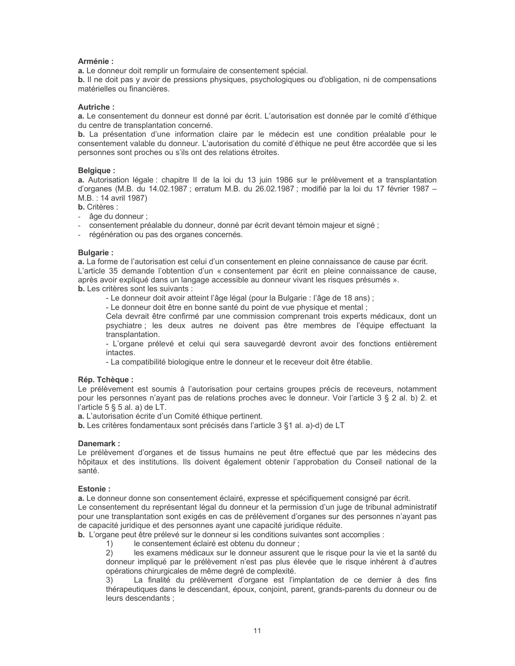## Arménie :

a. Le donneur doit remplir un formulaire de consentement spécial.

**b.** Il ne doit pas y avoir de pressions physiques, psychologiques ou d'obligation, ni de compensations matérielles ou financières.

## Autriche:

a. Le consentement du donneur est donné par écrit. L'autorisation est donnée par le comité d'éthique du centre de transplantation concerné.

b. La présentation d'une information claire par le médecin est une condition préalable pour le consentement valable du donneur. L'autorisation du comité d'éthique ne peut être accordée que si les personnes sont proches ou s'ils ont des relations étroites.

## **Belgique:**

a. Autorisation légale : chapitre II de la loi du 13 juin 1986 sur le prélèvement et a transplantation d'organes (M.B. du 14.02.1987 ; erratum M.B. du 26.02.1987 ; modifié par la loi du 17 février 1987 -M.B.: 14 avril 1987)

## **b.** Critères :

- âge du donneur;
- consentement préalable du donneur, donné par écrit devant témoin majeur et signé ;
- régénération ou pas des organes concernés.

## **Bulgarie:**

a. La forme de l'autorisation est celui d'un consentement en pleine connaissance de cause par écrit. L'article 35 demande l'obtention d'un « consentement par écrit en pleine connaissance de cause. après avoir expliqué dans un langage accessible au donneur vivant les risques présumés ».

**b.** Les critères sont les suivants :

- Le donneur doit avoir atteint l'âge légal (pour la Bulgarie : l'âge de 18 ans) ;

- Le donneur doit être en bonne santé du point de vue physique et mental ;

Cela devrait être confirmé par une commission comprenant trois experts médicaux, dont un psychiatre : les deux autres ne doivent pas être membres de l'équipe effectuant la transplantation.

- L'organe prélevé et celui qui sera sauvegardé devront avoir des fonctions entièrement intactes.

- La compatibilité biologique entre le donneur et le receveur doit être établie.

## Rép. Tchèaue:

Le prélèvement est soumis à l'autorisation pour certains groupes précis de receveurs, notamment pour les personnes n'ayant pas de relations proches avec le donneur. Voir l'article 3 § 2 al. b) 2. et l'article 5  $\S$  5 al. a) de LT.

a. L'autorisation écrite d'un Comité éthique pertinent.

b. Les critères fondamentaux sont précisés dans l'article 3 §1 al. a)-d) de LT

## Danemark:

Le prélèvement d'organes et de tissus humains ne peut être effectué que par les médecins des hôpitaux et des institutions. Ils doivent également obtenir l'approbation du Conseil national de la santé.

## Estonie:

a. Le donneur donne son consentement éclairé, expresse et spécifiquement consigné par écrit.

Le consentement du représentant légal du donneur et la permission d'un juge de tribunal administratif pour une transplantation sont exigés en cas de prélèvement d'organes sur des personnes n'ayant pas de capacité juridique et des personnes ayant une capacité juridique réduite.

**b.** L'organe peut être prélevé sur le donneur si les conditions suivantes sont accomplies :

 $1)$ le consentement éclairé est obtenu du donneur ;

 $(2)$ les examens médicaux sur le donneur assurent que le risque pour la vie et la santé du donneur impliqué par le prélèvement n'est pas plus élevée que le risque inhérent à d'autres opérations chirurgicales de même degré de complexité.

 $3)$ La finalité du prélèvement d'organe est l'implantation de ce dernier à des fins thérapeutiques dans le descendant, époux, conjoint, parent, grands-parents du donneur ou de leurs descendants :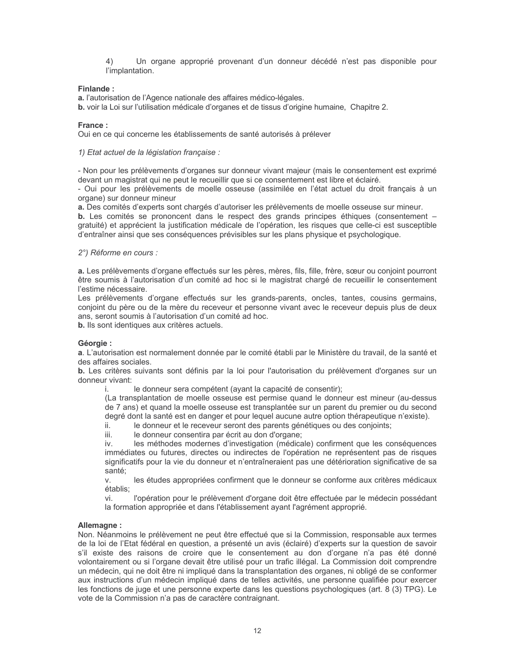Un organe approprié provenant d'un donneur décédé n'est pas disponible pour 4) l'implantation.

## Finlande:

a. l'autorisation de l'Agence nationale des affaires médico-légales.

b. voir la Loi sur l'utilisation médicale d'organes et de tissus d'origine humaine, Chapitre 2.

## France ·

Oui en ce qui concerne les établissements de santé autorisés à prélever

1) Etat actuel de la législation française :

- Non pour les prélèvements d'organes sur donneur vivant majeur (mais le consentement est exprimé devant un magistrat qui ne peut le recueillir que si ce consentement est libre et éclairé.

- Oui pour les prélèvements de moelle osseuse (assimilée en l'état actuel du droit français à un organe) sur donneur mineur

a. Des comités d'experts sont chargés d'autoriser les prélèvements de moelle osseuse sur mineur.

b. Les comités se prononcent dans le respect des grands principes éthiques (consentement gratuité) et apprécient la justification médicale de l'opération, les risques que celle-ci est susceptible d'entraîner ainsi que ses conséquences prévisibles sur les plans physique et psychologique.

## 2°) Réforme en cours :

a. Les prélèvements d'organe effectués sur les pères, mères, fils, fille, frère, sœur ou conjoint pourront être soumis à l'autorisation d'un comité ad hoc si le magistrat chargé de recueillir le consentement l'estime nécessaire.

Les prélèvements d'organe effectués sur les grands-parents, oncles, tantes, cousins germains, conjoint du père ou de la mère du receveur et personne vivant avec le receveur depuis plus de deux ans. seront soumis à l'autorisation d'un comité ad hoc.

b. Ils sont identiques aux critères actuels.

## Géorgie :

a. L'autorisation est normalement donnée par le comité établi par le Ministère du travail, de la santé et des affaires sociales.

b. Les critères suivants sont définis par la loi pour l'autorisation du prélèvement d'organes sur un donneur vivant:

le donneur sera compétent (ayant la capacité de consentir); i.

(La transplantation de moelle osseuse est permise quand le donneur est mineur (au-dessus de 7 ans) et quand la moelle osseuse est transplantée sur un parent du premier ou du second degré dont la santé est en danger et pour lequel aucune autre option thérapeutique n'existe).

ii. le donneur et le receveur seront des parents génétiques ou des conjoints;

iii. le donneur consentira par écrit au don d'organe;

les méthodes modernes d'investigation (médicale) confirment que les conséquences iv. immédiates ou futures, directes ou indirectes de l'opération ne représentent pas de risques significatifs pour la vie du donneur et n'entraîneraient pas une détérioration significative de sa santé:

les études appropriées confirment que le donneur se conforme aux critères médicaux  $\vee$ établis:

vi. l'opération pour le prélèvement d'organe doit être effectuée par le médecin possédant la formation appropriée et dans l'établissement ayant l'agrément approprié.

## Allemagne:

Non. Néanmoins le prélèvement ne peut être effectué que si la Commission, responsable aux termes de la loi de l'Etat fédéral en question, a présenté un avis (éclairé) d'experts sur la question de savoir s'il existe des raisons de croire que le consentement au don d'organe n'a pas été donné volontairement ou si l'organe devait être utilisé pour un trafic illégal. La Commission doit comprendre un médecin, qui ne doit être ni impliqué dans la transplantation des organes, ni obligé de se conformer aux instructions d'un médecin impliqué dans de telles activités, une personne qualifiée pour exercer les fonctions de juge et une personne experte dans les questions psychologiques (art. 8 (3) TPG). Le vote de la Commission n'a pas de caractère contraignant.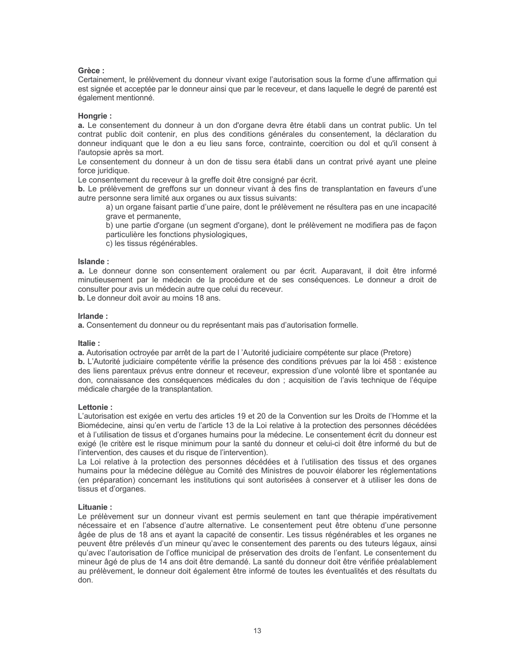## Grèce:

Certainement, le prélèvement du donneur vivant exige l'autorisation sous la forme d'une affirmation qui est signée et acceptée par le donneur ainsi que par le receveur, et dans laquelle le degré de parenté est également mentionné.

## Hongrie:

a. Le consentement du donneur à un don d'organe devra être établi dans un contrat public. Un tel contrat public doit contenir, en plus des conditions générales du consentement, la déclaration du donneur indiquant que le don a eu lieu sans force, contrainte, coercition ou dol et qu'il consent à l'autopsie après sa mort.

Le consentement du donneur à un don de tissu sera établi dans un contrat privé ayant une pleine force juridique.

Le consentement du receveur à la greffe doit être consigné par écrit.

b. Le prélèvement de greffons sur un donneur vivant à des fins de transplantation en faveurs d'une autre personne sera limité aux organes ou aux tissus suivants:

a) un organe faisant partie d'une paire, dont le prélèvement ne résultera pas en une incapacité grave et permanente,

b) une partie d'organe (un segment d'organe), dont le prélèvement ne modifiera pas de façon particulière les fonctions physiologiques,

c) les tissus régénérables.

## Islande:

a. Le donneur donne son consentement oralement ou par écrit. Auparavant, il doit être informé minutieusement par le médecin de la procédure et de ses conséquences. Le donneur a droit de consulter pour avis un médecin autre que celui du receveur.

b. Le donneur doit avoir au moins 18 ans.

## Irlande ·

a. Consentement du donneur ou du représentant mais pas d'autorisation formelle.

## Italie:

a. Autorisation octroyée par arrêt de la part de l'Autorité judiciaire compétente sur place (Pretore)

b. L'Autorité judiciaire compétente vérifie la présence des conditions prévues par la loi 458 : existence des liens parentaux prévus entre donneur et receveur, expression d'une volonté libre et spontanée au don, connaissance des conséquences médicales du don ; acquisition de l'avis technique de l'équipe médicale chargée de la transplantation.

## l ettonie ·

L'autorisation est exigée en vertu des articles 19 et 20 de la Convention sur les Droits de l'Homme et la Biomédecine, ainsi qu'en vertu de l'article 13 de la Loi relative à la protection des personnes décédées et à l'utilisation de tissus et d'organes humains pour la médecine. Le consentement écrit du donneur est exigé (le critère est le risque minimum pour la santé du donneur et celui-ci doit être informé du but de l'intervention, des causes et du risque de l'intervention).

La Loi relative à la protection des personnes décédées et à l'utilisation des tissus et des organes humains pour la médecine délèque au Comité des Ministres de pouvoir élaborer les réglementations (en préparation) concernant les institutions qui sont autorisées à conserver et à utiliser les dons de tissus et d'organes.

## Lituanie:

Le prélèvement sur un donneur vivant est permis seulement en tant que thérapie impérativement nécessaire et en l'absence d'autre alternative. Le consentement peut être obtenu d'une personne âgée de plus de 18 ans et ayant la capacité de consentir. Les tissus régénérables et les organes ne peuvent être prélevés d'un mineur qu'avec le consentement des parents ou des tuteurs légaux, ainsi qu'avec l'autorisation de l'office municipal de préservation des droits de l'enfant. Le consentement du mineur âgé de plus de 14 ans doit être demandé. La santé du donneur doit être vérifiée préalablement au prélèvement, le donneur doit également être informé de toutes les éventualités et des résultats du don.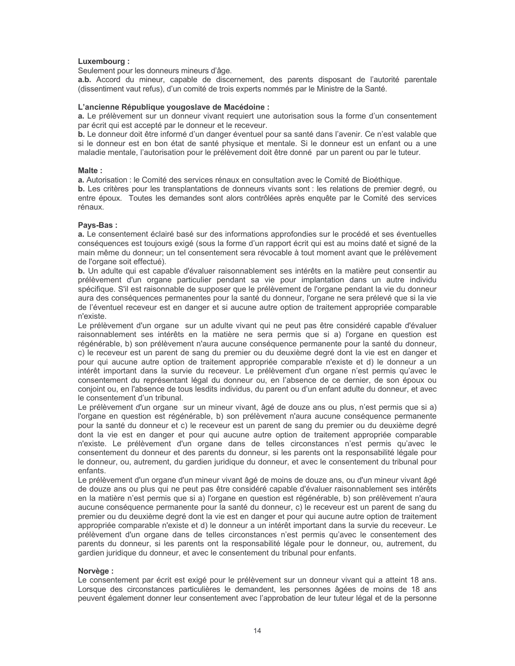## Luxembourg:

Seulement pour les donneurs mineurs d'âge.

a.b. Accord du mineur, capable de discernement, des parents disposant de l'autorité parentale (dissentiment vaut refus), d'un comité de trois experts nommés par le Ministre de la Santé.

#### L'ancienne République yougoslave de Macédoine :

a. Le prélèvement sur un donneur vivant requiert une autorisation sous la forme d'un consentement par écrit qui est accepté par le donneur et le receveur.

b. Le donneur doit être informé d'un danger éventuel pour sa santé dans l'avenir. Ce n'est valable que si le donneur est en bon état de santé physique et mentale. Si le donneur est un enfant ou a une maladie mentale, l'autorisation pour le prélèvement doit être donné par un parent ou par le tuteur.

#### Malte:

a. Autorisation : le Comité des services rénaux en consultation avec le Comité de Bioéthique.

b. Les critères pour les transplantations de donneurs vivants sont : les relations de premier degré, ou entre époux. Toutes les demandes sont alors contrôlées après enquête par le Comité des services rénaux.

## Pays-Bas:

a. Le consentement éclairé basé sur des informations approfondies sur le procédé et ses éventuelles conséquences est toujours exigé (sous la forme d'un rapport écrit qui est au moins daté et signé de la main même du donneur; un tel consentement sera révocable à tout moment avant que le prélèvement de l'organe soit effectué).

**b.** Un adulte qui est capable d'évaluer raisonnablement ses intérêts en la matière peut consentir au prélèvement d'un organe particulier pendant sa vie pour implantation dans un autre individu spécifique. S'il est raisonnable de supposer que le prélèvement de l'organe pendant la vie du donneur aura des conséquences permanentes pour la santé du donneur, l'organe ne sera prélevé que si la vie de l'éventuel receveur est en danger et si aucune autre option de traitement appropriée comparable n'existe.

Le prélèvement d'un organe sur un adulte vivant qui ne peut pas être considéré capable d'évaluer raisonnablement ses intérêts en la matière ne sera permis que si a) l'organe en question est régénérable, b) son prélèvement n'aura aucune conséquence permanente pour la santé du donneur, c) le receveur est un parent de sang du premier ou du deuxième degré dont la vie est en danger et pour qui aucune autre option de traitement appropriée comparable n'existe et d) le donneur a un intérêt important dans la survie du receveur. Le prélèvement d'un organe n'est permis qu'avec le consentement du représentant légal du donneur ou, en l'absence de ce dernier, de son époux ou conjoint ou, en l'absence de tous lesdits individus, du parent ou d'un enfant adulte du donneur, et avec le consentement d'un tribunal.

Le prélèvement d'un organe sur un mineur vivant, âgé de douze ans ou plus, n'est permis que si a) l'organe en question est régénérable, b) son prélèvement n'aura aucune conséquence permanente pour la santé du donneur et c) le receveur est un parent de sang du premier ou du deuxième degré dont la vie est en danger et pour qui aucune autre option de traitement appropriée comparable n'existe. Le prélèvement d'un organe dans de telles circonstances n'est permis qu'avec le consentement du donneur et des parents du donneur, si les parents ont la responsabilité légale pour le donneur, ou, autrement, du gardien juridique du donneur, et avec le consentement du tribunal pour enfants.

Le prélèvement d'un organe d'un mineur vivant âgé de moins de douze ans, ou d'un mineur vivant âgé de douze ans ou plus qui ne peut pas être considéré capable d'évaluer raisonnablement ses intérêts en la matière n'est permis que si a) l'organe en question est régénérable, b) son prélèvement n'aura aucune conséquence permanente pour la santé du donneur, c) le receveur est un parent de sang du premier ou du deuxième degré dont la vie est en danger et pour qui aucune autre option de traitement appropriée comparable n'existe et d) le donneur a un intérêt important dans la survie du receveur. Le prélèvement d'un organe dans de telles circonstances n'est permis qu'avec le consentement des parents du donneur, si les parents ont la responsabilité légale pour le donneur, ou, autrement, du gardien juridique du donneur, et avec le consentement du tribunal pour enfants.

## Norvège :

Le consentement par écrit est exigé pour le prélèvement sur un donneur vivant qui a atteint 18 ans. Lorsque des circonstances particulières le demandent, les personnes âgées de moins de 18 ans peuvent également donner leur consentement avec l'approbation de leur tuteur légal et de la personne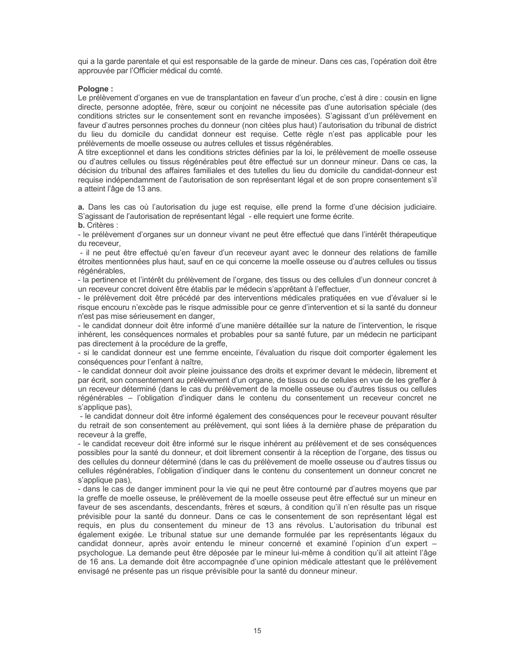qui a la garde parentale et qui est responsable de la garde de mineur. Dans ces cas, l'opération doit être approuvée par l'Officier médical du comté.

#### Pologne:

Le prélèvement d'organes en vue de transplantation en faveur d'un proche, c'est à dire : cousin en ligne directe, personne adoptée, frère, sœur ou conjoint ne nécessite pas d'une autorisation spéciale (des conditions strictes sur le consentement sont en revanche imposées). S'agissant d'un prélèvement en faveur d'autres personnes proches du donneur (non citées plus haut) l'autorisation du tribunal de district du lieu du domicile du candidat donneur est requise. Cette règle n'est pas applicable pour les prélèvements de moelle osseuse ou autres cellules et tissus régénérables.

A titre exceptionnel et dans les conditions strictes définies par la loi, le prélèvement de moelle osseuse ou d'autres cellules ou tissus régénérables peut être effectué sur un donneur mineur. Dans ce cas, la décision du tribunal des affaires familiales et des tutelles du lieu du domicile du candidat-donneur est requise indépendamment de l'autorisation de son représentant légal et de son propre consentement s'il a atteint l'âge de 13 ans.

a. Dans les cas où l'autorisation du juge est requise, elle prend la forme d'une décision judiciaire. S'agissant de l'autorisation de représentant légal - elle requiert une forme écrite.

**b.** Critères :

- le prélèvement d'organes sur un donneur vivant ne peut être effectué que dans l'intérêt thérapeutique du receveur.

- il ne peut être effectué qu'en faveur d'un receveur ayant avec le donneur des relations de famille étroites mentionnées plus haut, sauf en ce qui concerne la moelle osseuse ou d'autres cellules ou tissus régénérables.

- la pertinence et l'intérêt du prélèvement de l'organe, des tissus ou des cellules d'un donneur concret à un receveur concret doivent être établis par le médecin s'apprêtant à l'effectuer.

- le prélèvement doit être précédé par des interventions médicales pratiquées en vue d'évaluer si le risque encouru n'excède pas le risque admissible pour ce genre d'intervention et si la santé du donneur n'est pas mise sérieusement en danger,

- le candidat donneur doit être informé d'une manière détaillée sur la nature de l'intervention, le risque inhérent, les conséquences normales et probables pour sa santé future, par un médecin ne participant pas directement à la procédure de la greffe,

- si le candidat donneur est une femme enceinte, l'évaluation du risque doit comporter également les conséquences pour l'enfant à naître,

- le candidat donneur doit avoir pleine jouissance des droits et exprimer devant le médecin, librement et par écrit, son consentement au prélèvement d'un organe, de tissus ou de cellules en vue de les greffer à un receveur déterminé (dans le cas du prélèvement de la moelle osseuse ou d'autres tissus ou cellules régénérables - l'obligation d'indiquer dans le contenu du consentement un receveur concret ne s'applique pas),

- le candidat donneur doit être informé également des conséquences pour le receveur pouvant résulter du retrait de son consentement au prélèvement, qui sont liées à la dernière phase de préparation du receveur à la greffe.

- le candidat receveur doit être informé sur le risque inhérent au prélèvement et de ses conséquences possibles pour la santé du donneur, et doit librement consentir à la réception de l'organe, des tissus ou des cellules du donneur déterminé (dans le cas du prélèvement de moelle osseuse ou d'autres tissus ou cellules régénérables, l'obligation d'indiquer dans le contenu du consentement un donneur concret ne s'applique pas).

- dans le cas de danger imminent pour la vie qui ne peut être contourné par d'autres moyens que par la greffe de moelle osseuse, le prélèvement de la moelle osseuse peut être effectué sur un mineur en faveur de ses ascendants, descendants, frères et sœurs, à condition qu'il n'en résulte pas un risque prévisible pour la santé du donneur. Dans ce cas le consentement de son représentant légal est requis, en plus du consentement du mineur de 13 ans révolus. L'autorisation du tribunal est également exigée. Le tribunal statue sur une demande formulée par les représentants légaux du candidat donneur, après avoir entendu le mineur concerné et examiné l'opinion d'un expert – psychologue. La demande peut être déposée par le mineur lui-même à condition qu'il ait atteint l'âge de 16 ans. La demande doit être accompagnée d'une opinion médicale attestant que le prélèvement envisagé ne présente pas un risque prévisible pour la santé du donneur mineur.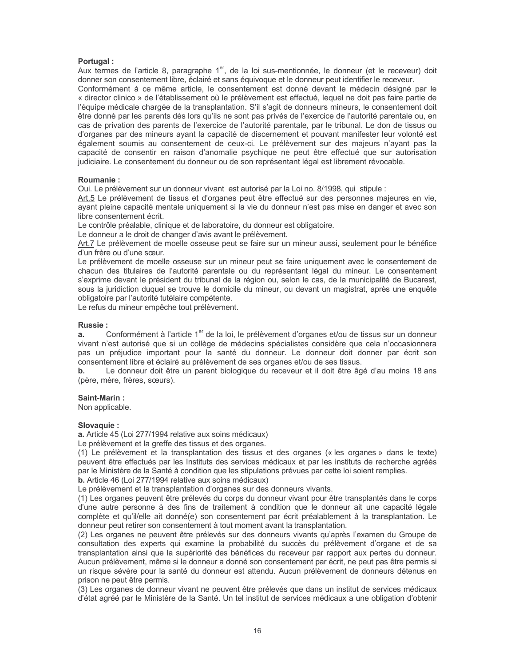## Portugal:

Aux termes de l'article 8, paragraphe 1<sup>er</sup>, de la loi sus-mentionnée, le donneur (et le receveur) doit donner son consentement libre, éclairé et sans équivoque et le donneur peut identifier le receveur.

Conformément à ce même article, le consentement est donné devant le médecin désigné par le « director clinico » de l'établissement où le prélèvement est effectué, lequel ne doit pas faire partie de l'équipe médicale chargée de la transplantation. S'il s'agit de donneurs mineurs, le consentement doit être donné par les parents dès lors qu'ils ne sont pas privés de l'exercice de l'autorité parentale ou, en cas de privation des parents de l'exercice de l'autorité parentale, par le tribunal. Le don de tissus ou d'organes par des mineurs ayant la capacité de discernement et pouvant manifester leur volonté est également soumis au consentement de ceux-ci. Le prélèvement sur des majeurs n'ayant pas la capacité de consentir en raison d'anomalie psychique ne peut être effectué que sur autorisation judiciaire. Le consentement du donneur ou de son représentant légal est librement révocable.

## Roumanie:

Oui. Le prélèvement sur un donneur vivant est autorisé par la Loi no. 8/1998, qui stipule :

Art.5 Le prélèvement de tissus et d'organes peut être effectué sur des personnes majeures en vie. ayant pleine capacité mentale uniquement si la vie du donneur n'est pas mise en danger et avec son libre consentement écrit.

Le contrôle préalable, clinique et de laboratoire, du donneur est obligatoire.

Le donneur a le droit de changer d'avis avant le prélèvement.

Art.7 Le prélèvement de moelle osseuse peut se faire sur un mineur aussi, seulement pour le bénéfice d'un frère ou d'une sœur.

Le prélèvement de moelle osseuse sur un mineur peut se faire uniquement avec le consentement de chacun des titulaires de l'autorité parentale ou du représentant légal du mineur. Le consentement s'exprime devant le président du tribunal de la région ou, selon le cas, de la municipalité de Bucarest, sous la juridiction duquel se trouve le domicile du mineur, ou devant un magistrat, après une enquête obligatoire par l'autorité tutélaire compétente.

Le refus du mineur empêche tout prélèvement.

## **Russie:**

а. Conformément à l'article 1<sup>er</sup> de la loi, le prélèvement d'organes et/ou de tissus sur un donneur vivant n'est autorisé que si un collège de médecins spécialistes considère que cela n'occasionnera pas un préjudice important pour la santé du donneur. Le donneur doit donner par écrit son consentement libre et éclairé au prélèvement de ses organes et/ou de ses tissus.

Le donneur doit être un parent biologique du receveur et il doit être âgé d'au moins 18 ans  $h_{-}$ (père, mère, frères, sœurs).

## Saint-Marin:

Non applicable.

## Slovaquie :

a. Article 45 (Loi 277/1994 relative aux soins médicaux)

Le prélèvement et la greffe des tissus et des organes.

(1) Le prélèvement et la transplantation des tissus et des organes (« les organes » dans le texte) peuvent être effectués par les Instituts des services médicaux et par les instituts de recherche agréés par le Ministère de la Santé à condition que les stipulations prévues par cette loi soient remplies.

b. Article 46 (Loi 277/1994 relative aux soins médicaux)

Le prélèvement et la transplantation d'organes sur des donneurs vivants.

(1) Les organes peuvent être prélevés du corps du donneur vivant pour être transplantés dans le corps d'une autre personne à des fins de traitement à condition que le donneur ait une capacité légale complète et qu'il/elle ait donné(e) son consentement par écrit préalablement à la transplantation. Le donneur peut retirer son consentement à tout moment avant la transplantation.

(2) Les organes ne peuvent être prélevés sur des donneurs vivants qu'après l'examen du Groupe de consultation des experts qui examine la probabilité du succès du prélèvement d'organe et de sa transplantation ainsi que la supériorité des bénéfices du receveur par rapport aux pertes du donneur. Aucun prélèvement, même si le donneur a donné son consentement par écrit, ne peut pas être permis si un risque sévère pour la santé du donneur est attendu. Aucun prélèvement de donneurs détenus en prison ne peut être permis.

(3) Les organes de donneur vivant ne peuvent être prélevés que dans un institut de services médicaux d'état agréé par le Ministère de la Santé. Un tel institut de services médicaux a une obligation d'obtenir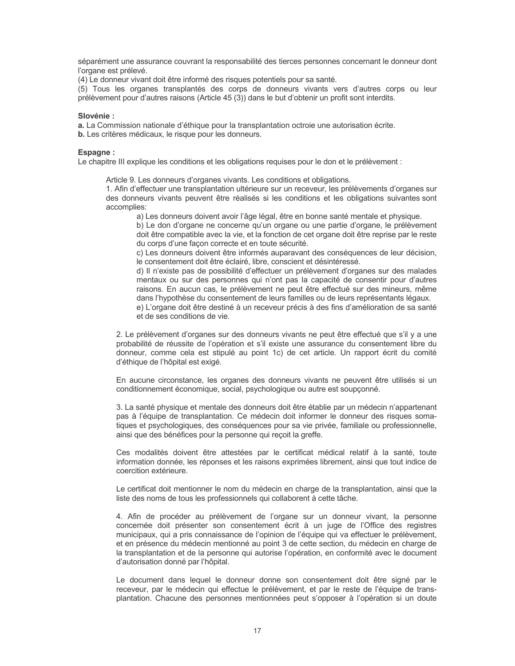séparément une assurance couvrant la responsabilité des tierces personnes concernant le donneur dont l'organe est prélevé.

(4) Le donneur vivant doit être informé des risques potentiels pour sa santé.

(5) Tous les organes transplantés des corps de donneurs vivants vers d'autres corps ou leur prélèvement pour d'autres raisons (Article 45 (3)) dans le but d'obtenir un profit sont interdits.

## Slovénie:

a. La Commission nationale d'éthique pour la transplantation octroie une autorisation écrite.

b. Les critères médicaux, le risque pour les donneurs.

#### Espagne:

Le chapitre III explique les conditions et les obligations requises pour le don et le prélèvement :

Article 9. Les donneurs d'organes vivants. Les conditions et obligations.

1. Afin d'effectuer une transplantation ultérieure sur un receveur, les prélèvements d'organes sur des donneurs vivants peuvent être réalisés si les conditions et les obligations suivantes sont accomplies:

a) Les donneurs doivent avoir l'âge légal, être en bonne santé mentale et physique.

b) Le don d'organe ne concerne qu'un organe ou une partie d'organe, le prélèvement doit être compatible avec la vie, et la fonction de cet organe doit être reprise par le reste du corps d'une façon correcte et en toute sécurité.

c) Les donneurs doivent être informés auparavant des conséquences de leur décision, le consentement doit être éclairé, libre, conscient et désintéressé.

d) Il n'existe pas de possibilité d'effectuer un prélèvement d'organes sur des malades mentaux ou sur des personnes qui n'ont pas la capacité de consentir pour d'autres raisons. En aucun cas, le prélèvement ne peut être effectué sur des mineurs, même dans l'hypothèse du consentement de leurs familles ou de leurs représentants légaux.

e) L'organe doit être destiné à un receveur précis à des fins d'amélioration de sa santé et de ses conditions de vie.

2. Le prélèvement d'organes sur des donneurs vivants ne peut être effectué que s'il y a une probabilité de réussite de l'opération et s'il existe une assurance du consentement libre du donneur, comme cela est stipulé au point 1c) de cet article. Un rapport écrit du comité d'éthique de l'hôpital est exigé.

En aucune circonstance, les organes des donneurs vivants ne peuvent être utilisés si un conditionnement économique, social, psychologique ou autre est soupçonné.

3. La santé physique et mentale des donneurs doit être établie par un médecin n'appartenant pas à l'équipe de transplantation. Ce médecin doit informer le donneur des risques somatiques et psychologiques, des conséquences pour sa vie privée, familiale ou professionnelle, ainsi que des bénéfices pour la personne qui reçoit la greffe.

Ces modalités doivent être attestées par le certificat médical relatif à la santé, toute information donnée, les réponses et les raisons exprimées librement, ainsi que tout indice de coercition extérieure.

Le certificat doit mentionner le nom du médecin en charge de la transplantation, ainsi que la liste des noms de tous les professionnels qui collaborent à cette tâche.

4. Afin de procéder au prélèvement de l'organe sur un donneur vivant, la personne concernée doit présenter son consentement écrit à un juge de l'Office des registres municipaux, qui a pris connaissance de l'opinion de l'équipe qui va effectuer le prélèvement, et en présence du médecin mentionné au point 3 de cette section, du médecin en charge de la transplantation et de la personne qui autorise l'opération, en conformité avec le document d'autorisation donné par l'hôpital.

Le document dans lequel le donneur donne son consentement doit être signé par le receveur, par le médecin qui effectue le prélèvement, et par le reste de l'équipe de transplantation. Chacune des personnes mentionnées peut s'opposer à l'opération si un doute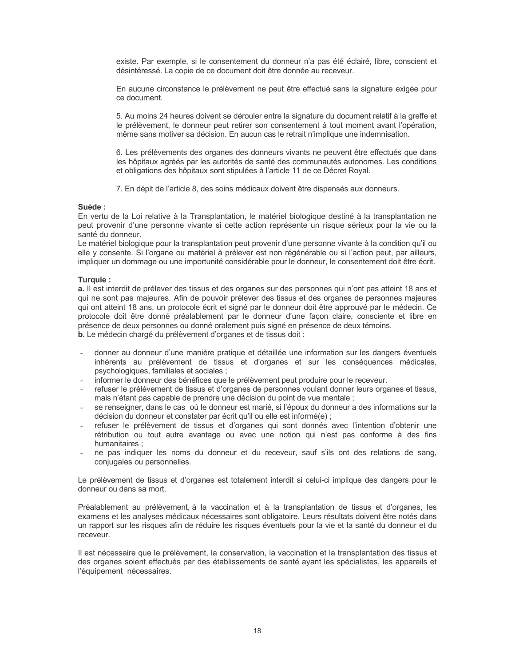existe. Par exemple, si le consentement du donneur n'a pas été éclairé, libre, conscient et désintéressé. La copie de ce document doit être donnée au receveur.

En aucune circonstance le prélèvement ne peut être effectué sans la signature exigée pour ce document.

5. Au moins 24 heures doivent se dérouler entre la signature du document relatif à la greffe et le prélèvement, le donneur peut retirer son consentement à tout moment avant l'opération, même sans motiver sa décision. En aucun cas le retrait n'implique une indemnisation.

6. Les prélèvements des organes des donneurs vivants ne peuvent être effectués que dans les hôpitaux agréés par les autorités de santé des communautés autonomes. Les conditions et obligations des hôpitaux sont stipulées à l'article 11 de ce Décret Royal.

7. En dépit de l'article 8, des soins médicaux doivent être dispensés aux donneurs.

#### Suède:

En vertu de la Loi relative à la Transplantation, le matériel biologique destiné à la transplantation ne peut provenir d'une personne vivante si cette action représente un risque sérieux pour la vie ou la santé du donneur.

Le matériel biologique pour la transplantation peut provenir d'une personne vivante à la condition qu'il ou elle y consente. Si l'organe ou matériel à prélever est non régénérable ou si l'action peut, par ailleurs, impliquer un dommage ou une importunité considérable pour le donneur, le consentement doit être écrit.

#### Turquie:

a. Il est interdit de prélever des tissus et des organes sur des personnes qui n'ont pas atteint 18 ans et qui ne sont pas majeures. Afin de pouvoir prélever des tissus et des organes de personnes majeures qui ont atteint 18 ans, un protocole écrit et signé par le donneur doit être approuvé par le médecin. Ce protocole doit être donné préalablement par le donneur d'une façon claire, consciente et libre en présence de deux personnes ou donné oralement puis signé en présence de deux témoins.

b. Le médecin chargé du prélèvement d'organes et de tissus doit :

- donner au donneur d'une manière pratique et détaillée une information sur les dangers éventuels inhérents au prélèvement de tissus et d'organes et sur les conséquences médicales, psychologiques, familiales et sociales ;
- informer le donneur des bénéfices que le prélèvement peut produire pour le receveur.
- refuser le prélèvement de tissus et d'organes de personnes voulant donner leurs organes et tissus, mais n'étant pas capable de prendre une décision du point de vue mentale ;
- se renseigner, dans le cas où le donneur est marié, si l'époux du donneur a des informations sur la décision du donneur et constater par écrit qu'il ou elle est informé(e) ;
- refuser le prélèvement de tissus et d'organes qui sont donnés avec l'intention d'obtenir une rétribution ou tout autre avantage ou avec une notion qui n'est pas conforme à des fins humanitaires:
- ne pas indiquer les noms du donneur et du receveur, sauf s'ils ont des relations de sang, conjugales ou personnelles.

Le prélèvement de tissus et d'organes est totalement interdit si celui-ci implique des dangers pour le donneur ou dans sa mort.

Préalablement au prélèvement, à la vaccination et à la transplantation de tissus et d'organes, les examens et les analyses médicaux nécessaires sont obligatoire. Leurs résultats doivent être notés dans un rapport sur les risques afin de réduire les risques éventuels pour la vie et la santé du donneur et du receveur.

Il est nécessaire que le prélèvement, la conservation, la vaccination et la transplantation des tissus et des organes soient effectués par des établissements de santé ayant les spécialistes, les appareils et l'équipement nécessaires.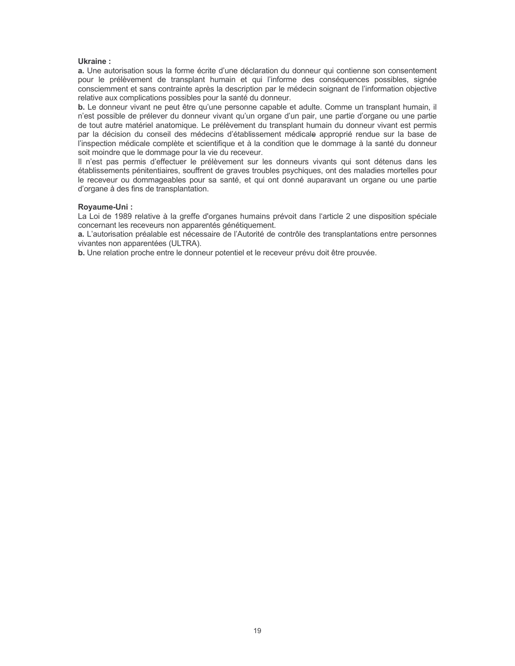#### Ukraine:

a. Une autorisation sous la forme écrite d'une déclaration du donneur qui contienne son consentement pour le prélèvement de transplant humain et qui l'informe des conséquences possibles, signée consciemment et sans contrainte après la description par le médecin soignant de l'information objective relative aux complications possibles pour la santé du donneur.

b. Le donneur vivant ne peut être qu'une personne capable et adulte. Comme un transplant humain, il n'est possible de prélever du donneur vivant qu'un organe d'un pair, une partie d'organe ou une partie de tout autre matériel anatomique. Le prélèvement du transplant humain du donneur vivant est permis par la décision du conseil des médecins d'établissement médicale approprié rendue sur la base de l'inspection médicale complète et scientifique et à la condition que le dommage à la santé du donneur soit moindre que le dommage pour la vie du receveur.

Il n'est pas permis d'effectuer le prélèvement sur les donneurs vivants qui sont détenus dans les établissements pénitentiaires, souffrent de graves troubles psychiques, ont des maladies mortelles pour le receveur ou dommageables pour sa santé, et qui ont donné auparavant un organe ou une partie d'organe à des fins de transplantation.

#### Royaume-Uni:

La Loi de 1989 relative à la greffe d'organes humains prévoit dans l'article 2 une disposition spéciale concernant les receveurs non apparentés génétiquement.

a. L'autorisation préalable est nécessaire de l'Autorité de contrôle des transplantations entre personnes vivantes non apparentées (ULTRA).

b. Une relation proche entre le donneur potentiel et le receveur prévu doit être prouvée.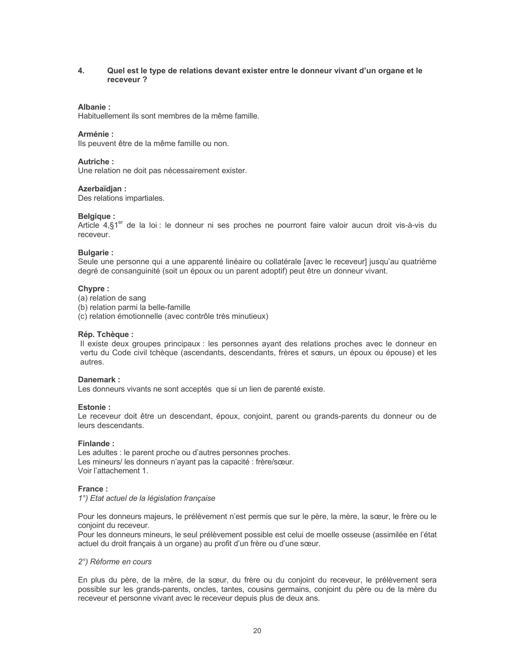#### $\overline{4}$ . Quel est le type de relations devant exister entre le donneur vivant d'un organe et le receveur?

## Albanie:

Habituellement ils sont membres de la même famille.

## Arménie:

Ils peuvent être de la même famille ou non.

#### **Autriche:**

Une relation ne doit pas nécessairement exister.

#### Azerbaïdian:

Des relations impartiales.

#### **Belgique:**

Article 4,§1<sup>er</sup> de la loi : le donneur ni ses proches ne pourront faire valoir aucun droit vis-à-vis du receveur.

#### **Bulgarie:**

Seule une personne qui a une apparenté linéaire ou collatérale [avec le receveur] jusqu'au quatrième degré de consanguinité (soit un époux ou un parent adoptif) peut être un donneur vivant.

#### Chypre:

- (a) relation de sang
- (b) relation parmi la belle-famille
- (c) relation émotionnelle (avec contrôle très minutieux)

#### Rép. Tchèque :

Il existe deux groupes principaux : les personnes ayant des relations proches avec le donneur en vertu du Code civil tchèque (ascendants, descendants, frères et sœurs, un époux ou épouse) et les autres.

#### Danemark:

Les donneurs vivants ne sont acceptés que si un lien de parenté existe.

#### Estonie:

Le receveur doit être un descendant, époux, conjoint, parent ou grands-parents du donneur ou de leurs descendants.

#### Finlande:

Les adultes : le parent proche ou d'autres personnes proches. Les mineurs/les donneurs n'ayant pas la capacité : frère/sœur. Voir l'attachement 1.

#### France:

1°) Etat actuel de la législation française

Pour les donneurs majeurs, le prélèvement n'est permis que sur le père, la mère, la sœur, le frère ou le conjoint du receveur.

Pour les donneurs mineurs, le seul prélèvement possible est celui de moelle osseuse (assimilée en l'état actuel du droit français à un organe) au profit d'un frère ou d'une sœur.

#### 2°) Réforme en cours

En plus du père, de la mère, de la sœur, du frère ou du conjoint du receveur, le prélèvement sera possible sur les grands-parents, oncles, tantes, cousins germains, conjoint du père ou de la mère du receveur et personne vivant avec le receveur depuis plus de deux ans.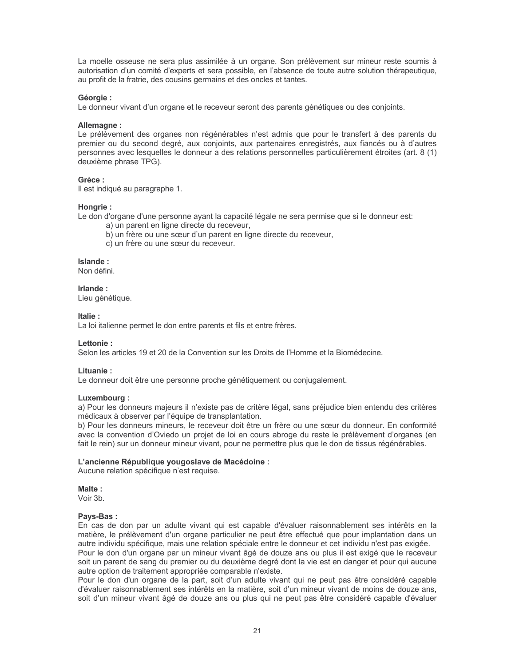La moelle osseuse ne sera plus assimilée à un organe. Son prélèvement sur mineur reste soumis à autorisation d'un comité d'experts et sera possible, en l'absence de toute autre solution thérapeutique, au profit de la fratrie, des cousins germains et des oncles et tantes.

## Géorgie :

Le donneur vivant d'un organe et le receveur seront des parents génétiques ou des conjoints.

## Allemagne:

Le prélèvement des organes non régénérables n'est admis que pour le transfert à des parents du premier ou du second degré, aux conjoints, aux partenaires enregistrés, aux fiancés ou à d'autres personnes avec lesquelles le donneur a des relations personnelles particulièrement étroites (art. 8 (1) deuxième phrase TPG).

## Grèce ·

Il est indiqué au paragraphe 1.

## Hongrie:

Le don d'organe d'une personne ayant la capacité légale ne sera permise que si le donneur est:

- a) un parent en ligne directe du receveur,
- b) un frère ou une sœur d'un parent en ligne directe du receveur,
- c) un frère ou une sœur du receveur.

## Islande:

Non défini.

Irlande: Lieu génétique.

## Italie:

La loi italienne permet le don entre parents et fils et entre frères.

## Lettonie:

Selon les articles 19 et 20 de la Convention sur les Droits de l'Homme et la Biomédecine.

## Lituanie:

Le donneur doit être une personne proche génétiquement ou conjugalement.

## Luxembourg:

a) Pour les donneurs majeurs il n'existe pas de critère légal, sans préjudice bien entendu des critères médicaux à observer par l'équipe de transplantation.

b) Pour les donneurs mineurs, le receveur doit être un frère ou une sœur du donneur. En conformité avec la convention d'Oviedo un projet de loi en cours abroge du reste le prélèvement d'organes (en fait le rein) sur un donneur mineur vivant, pour ne permettre plus que le don de tissus régénérables.

## L'ancienne République vougoslave de Macédoine :

Aucune relation spécifique n'est requise.

## Malte:

Voir 3h

## Pays-Bas:

En cas de don par un adulte vivant qui est capable d'évaluer raisonnablement ses intérêts en la matière, le prélèvement d'un organe particulier ne peut être effectué que pour implantation dans un autre individu spécifique, mais une relation spéciale entre le donneur et cet individu n'est pas exigée. Pour le don d'un organe par un mineur vivant âgé de douze ans ou plus il est exigé que le receveur soit un parent de sang du premier ou du deuxième degré dont la vie est en danger et pour qui aucune autre option de traitement appropriée comparable n'existe.

Pour le don d'un organe de la part, soit d'un adulte vivant qui ne peut pas être considéré capable d'évaluer raisonnablement ses intérêts en la matière, soit d'un mineur vivant de moins de douze ans, soit d'un mineur vivant âgé de douze ans ou plus qui ne peut pas être considéré capable d'évaluer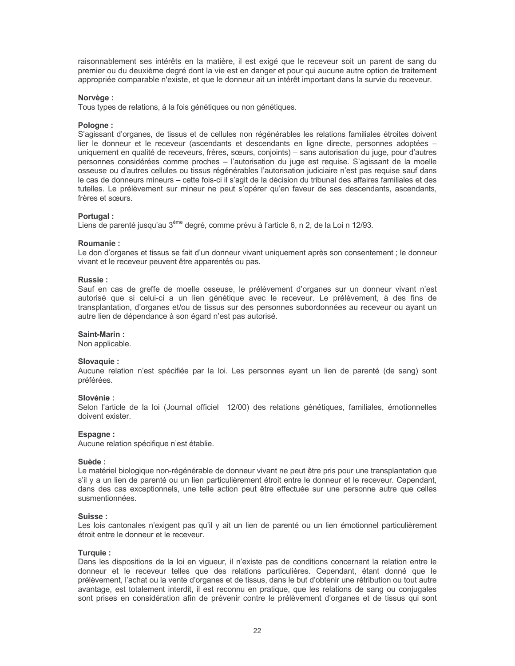raisonnablement ses intérêts en la matière, il est exigé que le receveur soit un parent de sang du premier ou du deuxième degré dont la vie est en danger et pour qui aucune autre option de traitement appropriée comparable n'existe, et que le donneur ait un intérêt important dans la survie du receveur.

#### Norvège :

Tous types de relations, à la fois génétiques ou non génétiques.

#### Pologne:

S'agissant d'organes, de tissus et de cellules non régénérables les relations familiales étroites doivent lier le donneur et le receveur (ascendants et descendants en ligne directe, personnes adoptées uniquement en qualité de receveurs, frères, sœurs, conjoints) - sans autorisation du juge, pour d'autres personnes considérées comme proches - l'autorisation du juge est requise. S'agissant de la moelle osseuse ou d'autres cellules ou tissus régénérables l'autorisation judiciaire n'est pas requise sauf dans le cas de donneurs mineurs - cette fois-ci il s'agit de la décision du tribunal des affaires familiales et des tutelles. Le prélèvement sur mineur ne peut s'opérer qu'en faveur de ses descendants, ascendants, frères et sœurs.

#### Portugal:

Liens de parenté jusqu'au 3<sup>ème</sup> degré, comme prévu à l'article 6, n 2, de la Loi n 12/93.

#### Roumanie:

Le don d'organes et tissus se fait d'un donneur vivant uniquement après son consentement ; le donneur vivant et le receveur peuvent être apparentés ou pas.

#### Russie:

Sauf en cas de greffe de moelle osseuse, le prélèvement d'organes sur un donneur vivant n'est autorisé que si celui-ci a un lien génétique avec le receveur. Le prélèvement, à des fins de transplantation, d'organes et/ou de tissus sur des personnes subordonnées au receveur ou ayant un autre lien de dépendance à son égard n'est pas autorisé.

#### Saint-Marin:

Non applicable.

#### Slovaquie :

Aucune relation n'est spécifiée par la loi. Les personnes ayant un lien de parenté (de sang) sont préférées.

#### Slovénie :

Selon l'article de la loi (Journal officiel 12/00) des relations génétiques, familiales, émotionnelles doivent exister.

#### Espagne:

Aucune relation spécifique n'est établie.

#### Suède:

Le matériel biologique non-régénérable de donneur vivant ne peut être pris pour une transplantation que s'il y a un lien de parenté ou un lien particulièrement étroit entre le donneur et le receveur. Cependant, dans des cas exceptionnels, une telle action peut être effectuée sur une personne autre que celles susmentionnées

#### Suisse ·

Les lois cantonales n'exigent pas qu'il y ait un lien de parenté ou un lien émotionnel particulièrement étroit entre le donneur et le receveur.

#### Turquie:

Dans les dispositions de la loi en viqueur, il n'existe pas de conditions concernant la relation entre le donneur et le receveur telles que des relations particulières. Cependant, étant donné que le prélèvement, l'achat ou la vente d'organes et de tissus, dans le but d'obtenir une rétribution ou tout autre avantage, est totalement interdit, il est reconnu en pratique, que les relations de sang ou conjugales sont prises en considération afin de prévenir contre le prélèvement d'organes et de tissus qui sont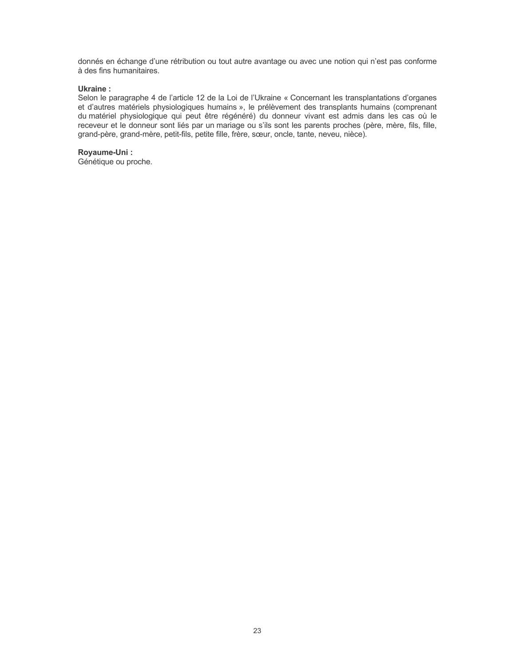donnés en échange d'une rétribution ou tout autre avantage ou avec une notion qui n'est pas conforme à des fins humanitaires.

## **Ukraine:**

Selon le paragraphe 4 de l'article 12 de la Loi de l'Ukraine « Concernant les transplantations d'organes et d'autres matériels physiologiques humains », le prélèvement des transplants humains (comprenant du matériel physiologique qui peut être régénéré) du donneur vivant est admis dans les cas où le receveur et le donneur sont liés par un mariage ou s'ils sont les parents proches (père, mère, fils, fille, grand-père, grand-mère, petit-fils, petite fille, frère, sœur, oncle, tante, neveu, nièce).

## Royaume-Uni:

Génétique ou proche.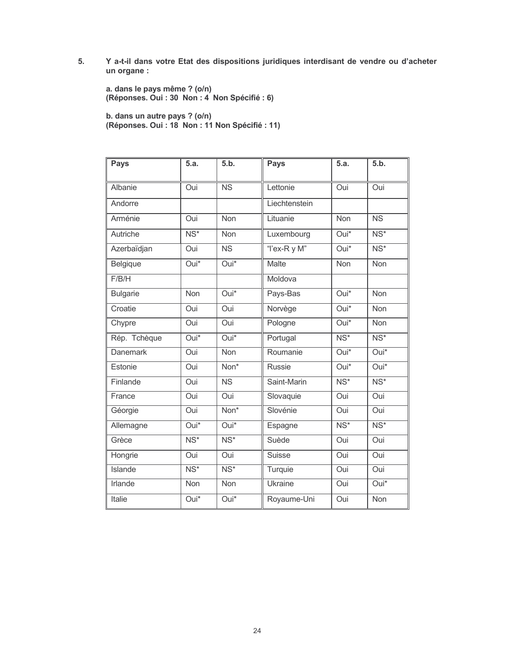5. Y a-t-il dans votre Etat des dispositions juridiques interdisant de vendre ou d'acheter un organe :

a. dans le pays même ? (o/n)<br>(Réponses. Oui : 30 Non : 4 Non Spécifié : 6)

b. dans un autre pays ? (o/n)<br>(Réponses. Oui : 18 Non : 11 Non Spécifié : 11)

| Pays            | 5.a.                     | 5.b.                     | <b>Pays</b>    | 5.a.                     | 5.b.                     |
|-----------------|--------------------------|--------------------------|----------------|--------------------------|--------------------------|
| Albanie         | Oui                      | <b>NS</b>                | Lettonie       | Oui                      | Oui                      |
| Andorre         |                          |                          | Liechtenstein  |                          |                          |
| Arménie         | Oui                      | Non                      | Lituanie       | Non                      | $\overline{\text{NS}}$   |
| Autriche        | $\overline{\text{NS}^*}$ | Non                      | Luxembourg     | Oui*                     | $\overline{\text{NS}^*}$ |
| Azerbaïdjan     | Oui                      | $\overline{\text{NS}}$   | "I'ex-R y M"   | Oui*                     | $NS*$                    |
| Belgique        | Oui*                     | $\overline{Oui^*}$       | Malte          | Non                      | Non                      |
| F/B/H           |                          |                          | Moldova        |                          |                          |
| <b>Bulgarie</b> | <b>Non</b>               | Oui*                     | Pays-Bas       | Oui*                     | <b>Non</b>               |
| Croatie         | Oui                      | Oui                      | Norvège        | Oui*                     | <b>Non</b>               |
| Chypre          | Oui                      | Oui                      | Pologne        | Oui*                     | <b>Non</b>               |
| Rép. Tchèque    | Oui*                     | Oui*                     | Portugal       | $\overline{\text{NS}^*}$ | $\overline{\text{NS}^*}$ |
| <b>Danemark</b> | Oui                      | Non                      | Roumanie       | Oui*                     | $Oui*$                   |
| Estonie         | Oui                      | Non*                     | <b>Russie</b>  | Oui*                     | Oui*                     |
| Finlande        | Oui                      | $\overline{\text{NS}}$   | Saint-Marin    | $\overline{\text{NS}^*}$ | $\overline{\text{NS}^*}$ |
| France          | Oui                      | Oui                      | Slovaquie      | Oui                      | Oui                      |
| Géorgie         | Oui                      | Non*                     | Slovénie       | Oui                      | Oui                      |
| Allemagne       | Oui*                     | Oui*                     | Espagne        | $\overline{\text{NS}^*}$ | $NS*$                    |
| Grèce           | $\overline{\text{NS}^*}$ | $NS*$                    | Suède          | Oui                      | Oui                      |
| Hongrie         | Oui                      | Oui                      | <b>Suisse</b>  | Oui                      | Oui                      |
| Islande         | $\overline{\text{NS}^*}$ | $\overline{\text{NS}^*}$ | Turquie        | Oui                      | Oui                      |
| Irlande         | Non                      | Non                      | <b>Ukraine</b> | Oui                      | $Oui*$                   |
| Italie          | Oui*                     | Oui*                     | Royaume-Uni    | Oui                      | Non                      |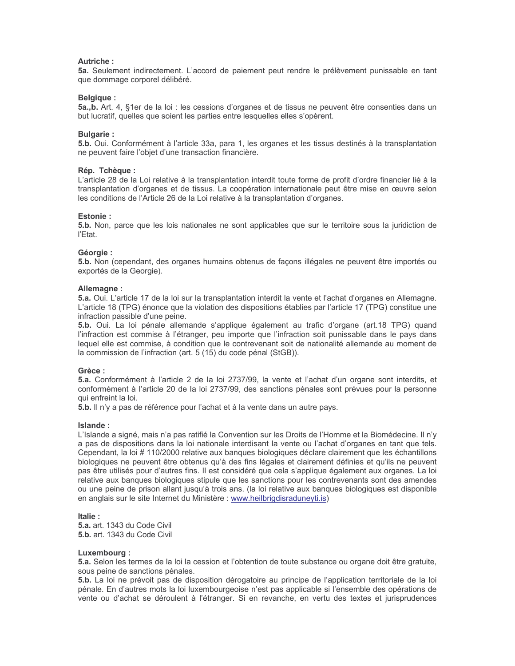#### Autriche:

5a. Seulement indirectement. L'accord de paiement peut rendre le prélèvement punissable en tant que dommage corporel délibéré.

#### **Belgique:**

5a., b. Art. 4, §1er de la loi : les cessions d'organes et de tissus ne peuvent être consenties dans un but lucratif, quelles que soient les parties entre lesquelles elles s'opèrent.

## **Bulgarie:**

5.b. Oui. Conformément à l'article 33a, para 1, les organes et les tissus destinés à la transplantation ne peuvent faire l'objet d'une transaction financière.

#### Rép. Tchèque :

L'article 28 de la Loi relative à la transplantation interdit toute forme de profit d'ordre financier lié à la transplantation d'organes et de tissus. La coopération internationale peut être mise en œuvre selon les conditions de l'Article 26 de la Loi relative à la transplantation d'organes.

#### **Fstonie:**

5.b. Non, parce que les lois nationales ne sont applicables que sur le territoire sous la juridiction de l'Etat.

#### Géorgie:

5.b. Non (cependant, des organes humains obtenus de façons illégales ne peuvent être importés ou exportés de la Georgie).

#### Allemagne:

5.a. Oui. L'article 17 de la loi sur la transplantation interdit la vente et l'achat d'organes en Allemagne. L'article 18 (TPG) énonce que la violation des dispositions établies par l'article 17 (TPG) constitue une infraction passible d'une peine.

5.b. Oui. La loi pénale allemande s'applique également au trafic d'organe (art.18 TPG) quand l'infraction est commise à l'étranger, peu importe que l'infraction soit punissable dans le pays dans lequel elle est commise, à condition que le contrevenant soit de nationalité allemande au moment de la commission de l'infraction (art. 5 (15) du code pénal (StGB)).

#### Grèce:

5.a. Conformément à l'article 2 de la loi 2737/99, la vente et l'achat d'un organe sont interdits, et conformément à l'article 20 de la loi 2737/99, des sanctions pénales sont prévues pour la personne qui enfreint la loi.

5.b. Il n'y a pas de référence pour l'achat et à la vente dans un autre pays.

#### Islande:

L'Islande a signé, mais n'a pas ratifié la Convention sur les Droits de l'Homme et la Biomédecine. Il n'y a pas de dispositions dans la loi nationale interdisant la vente ou l'achat d'organes en tant que tels. Cependant, la loi #110/2000 relative aux banques biologiques déclare clairement que les échantillons biologiques ne peuvent être obtenus qu'à des fins légales et clairement définies et qu'ils ne peuvent pas être utilisés pour d'autres fins. Il est considéré que cela s'applique également aux organes. La loi relative aux banques biologiques stipule que les sanctions pour les contrevenants sont des amendes ou une peine de prison allant jusqu'à trois ans. (la loi relative aux banques biologiques est disponible en anglais sur le site Internet du Ministère : www.heilbrigdisraduneyti.is)

#### ltalie ·

5.a. art. 1343 du Code Civil 5.b. art. 1343 du Code Civil

#### Luxembourg:

5.a. Selon les termes de la loi la cession et l'obtention de toute substance ou organe doit être gratuite. sous peine de sanctions pénales.

5.b. La loi ne prévoit pas de disposition dérogatoire au principe de l'application territoriale de la loi pénale. En d'autres mots la loi luxembourgeoise n'est pas applicable si l'ensemble des opérations de vente ou d'achat se déroulent à l'étranger. Si en revanche, en vertu des textes et jurisprudences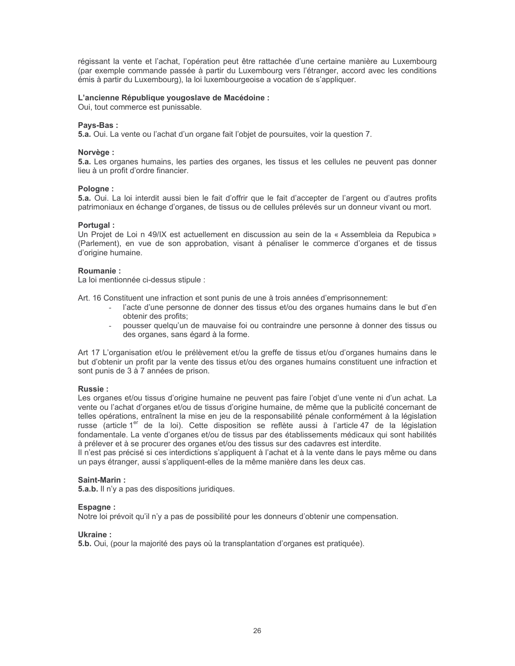régissant la vente et l'achat, l'opération peut être rattachée d'une certaine manière au Luxembourg (par exemple commande passée à partir du Luxembourg vers l'étranger, accord avec les conditions émis à partir du Luxembourg), la loi luxembourgeoise a vocation de s'appliquer.

## L'ancienne République yougoslave de Macédoine :

Oui, tout commerce est punissable.

#### Pavs-Bas:

5.a. Oui. La vente ou l'achat d'un organe fait l'objet de poursuites, voir la question 7.

#### Norvège :

5.a. Les organes humains, les parties des organes, les tissus et les cellules ne peuvent pas donner lieu à un profit d'ordre financier.

#### Pologne:

5.a. Oui. La loi interdit aussi bien le fait d'offrir que le fait d'accepter de l'argent ou d'autres profits patrimoniaux en échange d'organes, de tissus ou de cellules prélevés sur un donneur vivant ou mort.

#### Portugal:

Un Projet de Loi n 49/IX est actuellement en discussion au sein de la « Assembleia da Repubica » (Parlement), en vue de son approbation, visant à pénaliser le commerce d'organes et de tissus d'origine humaine.

#### **Roumanie:**

La loi mentionnée ci-dessus stipule :

Art. 16 Constituent une infraction et sont punis de une à trois années d'emprisonnement:

- l'acte d'une personne de donner des tissus et/ou des organes humains dans le but d'en obtenir des profits;
- pousser quelqu'un de mauvaise foi ou contraindre une personne à donner des tissus ou des organes, sans égard à la forme.

Art 17 L'organisation et/ou le prélèvement et/ou la greffe de tissus et/ou d'organes humains dans le but d'obtenir un profit par la vente des tissus et/ou des organes humains constituent une infraction et sont punis de 3 à 7 années de prison.

## **Russie:**

Les organes et/ou tissus d'origine humaine ne peuvent pas faire l'objet d'une vente ni d'un achat. La vente ou l'achat d'organes et/ou de tissus d'origine humaine, de même que la publicité concernant de telles opérations, entraînent la mise en jeu de la responsabilité pénale conformément à la législation russe (article 1<sup>er</sup> de la loi). Cette disposition se reflète aussi à l'article 47 de la législation fondamentale. La vente d'organes et/ou de tissus par des établissements médicaux qui sont habilités à prélever et à se procurer des organes et/ou des tissus sur des cadavres est interdite.

Il n'est pas précisé si ces interdictions s'appliquent à l'achat et à la vente dans le pays même ou dans un pays étranger, aussi s'appliquent-elles de la même manière dans les deux cas.

## Saint-Marin:

**5.a.b.** Il n'y a pas des dispositions juridiques.

#### Espagne:

Notre loi prévoit qu'il n'y a pas de possibilité pour les donneurs d'obtenir une compensation.

#### Ukraine:

5.b. Oui, (pour la majorité des pays où la transplantation d'organes est pratiquée).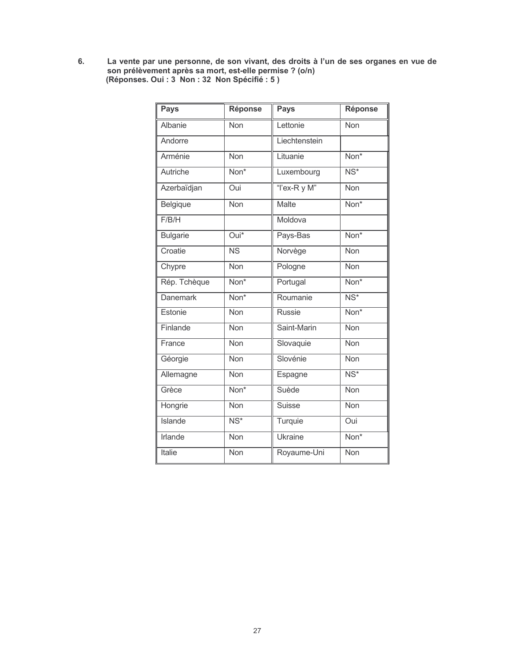La vente par une personne, de son vivant, des droits à l'un de ses organes en vue de<br>son prélèvement après sa mort, est-elle permise ? (o/n)<br>(Réponses. Oui : 3 Non : 32 Non Spécifié : 5 ) 6.

| <b>Pays</b>     | <b>Réponse</b>            | <b>Pays</b>   | <b>Réponse</b>           |
|-----------------|---------------------------|---------------|--------------------------|
| Albanie         | Non                       | Lettonie      | Non                      |
| Andorre         |                           | Liechtenstein |                          |
| Arménie         | Non                       | Lituanie      | Non <sup>*</sup>         |
| Autriche        | Non <sup>*</sup>          | Luxembourg    | $\overline{\text{NS}^*}$ |
| Azerbaïdjan     | Oui                       | "l'ex-R y M"  | Non                      |
| Belgique        | Non                       | Malte         | Non*                     |
| F/B/H           |                           | Moldova       |                          |
| <b>Bulgarie</b> | Oui*                      | Pays-Bas      | Non*                     |
| Croatie         | $\overline{\text{NS}}$    | Norvège       | <b>Non</b>               |
| Chypre          | <b>Non</b>                | Pologne       | Non                      |
| Rép. Tchèque    | Non*                      | Portugal      | Non*                     |
| <b>Danemark</b> | Non <sup>*</sup>          | Roumanie      | $\overline{\text{NS}^*}$ |
| Estonie         | Non                       | <b>Russie</b> | Non*                     |
| Finlande        | Non                       | Saint-Marin   | Non                      |
| France          | <b>Non</b>                | Slovaquie     | <b>Non</b>               |
| Géorgie         | Non                       | Slovénie      | Non                      |
| Allemagne       | <b>Non</b>                | Espagne       | $\overline{\text{NS}^*}$ |
| Grèce           | $\overline{\text{Non}^*}$ | Suède         | <b>Non</b>               |
| Hongrie         | Non                       | <b>Suisse</b> | <b>Non</b>               |
| Islande         | $\overline{\text{NS}^*}$  | Turquie       | Oui                      |
| <b>Irlande</b>  | <b>Non</b>                | Ukraine       | Non*                     |
| Italie          | Non                       | Royaume-Uni   | Non                      |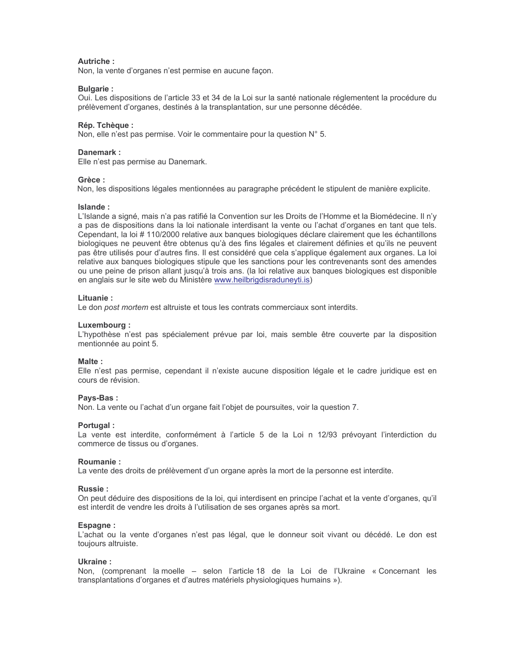## Autriche:

Non, la vente d'organes n'est permise en aucune façon.

#### **Bulgarie:**

Oui. Les dispositions de l'article 33 et 34 de la Loi sur la santé nationale réglementent la procédure du prélèvement d'organes, destinés à la transplantation, sur une personne décédée.

#### Rép. Tchèque :

Non, elle n'est pas permise. Voir le commentaire pour la question N° 5.

#### Danemark:

Elle n'est pas permise au Danemark.

## Grèce:

Non, les dispositions légales mentionnées au paragraphe précédent le stipulent de manière explicite.

#### Islande:

L'Islande a signé, mais n'a pas ratifié la Convention sur les Droits de l'Homme et la Biomédecine. Il n'y a pas de dispositions dans la loi nationale interdisant la vente ou l'achat d'organes en tant que tels. Cependant, la loi #110/2000 relative aux banques biologiques déclare clairement que les échantillons biologiques ne peuvent être obtenus qu'à des fins légales et clairement définies et qu'ils ne peuvent pas être utilisés pour d'autres fins. Il est considéré que cela s'applique également aux organes. La loi relative aux banques biologiques stipule que les sanctions pour les contrevenants sont des amendes ou une peine de prison allant jusqu'à trois ans. (la loi relative aux banques biologiques est disponible en anglais sur le site web du Ministère www.heilbrigdisraduneyti.is)

#### Lituanie:

Le don post mortem est altruiste et tous les contrats commerciaux sont interdits.

#### Luxembourg:

L'hypothèse n'est pas spécialement prévue par loi, mais semble être couverte par la disposition mentionnée au point 5.

#### Malte:

Elle n'est pas permise, cependant il n'existe aucune disposition légale et le cadre juridique est en cours de révision.

#### Pays-Bas:

Non. La vente ou l'achat d'un organe fait l'objet de poursuites, voir la question 7.

## Portugal:

La vente est interdite, conformément à l'article 5 de la Loi n 12/93 prévoyant l'interdiction du commerce de tissus ou d'organes.

#### **Roumanie:**

La vente des droits de prélèvement d'un organe après la mort de la personne est interdite.

#### Russie ·

On peut déduire des dispositions de la loi, qui interdisent en principe l'achat et la vente d'organes, qu'il est interdit de vendre les droits à l'utilisation de ses organes après sa mort.

#### **Espagne:**

L'achat ou la vente d'organes n'est pas légal, que le donneur soit vivant ou décédé. Le don est toujours altruiste.

#### Ukraine:

Non, (comprenant la moelle – selon l'article 18 de la Loi de l'Ukraine « Concernant les transplantations d'organes et d'autres matériels physiologiques humains »).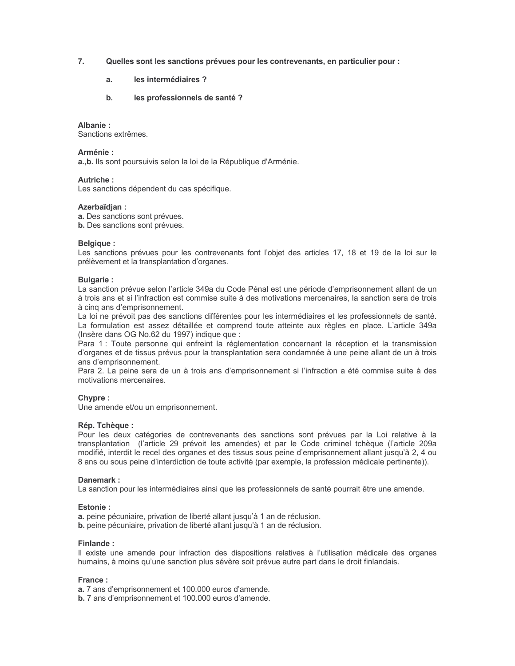- $7.$ Quelles sont les sanctions prévues pour les contrevenants, en particulier pour :
	- les intermédiaires ? a.
	- les professionnels de santé ?  $h_{-}$

#### Albanie:

Sanctions extrêmes

## Arménie :

a., b. Ils sont poursuivis selon la loi de la République d'Arménie.

## **Autriche:**

Les sanctions dépendent du cas spécifique.

## Azerbaïdjan:

a. Des sanctions sont prévues.

b. Des sanctions sont prévues.

## **Belaiaue:**

Les sanctions prévues pour les contrevenants font l'objet des articles 17, 18 et 19 de la loi sur le prélèvement et la transplantation d'organes.

## **Bulgarie:**

La sanction prévue selon l'article 349a du Code Pénal est une période d'emprisonnement allant de un à trois ans et si l'infraction est commise suite à des motivations mercenaires. la sanction sera de trois à cinq ans d'emprisonnement.

La loi ne prévoit pas des sanctions différentes pour les intermédiaires et les professionnels de santé. La formulation est assez détaillée et comprend toute atteinte aux règles en place. L'article 349a (Insère dans OG No.62 du 1997) indique que :

Para 1 : Toute personne qui enfreint la réglementation concernant la réception et la transmission d'organes et de tissus prévus pour la transplantation sera condamnée à une peine allant de un à trois ans d'emprisonnement.

Para 2. La peine sera de un à trois ans d'emprisonnement si l'infraction a été commise suite à des motivations mercenaires.

## Chypre:

Une amende et/ou un emprisonnement.

## Rép. Tchèque :

Pour les deux catégories de contrevenants des sanctions sont prévues par la Loi relative à la transplantation (l'article 29 prévoit les amendes) et par le Code criminel tchèque (l'article 209a modifié, interdit le recel des organes et des tissus sous peine d'emprisonnement allant jusqu'à 2, 4 ou 8 ans ou sous peine d'interdiction de toute activité (par exemple, la profession médicale pertinente)).

#### Danemark ·

La sanction pour les intermédiaires ainsi que les professionnels de santé pourrait être une amende.

#### **Estonie:**

a. peine pécuniaire, privation de liberté allant jusqu'à 1 an de réclusion.

b. peine pécuniaire, privation de liberté allant jusqu'à 1 an de réclusion.

## Finlande:

Il existe une amende pour infraction des dispositions relatives à l'utilisation médicale des organes humains, à moins qu'une sanction plus sévère soit prévue autre part dans le droit finlandais.

## France:

a. 7 ans d'emprisonnement et 100.000 euros d'amende.

b. 7 ans d'emprisonnement et 100.000 euros d'amende.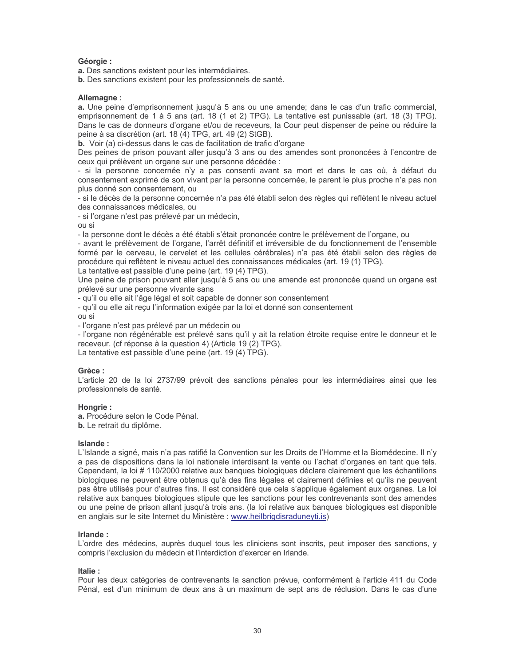## Géorgie :

a. Des sanctions existent pour les intermédiaires.

b. Des sanctions existent pour les professionnels de santé.

#### Allemagne:

a. Une peine d'emprisonnement jusqu'à 5 ans ou une amende; dans le cas d'un trafic commercial, emprisonnement de 1 à 5 ans (art. 18 (1 et 2) TPG). La tentative est punissable (art. 18 (3) TPG). Dans le cas de donneurs d'organe et/ou de receveurs, la Cour peut dispenser de peine ou réduire la peine à sa discrétion (art. 18 (4) TPG, art. 49 (2) StGB).

b. Voir (a) ci-dessus dans le cas de facilitation de trafic d'organe

Des peines de prison pouvant aller jusqu'à 3 ans ou des amendes sont prononcées à l'encontre de ceux qui prélèvent un organe sur une personne décédée :

- si la personne concernée n'y a pas consenti avant sa mort et dans le cas où, à défaut du consentement exprimé de son vivant par la personne concernée, le parent le plus proche n'a pas non plus donné son consentement, ou

- si le décès de la personne concernée n'a pas été établi selon des règles qui reflètent le niveau actuel des connaissances médicales, ou

- si l'organe n'est pas prélevé par un médecin,

ou si

- la personne dont le décès a été établi s'était prononcée contre le prélèvement de l'organe, ou

- avant le prélèvement de l'organe, l'arrêt définitif et irréversible de du fonctionnement de l'ensemble formé par le cerveau, le cervelet et les cellules cérébrales) n'a pas été établi selon des règles de procédure qui reflètent le niveau actuel des connaissances médicales (art. 19 (1) TPG). La tentative est passible d'une peine (art. 19 (4) TPG).

Une peine de prison pouvant aller jusqu'à 5 ans ou une amende est prononcée quand un organe est prélevé sur une personne vivante sans

- qu'il ou elle ait l'âge légal et soit capable de donner son consentement

- qu'il ou elle ait reçu l'information exigée par la loi et donné son consentement ou si

- l'organe n'est pas prélevé par un médecin ou

- l'organe non régénérable est prélevé sans qu'il y ait la relation étroite requise entre le donneur et le receveur. (cf réponse à la question 4) (Article 19 (2) TPG).

La tentative est passible d'une peine (art. 19 (4) TPG).

## Grèce:

L'article 20 de la loi 2737/99 prévoit des sanctions pénales pour les intermédiaires ainsi que les professionnels de santé.

## Hongrie:

a. Procédure selon le Code Pénal.

b. Le retrait du diplôme.

## Islande:

L'Islande a signé, mais n'a pas ratifié la Convention sur les Droits de l'Homme et la Biomédecine. Il n'y a pas de dispositions dans la loi nationale interdisant la vente ou l'achat d'organes en tant que tels. Cependant, la loi # 110/2000 relative aux banques biologiques déclare clairement que les échantillons biologiques ne peuvent être obtenus qu'à des fins légales et clairement définies et qu'ils ne peuvent pas être utilisés pour d'autres fins. Il est considéré que cela s'applique également aux organes. La loi relative aux banques biologiques stipule que les sanctions pour les contrevenants sont des amendes ou une peine de prison allant jusqu'à trois ans. (la loi relative aux banques biologiques est disponible en anglais sur le site Internet du Ministère : www.heilbrigdisraduneyti.is)

## Irlande ·

L'ordre des médecins, auprès duquel tous les cliniciens sont inscrits, peut imposer des sanctions, y compris l'exclusion du médecin et l'interdiction d'exercer en Irlande.

## Italie:

Pour les deux catégories de contrevenants la sanction prévue, conformément à l'article 411 du Code Pénal, est d'un minimum de deux ans à un maximum de sept ans de réclusion. Dans le cas d'une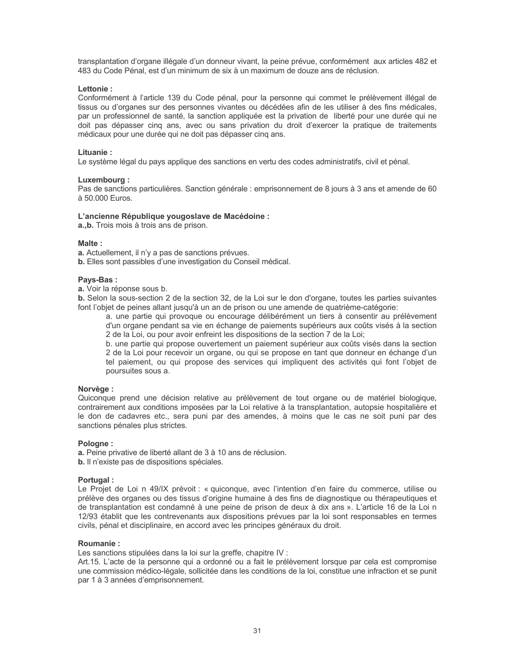transplantation d'organe illégale d'un donneur vivant, la peine prévue, conformément aux articles 482 et 483 du Code Pénal, est d'un minimum de six à un maximum de douze ans de réclusion.

#### Lettonie:

Conformément à l'article 139 du Code pénal, pour la personne qui commet le prélèvement illégal de tissus ou d'organes sur des personnes vivantes ou décédées afin de les utiliser à des fins médicales, par un professionnel de santé, la sanction appliquée est la privation de liberté pour une durée qui ne doit pas dépasser cinq ans, avec ou sans privation du droit d'exercer la pratique de traitements médicaux pour une durée qui ne doit pas dépasser cinq ans.

## Lituanie:

Le système légal du pays applique des sanctions en vertu des codes administratifs, civil et pénal.

#### Luxembourg:

Pas de sanctions particulières. Sanction générale : emprisonnement de 8 jours à 3 ans et amende de 60 à 50.000 Euros.

#### L'ancienne République yougoslave de Macédoine :

a., b. Trois mois à trois ans de prison.

#### Malte:

a. Actuellement, il n'y a pas de sanctions prévues.

b. Elles sont passibles d'une investigation du Conseil médical.

#### Pavs-Bas:

a. Voir la réponse sous b.

b. Selon la sous-section 2 de la section 32, de la Loi sur le don d'organe, toutes les parties suivantes font l'objet de peines allant jusqu'à un an de prison ou une amende de quatrième-catégorie:

a. une partie qui provoque ou encourage délibérément un tiers à consentir au prélèvement d'un organe pendant sa vie en échange de paiements supérieurs aux coûts visés à la section 2 de la Loi, ou pour avoir enfreint les dispositions de la section 7 de la Loi;

b. une partie qui propose ouvertement un paiement supérieur aux coûts visés dans la section 2 de la Loi pour recevoir un organe, ou qui se propose en tant que donneur en échange d'un tel paiement, ou qui propose des services qui impliquent des activités qui font l'objet de poursuites sous a.

## Norvège:

Quiconque prend une décision relative au prélèvement de tout organe ou de matériel biologique, contrairement aux conditions imposées par la Loi relative à la transplantation, autopsie hospitalière et le don de cadavres etc., sera puni par des amendes, à moins que le cas ne soit puni par des sanctions pénales plus strictes.

#### Pologne:

a. Peine privative de liberté allant de 3 à 10 ans de réclusion.

b. Il n'existe pas de dispositions spéciales.

## Portugal:

Le Projet de Loi n 49/IX prévoit : « quiconque, avec l'intention d'en faire du commerce, utilise ou prélève des organes ou des tissus d'origine humaine à des fins de diagnostique ou thérapeutiques et de transplantation est condamné à une peine de prison de deux à dix ans ». L'article 16 de la Loi n 12/93 établit que les contrevenants aux dispositions prévues par la loi sont responsables en termes civils, pénal et disciplinaire, en accord avec les principes généraux du droit.

#### Roumanie:

Les sanctions stipulées dans la loi sur la greffe, chapitre IV :

Art.15. L'acte de la personne qui a ordonné ou a fait le prélèvement lorsque par cela est compromise une commission médico-légale, sollicitée dans les conditions de la loi, constitue une infraction et se punit par 1 à 3 années d'emprisonnement.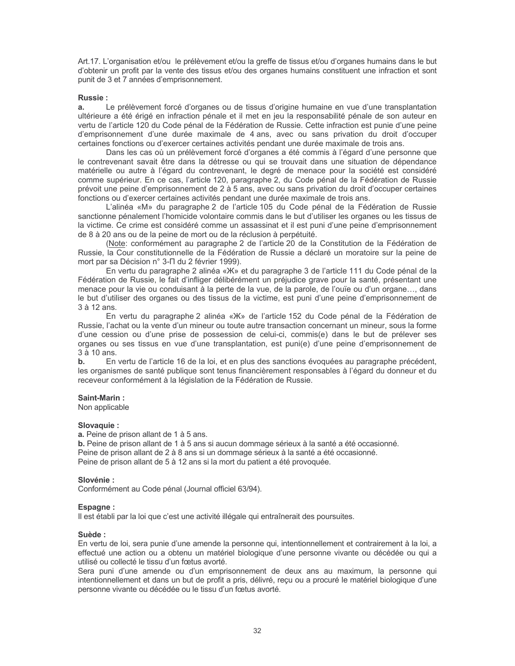Art.17. L'organisation et/ou le prélèvement et/ou la greffe de tissus et/ou d'organes humains dans le but d'obtenir un profit par la vente des tissus et/ou des organes humains constituent une infraction et sont punit de 3 et 7 années d'emprisonnement.

#### **Russie:**

Le prélèvement forcé d'organes ou de tissus d'origine humaine en vue d'une transplantation  $a<sub>z</sub>$ ultérieure a été érigé en infraction pénale et il met en jeu la responsabilité pénale de son auteur en vertu de l'article 120 du Code pénal de la Fédération de Russie. Cette infraction est punie d'une peine d'emprisonnement d'une durée maximale de 4 ans, avec ou sans privation du droit d'occuper certaines fonctions ou d'exercer certaines activités pendant une durée maximale de trois ans.

Dans les cas où un prélèvement forcé d'organes a été commis à l'égard d'une personne que le contrevenant savait être dans la détresse ou qui se trouvait dans une situation de dépendance matérielle ou autre à l'égard du contrevenant, le degré de menace pour la société est considéré comme supérieur. En ce cas, l'article 120, paragraphe 2, du Code pénal de la Fédération de Russie prévoit une peine d'emprisonnement de 2 à 5 ans, avec ou sans privation du droit d'occuper certaines fonctions ou d'exercer certaines activités pendant une durée maximale de trois ans.

L'alinéa «M» du paragraphe 2 de l'article 105 du Code pénal de la Fédération de Russie sanctionne pénalement l'homicide volontaire commis dans le but d'utiliser les organes ou les tissus de la victime. Ce crime est considéré comme un assassinat et il est puni d'une peine d'emprisonnement de 8 à 20 ans ou de la peine de mort ou de la réclusion à perpétuité.

(Note: conformément au paragraphe 2 de l'article 20 de la Constitution de la Fédération de Russie, la Cour constitutionnelle de la Fédération de Russie a déclaré un moratoire sur la peine de mort par sa Décision n° 3- $\Pi$  du 2 février 1999).

En vertu du paragraphe 2 alinéa «X\*» et du paragraphe 3 de l'article 111 du Code pénal de la Fédération de Russie, le fait d'infliger délibérément un préjudice grave pour la santé, présentant une menace pour la vie ou conduisant à la perte de la vue, de la parole, de l'ouïe ou d'un organe..., dans le but d'utiliser des organes ou des tissus de la victime, est puni d'une peine d'emprisonnement de 3 à 12 ans.

En vertu du paragraphe 2 alinéa «X» de l'article 152 du Code pénal de la Fédération de Russie, l'achat ou la vente d'un mineur ou toute autre transaction concernant un mineur, sous la forme d'une cession ou d'une prise de possession de celui-ci, commis(e) dans le but de prélever ses organes ou ses tissus en vue d'une transplantation, est puni(e) d'une peine d'emprisonnement de 3 à 10 ans.

 $\mathbf b$ . En vertu de l'article 16 de la loi, et en plus des sanctions évoquées au paragraphe précédent, les organismes de santé publique sont tenus financièrement responsables à l'égard du donneur et du receveur conformément à la législation de la Fédération de Russie.

#### Saint-Marin:

Non applicable

#### Slovaquie :

a. Peine de prison allant de 1 à 5 ans.

b. Peine de prison allant de 1 à 5 ans si aucun dommage sérieux à la santé a été occasionné. Peine de prison allant de 2 à 8 ans si un dommage sérieux à la santé a été occasionné. Peine de prison allant de 5 à 12 ans si la mort du patient a été provoquée.

#### Slovénie ·

Conformément au Code pénal (Journal officiel 63/94).

#### **Espagne:**

Il est établi par la loi que c'est une activité illégale qui entraînerait des poursuites.

#### Suède :

En vertu de loi, sera punie d'une amende la personne qui, intentionnellement et contrairement à la loi, a effectué une action ou a obtenu un matériel biologique d'une personne vivante ou décédée ou qui a utilisé ou collecté le tissu d'un fœtus avorté.

Sera puni d'une amende ou d'un emprisonnement de deux ans au maximum, la personne qui intentionnellement et dans un but de profit a pris, délivré, reçu ou a procuré le matériel biologique d'une personne vivante ou décédée ou le tissu d'un fœtus avorté.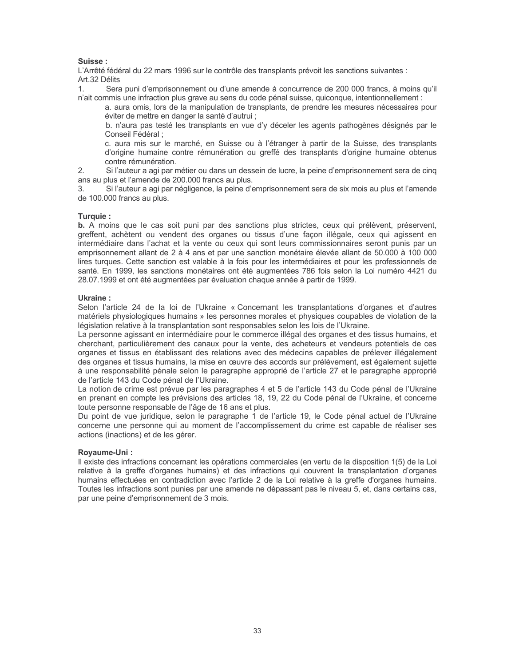## Suisse:

L'Arrêté fédéral du 22 mars 1996 sur le contrôle des transplants prévoit les sanctions suivantes : Art.32 Délits

Sera puni d'emprisonnement ou d'une amende à concurrence de 200 000 francs, à moins qu'il n'ait commis une infraction plus grave au sens du code pénal suisse, quiconque, intentionnellement :

a. aura omis, lors de la manipulation de transplants, de prendre les mesures nécessaires pour éviter de mettre en danger la santé d'autrui ;

b. n'aura pas testé les transplants en vue d'y déceler les agents pathogènes désignés par le Conseil Fédéral ;

c. aura mis sur le marché, en Suisse ou à l'étranger à partir de la Suisse, des transplants d'origine humaine contre rémunération ou greffé des transplants d'origine humaine obtenus contre rémunération.

 $2.$ Si l'auteur a agi par métier ou dans un dessein de lucre, la peine d'emprisonnement sera de cinq ans au plus et l'amende de 200.000 francs au plus.

 $\mathcal{R}$ Si l'auteur a agi par négligence, la peine d'emprisonnement sera de six mois au plus et l'amende de 100.000 francs au plus.

## Turquie:

**b.** A moins que le cas soit puni par des sanctions plus strictes, ceux qui prélèvent, préservent, greffent, achètent ou vendent des organes ou tissus d'une façon illégale, ceux qui agissent en intermédiaire dans l'achat et la vente ou ceux qui sont leurs commissionnaires seront punis par un emprisonnement allant de 2 à 4 ans et par une sanction monétaire élevée allant de 50.000 à 100 000 lires turques. Cette sanction est valable à la fois pour les intermédiaires et pour les professionnels de santé. En 1999, les sanctions monétaires ont été augmentées 786 fois selon la Loi numéro 4421 du 28.07.1999 et ont été augmentées par évaluation chaque année à partir de 1999.

## Ukraine:

Selon l'article 24 de la loi de l'Ukraine « Concernant les transplantations d'organes et d'autres matériels physiologiques humains » les personnes morales et physiques coupables de violation de la législation relative à la transplantation sont responsables selon les lois de l'Ukraine.

La personne agissant en intermédiaire pour le commerce illégal des organes et des tissus humains, et cherchant, particulièrement des canaux pour la vente, des acheteurs et vendeurs potentiels de ces organes et tissus en établissant des relations avec des médecins capables de prélever illégalement des organes et tissus humains, la mise en œuvre des accords sur prélèvement, est également sujette à une responsabilité pénale selon le paragraphe approprié de l'article 27 et le paragraphe approprié de l'article 143 du Code pénal de l'Ukraine.

La notion de crime est prévue par les paragraphes 4 et 5 de l'article 143 du Code pénal de l'Ukraine en prenant en compte les prévisions des articles 18, 19, 22 du Code pénal de l'Ukraine, et concerne toute personne responsable de l'âge de 16 ans et plus.

Du point de vue juridique, selon le paragraphe 1 de l'article 19, le Code pénal actuel de l'Ukraine concerne une personne qui au moment de l'accomplissement du crime est capable de réaliser ses actions (inactions) et de les gérer.

## Royaume-Uni:

Il existe des infractions concernant les opérations commerciales (en vertu de la disposition 1(5) de la Loi relative à la greffe d'organes humains) et des infractions qui couvrent la transplantation d'organes humains effectuées en contradiction avec l'article 2 de la Loi relative à la greffe d'organes humains. Toutes les infractions sont punies par une amende ne dépassant pas le niveau 5, et, dans certains cas, par une peine d'emprisonnement de 3 mois.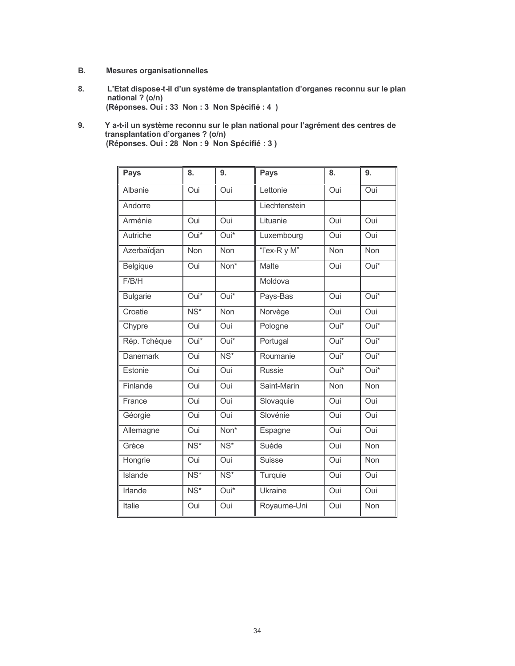- **B. Mesures organisationnelles**
- L'Etat dispose-t-il d'un système de transplantation d'organes reconnu sur le plan<br>national ? (o/n) 8. (Réponses. Oui : 33 Non : 3 Non Spécifié : 4 )
- Y a-t-il un système reconnu sur le plan national pour l'agrément des centres de<br>transplantation d'organes ? (o/n)<br>(Réponses. Oui : 28 Non : 9 Non Spécifié : 3 ) 9.

| <b>Pays</b>     | 8.                       | 9.                       | <b>Pays</b>    | 8.                 | 9.                 |
|-----------------|--------------------------|--------------------------|----------------|--------------------|--------------------|
| Albanie         | Oui                      | Oui                      | Lettonie       | Oui                | Oui                |
| Andorre         |                          |                          | Liechtenstein  |                    |                    |
| Arménie         | Oui                      | Oui                      | Lituanie       | Oui                | Oui                |
| Autriche        | Oui*                     | $\overline{Oui}^*$       | Luxembourg     | Oui                | Oui                |
| Azerbaïdjan     | Non                      | <b>Non</b>               | "I'ex-R y M"   | Non                | Non                |
| Belgique        | Oui                      | Non*                     | <b>Malte</b>   | Oui                | Oui*               |
| F/B/H           |                          |                          | Moldova        |                    |                    |
| <b>Bulgarie</b> | $\overline{Oui^*}$       | $\overline{Oui^*}$       | Pays-Bas       | Oui                | $\overline{Oui^*}$ |
| Croatie         | $\overline{\text{NS}^*}$ | Non                      | Norvège        | Oui                | <b>Oui</b>         |
| Chypre          | Oui                      | Oui                      | Pologne        | Oui*               | Oui*               |
| Rép. Tchèque    | $\overline{Oui^*}$       | Oui*                     | Portugal       | $\overline{Oui^*}$ | $\overline{Oui^*}$ |
| <b>Danemark</b> | Oui                      | $\overline{\text{NS}^*}$ | Roumanie       | Oui*               | Oui*               |
| Estonie         | Oui                      | Oui                      | <b>Russie</b>  | $Oui*$             | Oui*               |
| Finlande        | Oui                      | Oui                      | Saint-Marin    | Non                | <b>Non</b>         |
| France          | Oui                      | Oui                      | Slovaquie      | Oui                | Oui                |
| Géorgie         | Oui                      | Oui                      | Slovénie       | Oui                | Oui                |
| Allemagne       | Oui                      | Non*                     | Espagne        | Oui                | Oui                |
| Grèce           | $\overline{\text{NS}^*}$ | $NS*$                    | Suède          | Oui                | Non                |
| Hongrie         | Oui                      | Oui                      | <b>Suisse</b>  | Oui                | Non                |
| <b>Islande</b>  | $\overline{\text{NS}^*}$ | $\overline{\text{NS}^*}$ | Turquie        | Oui                | <b>Oui</b>         |
| Irlande         | $\overline{\text{NS}^*}$ | Oui*                     | <b>Ukraine</b> | Oui                | Oui                |
| <b>Italie</b>   | Oui                      | Oui                      | Royaume-Uni    | Oui                | Non                |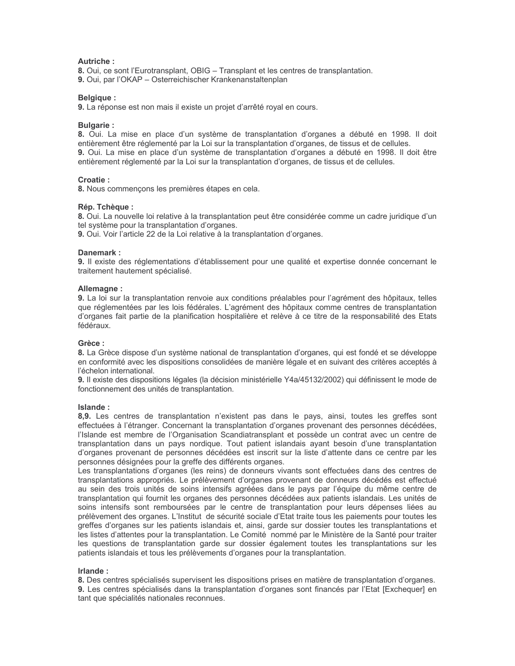## **Autriche:**

8. Oui, ce sont l'Eurotransplant, OBIG – Transplant et les centres de transplantation.

9. Oui, par l'OKAP - Osterreichischer Krankenanstaltenplan

## **Belgique:**

9. La réponse est non mais il existe un projet d'arrêté royal en cours.

## **Bulgarie:**

8. Oui. La mise en place d'un système de transplantation d'organes a débuté en 1998. Il doit entièrement être réglementé par la Loi sur la transplantation d'organes, de tissus et de cellules. 9. Oui. La mise en place d'un système de transplantation d'organes a débuté en 1998. Il doit être entièrement réglementé par la Loi sur la transplantation d'organes, de tissus et de cellules.

## Croatie:

8. Nous commençons les premières étapes en cela.

## Rép. Tchèque :

8. Oui. La nouvelle loi relative à la transplantation peut être considérée comme un cadre juridique d'un tel système pour la transplantation d'organes.

9. Oui. Voir l'article 22 de la Loi relative à la transplantation d'organes.

## Danemark:

9. Il existe des réglementations d'établissement pour une qualité et expertise donnée concernant le traitement hautement spécialisé.

## Allemagne:

9. La loi sur la transplantation renvoie aux conditions préalables pour l'agrément des hôpitaux, telles que réglementées par les lois fédérales. L'agrément des hôpitaux comme centres de transplantation d'organes fait partie de la planification hospitalière et relève à ce titre de la responsabilité des Etats fédéraux.

## Grèce:

8. La Grèce dispose d'un système national de transplantation d'organes, qui est fondé et se développe en conformité avec les dispositions consolidées de manière légale et en suivant des critères acceptés à l'échelon international.

9. Il existe des dispositions légales (la décision ministérielle Y4a/45132/2002) qui définissent le mode de fonctionnement des unités de transplantation.

## Islande:

8,9. Les centres de transplantation n'existent pas dans le pays, ainsi, toutes les greffes sont effectuées à l'étranger. Concernant la transplantation d'organes provenant des personnes décédées, l'Islande est membre de l'Organisation Scandiatransplant et possède un contrat avec un centre de transplantation dans un pays nordique. Tout patient islandais ayant besoin d'une transplantation d'organes provenant de personnes décédées est inscrit sur la liste d'attente dans ce centre par les personnes désignées pour la greffe des différents organes.

Les transplantations d'organes (les reins) de donneurs vivants sont effectuées dans des centres de transplantations appropriés. Le prélèvement d'organes provenant de donneurs décédés est effectué au sein des trois unités de soins intensifs agréées dans le pays par l'équipe du même centre de transplantation qui fournit les organes des personnes décédées aux patients islandais. Les unités de soins intensifs sont remboursées par le centre de transplantation pour leurs dépenses liées au prélèvement des organes. L'Institut de sécurité sociale d'Etat traite tous les paiements pour toutes les greffes d'organes sur les patients islandais et, ainsi, garde sur dossier toutes les transplantations et les listes d'attentes pour la transplantation. Le Comité nommé par le Ministère de la Santé pour traiter les questions de transplantation garde sur dossier également toutes les transplantations sur les patients islandais et tous les prélèvements d'organes pour la transplantation.

## Irlande:

8. Des centres spécialisés supervisent les dispositions prises en matière de transplantation d'organes.

9. Les centres spécialisés dans la transplantation d'organes sont financés par l'Etat [Exchequer] en tant que spécialités nationales reconnues.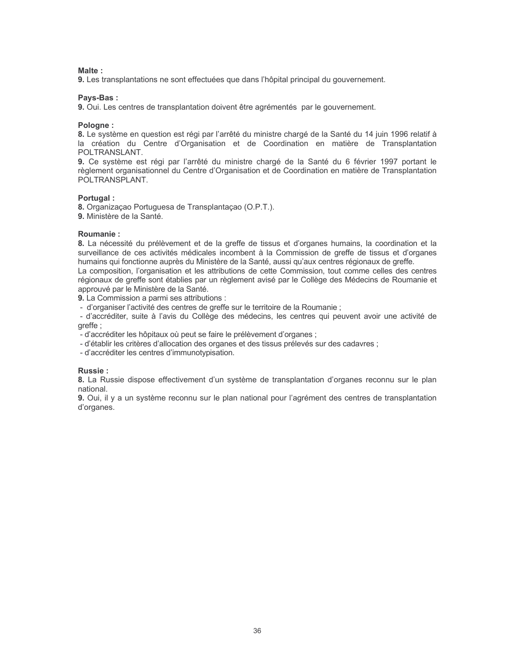$M$ alte  $\cdot$ 

9. Les transplantations ne sont effectuées que dans l'hôpital principal du gouvernement.

## Pays-Bas:

9. Oui. Les centres de transplantation doivent être agrémentés par le gouvernement.

## Pologne:

8. Le système en question est régi par l'arrêté du ministre chargé de la Santé du 14 juin 1996 relatif à la création du Centre d'Organisation et de Coordination en matière de Transplantation POLTRANSLANT.

9. Ce système est régi par l'arrêté du ministre chargé de la Santé du 6 février 1997 portant le règlement organisationnel du Centre d'Organisation et de Coordination en matière de Transplantation POLTRANSPLANT.

## Portugal:

8. Organização Portuguesa de Transplantação (O.P.T.).

9. Ministère de la Santé.

## Roumanie:

8. La nécessité du prélèvement et de la greffe de tissus et d'organes humains, la coordination et la surveillance de ces activités médicales incombent à la Commission de greffe de tissus et d'organes humains qui fonctionne auprès du Ministère de la Santé, aussi qu'aux centres régionaux de greffe. La composition. l'organisation et les attributions de cette Commission, tout comme celles des centres

régionaux de greffe sont établies par un règlement avisé par le Collège des Médecins de Roumanie et approuvé par le Ministère de la Santé.

9. La Commission a parmi ses attributions :

- d'organiser l'activité des centres de greffe sur le territoire de la Roumanie ;

- d'accréditer, suite à l'avis du Collège des médecins, les centres qui peuvent avoir une activité de qreffe:

- d'accréditer les hôpitaux où peut se faire le prélèvement d'organes ;

- d'établir les critères d'allocation des organes et des tissus prélevés sur des cadavres ;

- d'accréditer les centres d'immunotypisation.

## Russie:

8. La Russie dispose effectivement d'un système de transplantation d'organes reconnu sur le plan national.

9. Oui, il y a un système reconnu sur le plan national pour l'agrément des centres de transplantation d'organes.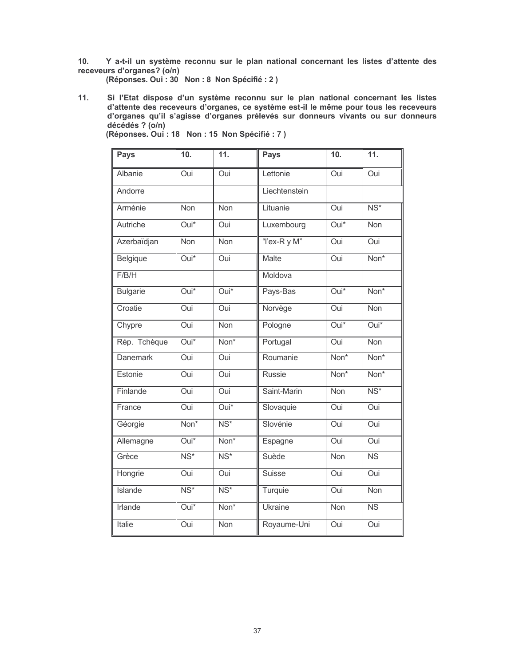$10.$ Y a-t-il un système reconnu sur le plan national concernant les listes d'attente des receveurs d'organes? (o/n)

(Réponses. Oui : 30 Non : 8 Non Spécifié : 2)

Si l'Etat dispose d'un système reconnu sur le plan national concernant les listes d'attente des receveurs d'organes, ce système est-il le même pour tous les receveurs d'organes qu'il s'agisse d'organes prélevés sur donneur  $11.$  $d\acute{e}c\acute{e}d\acute{e}s$  ? ( $o/n$ )

| <b>Pays</b>     | 10.                      | 11.                      | <b>Pays</b>    | 10.                | 11.                      |
|-----------------|--------------------------|--------------------------|----------------|--------------------|--------------------------|
| Albanie         | Oui                      | Oui                      | Lettonie       | Oui                | Oui                      |
| Andorre         |                          |                          | Liechtenstein  |                    |                          |
| Arménie         | <b>Non</b>               | <b>Non</b>               | Lituanie       | Oui                | $\overline{\text{NS}^*}$ |
| Autriche        | $\overline{Oui^*}$       | Oui                      | Luxembourg     | Oui*               | <b>Non</b>               |
| Azerbaïdjan     | <b>Non</b>               | <b>Non</b>               | "I'ex-R y M"   | Oui                | Oui                      |
| Belgique        | $\overline{Oui^*}$       | Oui                      | <b>Malte</b>   | Oui                | Non*                     |
| F/B/H           |                          |                          | Moldova        |                    |                          |
| <b>Bulgarie</b> | $Oui*$                   | $Oui*$                   | Pays-Bas       | $Oui*$             | Non*                     |
| Croatie         | Oui                      | Oui                      | Norvège        | <b>Oui</b>         | Non                      |
| Chypre          | Oui                      | Non                      | Pologne        | $\overline{Oui^*}$ | $\overline{Oui^*}$       |
| Rép. Tchèque    | $\overline{Oui^*}$       | Non <sup>*</sup>         | Portugal       | Oui                | Non                      |
| <b>Danemark</b> | Oui                      | Oui                      | Roumanie       | Non*               | Non*                     |
| Estonie         | Oui                      | Oui                      | <b>Russie</b>  | Non*               | Non*                     |
| Finlande        | Oui                      | Oui                      | Saint-Marin    | <b>Non</b>         | $\overline{\text{NS}^*}$ |
| France          | Oui                      | $Oui*$                   | Slovaquie      | Oui                | Oui                      |
| Géorgie         | Non*                     | $\overline{\text{NS}^*}$ | Slovénie       | Oui                | Oui                      |
| Allemagne       | $Oui*$                   | Non <sup>*</sup>         | Espagne        | Oui                | Oui                      |
| Grèce           | $NS*$                    | $\overline{\text{NS}^*}$ | Suède          | Non                | $\overline{\text{NS}}$   |
| Hongrie         | Oui                      | Oui                      | Suisse         | Oui                | Oui                      |
| <b>Islande</b>  | $\overline{\text{NS}^*}$ | $\overline{\text{NS}^*}$ | Turquie        | <b>Oui</b>         | Non                      |
| Irlande         | Oui*                     | Non*                     | <b>Ukraine</b> | Non                | <b>NS</b>                |
| Italie          | Oui                      | Non                      | Royaume-Uni    | Oui                | Oui                      |

(Réponses. Oui : 18 Non : 15 Non Spécifié : 7)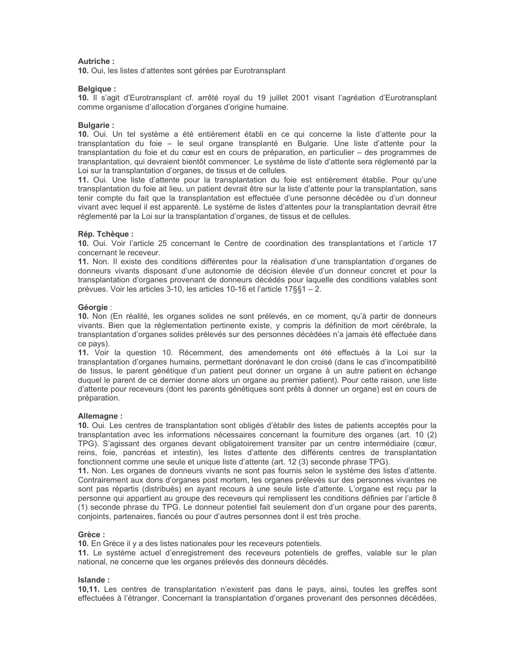## Autriche:

10. Oui, les listes d'attentes sont gérées par Eurotransplant

#### Belgique :

10. Il s'agit d'Eurotransplant cf. arrêté royal du 19 juillet 2001 visant l'agréation d'Eurotransplant comme organisme d'allocation d'organes d'origine humaine.

#### **Bulgarie:**

10. Oui. Un tel système a été entièrement établi en ce qui concerne la liste d'attente pour la transplantation du foie - le seul organe transplanté en Bulgarie. Une liste d'attente pour la transplantation du foie et du cœur est en cours de préparation, en particulier - des programmes de transplantation, qui devraient bientôt commencer. Le système de liste d'attente sera réglementé par la Loi sur la transplantation d'organes, de tissus et de cellules.

11. Oui. Une liste d'attente pour la transplantation du foie est entièrement établie. Pour qu'une transplantation du foie ait lieu, un patient devrait être sur la liste d'attente pour la transplantation, sans tenir compte du fait que la transplantation est effectuée d'une personne décédée ou d'un donneur vivant avec lequel il est apparenté. Le système de listes d'attentes pour la transplantation devrait être réglementé par la Loi sur la transplantation d'organes, de tissus et de cellules.

#### Rép. Tchèque :

10. Oui. Voir l'article 25 concernant le Centre de coordination des transplantations et l'article 17 concernant le receveur.

11. Non. Il existe des conditions différentes pour la réalisation d'une transplantation d'organes de donneurs vivants disposant d'une autonomie de décision élevée d'un donneur concret et pour la transplantation d'organes provenant de donneurs décédés pour laquelle des conditions valables sont prévues. Voir les articles 3-10, les articles 10-16 et l'article 17§§1 – 2.

#### Géorgie :

10. Non (En réalité, les organes solides ne sont prélevés, en ce moment, qu'à partir de donneurs vivants. Bien que la réglementation pertinente existe, y compris la définition de mort cérébrale, la transplantation d'organes solides prélevés sur des personnes décédées n'a jamais été effectuée dans ce pays).

11. Voir la question 10. Récemment, des amendements ont été effectués à la Loi sur la transplantation d'organes humains, permettant dorénavant le don croisé (dans le cas d'incompatibilité de tissus, le parent génétique d'un patient peut donner un organe à un autre patient en échange duquel le parent de ce dernier donne alors un organe au premier patient). Pour cette raison, une liste d'attente pour receveurs (dont les parents génétiques sont prêts à donner un organe) est en cours de préparation.

## Allemagne:

10. Oui. Les centres de transplantation sont obligés d'établir des listes de patients acceptés pour la transplantation avec les informations nécessaires concernant la fourniture des organes (art. 10 (2) TPG). S'agissant des organes devant obligatoirement transiter par un centre intermédiaire (cœur, reins, foie, pancréas et intestin), les listes d'attente des différents centres de transplantation fonctionnent comme une seule et unique liste d'attente (art. 12 (3) seconde phrase TPG).

11. Non. Les organes de donneurs vivants ne sont pas fournis selon le système des listes d'attente. Contrairement aux dons d'organes post mortem, les organes prélevés sur des personnes vivantes ne sont pas répartis (distribués) en ayant recours à une seule liste d'attente. L'organe est reçu par la personne qui appartient au groupe des receveurs qui remplissent les conditions définies par l'article 8 (1) seconde phrase du TPG. Le donneur potentiel fait seulement don d'un organe pour des parents, conjoints, partenaires, fiancés ou pour d'autres personnes dont il est très proche.

#### Grèce:

10. En Grèce il y a des listes nationales pour les receveurs potentiels.

11. Le système actuel d'enregistrement des receveurs potentiels de greffes, valable sur le plan national, ne concerne que les organes prélevés des donneurs décédés.

#### Islande:

10,11. Les centres de transplantation n'existent pas dans le pays, ainsi, toutes les greffes sont effectuées à l'étranger. Concernant la transplantation d'organes provenant des personnes décédées,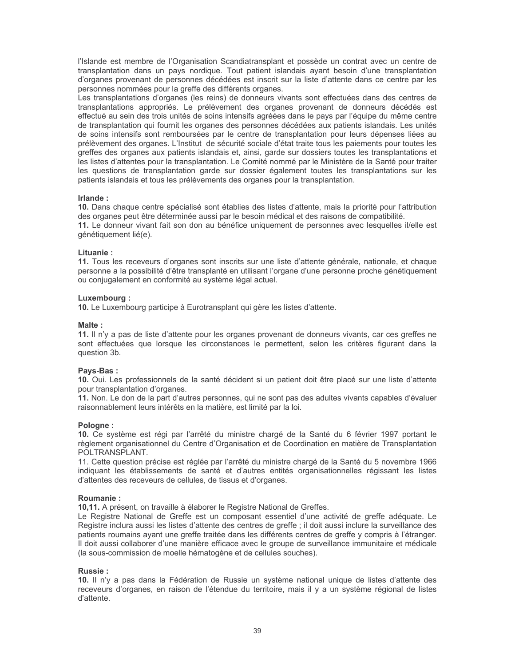l'Islande est membre de l'Organisation Scandiatransplant et possède un contrat avec un centre de transplantation dans un pays nordique. Tout patient islandais ayant besoin d'une transplantation d'organes provenant de personnes décédées est inscrit sur la liste d'attente dans ce centre par les personnes nommées pour la greffe des différents organes.

Les transplantations d'organes (les reins) de donneurs vivants sont effectuées dans des centres de transplantations appropriés. Le prélèvement des organes provenant de donneurs décédés est effectué au sein des trois unités de soins intensifs agréées dans le pays par l'équipe du même centre de transplantation qui fournit les organes des personnes décédées aux patients islandais. Les unités de soins intensifs sont remboursées par le centre de transplantation pour leurs dépenses liées au prélèvement des organes. L'Institut de sécurité sociale d'état traite tous les paiements pour toutes les greffes des organes aux patients islandais et, ainsi, garde sur dossiers toutes les transplantations et les listes d'attentes pour la transplantation. Le Comité nommé par le Ministère de la Santé pour traiter les questions de transplantation garde sur dossier également toutes les transplantations sur les patients islandais et tous les prélèvements des organes pour la transplantation.

#### Irlande:

10. Dans chaque centre spécialisé sont établies des listes d'attente, mais la priorité pour l'attribution des organes peut être déterminée aussi par le besoin médical et des raisons de compatibilité.

11. Le donneur vivant fait son don au bénéfice uniquement de personnes avec lesquelles il/elle est génétiquement lié(e).

#### Lituanie:

11. Tous les receveurs d'organes sont inscrits sur une liste d'attente générale, nationale, et chaque personne a la possibilité d'être transplanté en utilisant l'organe d'une personne proche génétiquement ou conjugalement en conformité au système légal actuel.

#### Luxembourg:

10. Le Luxembourg participe à Eurotransplant qui gère les listes d'attente.

#### Malte:

11. Il n'y a pas de liste d'attente pour les organes provenant de donneurs vivants, car ces greffes ne sont effectuées que lorsque les circonstances le permettent, selon les critères figurant dans la question 3b.

#### Pays-Bas:

10. Oui. Les professionnels de la santé décident si un patient doit être placé sur une liste d'attente pour transplantation d'organes.

11. Non. Le don de la part d'autres personnes, qui ne sont pas des adultes vivants capables d'évaluer raisonnablement leurs intérêts en la matière, est limité par la loi.

#### Pologne:

10. Ce système est régi par l'arrêté du ministre chargé de la Santé du 6 février 1997 portant le règlement organisationnel du Centre d'Organisation et de Coordination en matière de Transplantation POLTRANSPLANT.

11. Cette question précise est réglée par l'arrêté du ministre chargé de la Santé du 5 novembre 1966 indiquant les établissements de santé et d'autres entités organisationnelles régissant les listes d'attentes des receveurs de cellules, de tissus et d'organes.

#### Roumanie:

10,11. A présent, on travaille à élaborer le Registre National de Greffes.

Le Registre National de Greffe est un composant essentiel d'une activité de greffe adéquate. Le Registre inclura aussi les listes d'attente des centres de greffe ; il doit aussi inclure la surveillance des patients roumains ayant une greffe traitée dans les différents centres de greffe y compris à l'étranger. Il doit aussi collaborer d'une manière efficace avec le groupe de surveillance immunitaire et médicale (la sous-commission de moelle hématogène et de cellules souches).

## Russie:

10. Il n'y a pas dans la Fédération de Russie un système national unique de listes d'attente des receveurs d'organes, en raison de l'étendue du territoire, mais il y a un système régional de listes d'attente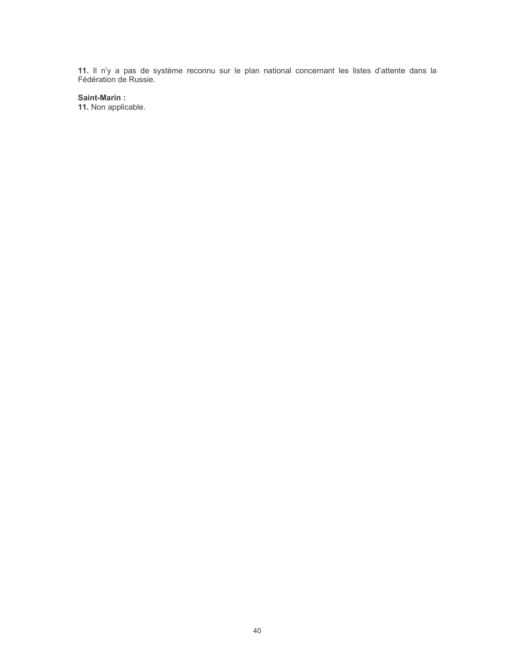11. Il n'y a pas de système reconnu sur le plan national concernant les listes d'attente dans la Fédération de Russie.

## Saint-Marin:

11. Non applicable.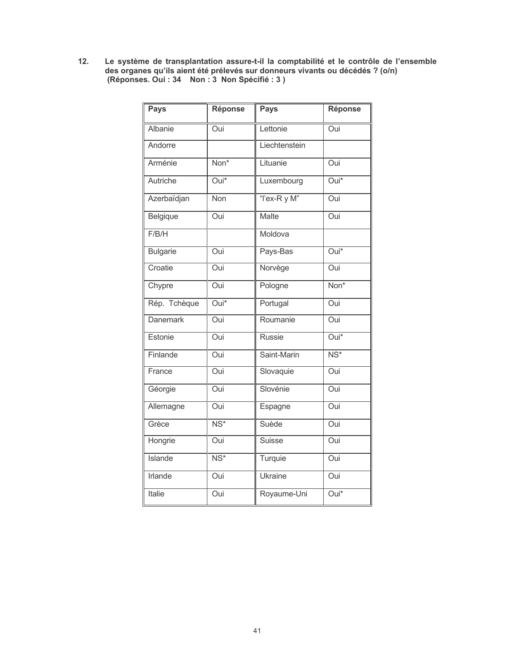Le système de transplantation assure-t-il la comptabilité et le contrôle de l'ensemble<br>des organes qu'ils aient été prélevés sur donneurs vivants ou décédés ? (o/n)<br>(Réponses. Oui : 34 Non : 3 Non Spécifié : 3 )  $12.$ 

| <b>Pays</b>     | <b>Réponse</b>           | Pays           | Réponse                  |
|-----------------|--------------------------|----------------|--------------------------|
| Albanie         | Oui                      | Lettonie       | Oui                      |
| Andorre         |                          | Liechtenstein  |                          |
| Arménie         | Non*                     | Lituanie       | Oui                      |
| Autriche        | $\overline{Oui^*}$       | Luxembourg     | $\overline{Oui^*}$       |
| Azerbaïdjan     | <b>Non</b>               | "I'ex-R y M"   | Oui                      |
| Belgique        | Oui                      | Malte          | Oui                      |
| F/B/H           |                          | Moldova        |                          |
| <b>Bulgarie</b> | Oui                      | Pays-Bas       | $\overline{Oui^*}$       |
| Croatie         | Oui                      | Norvège        | Oui                      |
| Chypre          | Oui                      | Pologne        | Non*                     |
| Rép. Tchèque    | $\overline{Oui^*}$       | Portugal       | Oui                      |
| <b>Danemark</b> | Oui                      | Roumanie       | Oui                      |
| Estonie         | Oui                      | <b>Russie</b>  | $\overline{Oui^*}$       |
| Finlande        | Oui                      | Saint-Marin    | $\overline{\text{NS}^*}$ |
| France          | Oui                      | Slovaquie      | $\overline{O}$ ui        |
| Géorgie         | Oui                      | Slovénie       | Oui                      |
| Allemagne       | $\overline{O}$ ui        | Espagne        | Oui                      |
| Grèce           | $\overline{\text{NS}^*}$ | Suède          | Oui                      |
| Hongrie         | Oui                      | <b>Suisse</b>  | Oui                      |
| <b>Islande</b>  | $\overline{\text{NS}^*}$ | Turquie        | Oui                      |
| <b>Irlande</b>  | Oui                      | <b>Ukraine</b> | Oui                      |
| Italie          | Oui                      | Royaume-Uni    | $\overline{Oui^*}$       |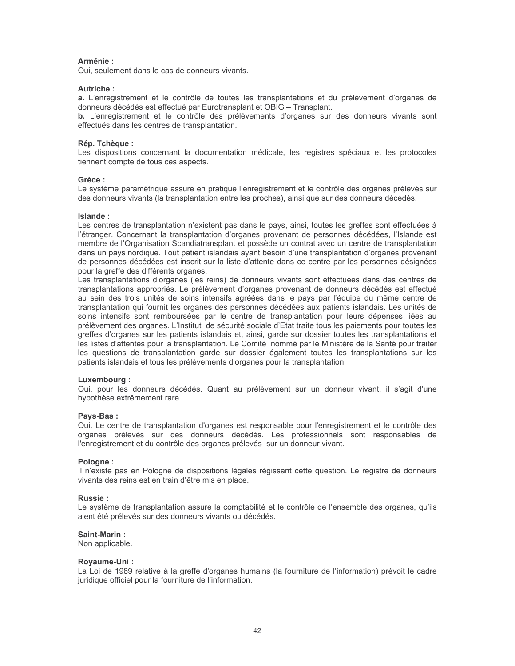## Arménie:

Oui, seulement dans le cas de donneurs vivants.

## Autriche:

a. L'enregistrement et le contrôle de toutes les transplantations et du prélèvement d'organes de donneurs décédés est effectué par Eurotransplant et OBIG - Transplant.

b. L'enregistrement et le contrôle des prélèvements d'organes sur des donneurs vivants sont effectués dans les centres de transplantation.

## Rép. Tchèque :

Les dispositions concernant la documentation médicale, les registres spéciaux et les protocoles tiennent compte de tous ces aspects.

## Grèce:

Le système paramétrique assure en pratique l'enregistrement et le contrôle des organes prélevés sur des donneurs vivants (la transplantation entre les proches), ainsi que sur des donneurs décédés.

## Islande ·

Les centres de transplantation n'existent pas dans le pays, ainsi, toutes les greffes sont effectuées à l'étranger. Concernant la transplantation d'organes provenant de personnes décédées, l'Islande est membre de l'Organisation Scandiatransplant et possède un contrat avec un centre de transplantation dans un pays nordique. Tout patient islandais ayant besoin d'une transplantation d'organes provenant de personnes décédées est inscrit sur la liste d'attente dans ce centre par les personnes désignées pour la greffe des différents organes.

Les transplantations d'organes (les reins) de donneurs vivants sont effectuées dans des centres de transplantations appropriés. Le prélèvement d'organes provenant de donneurs décédés est effectué au sein des trois unités de soins intensifs agréées dans le pays par l'équipe du même centre de transplantation qui fournit les organes des personnes décédées aux patients islandais. Les unités de soins intensifs sont remboursées par le centre de transplantation pour leurs dépenses liées au prélèvement des organes. L'Institut de sécurité sociale d'Etat traite tous les paiements pour toutes les greffes d'organes sur les patients islandais et, ainsi, garde sur dossier toutes les transplantations et les listes d'attentes pour la transplantation. Le Comité nommé par le Ministère de la Santé pour traiter les questions de transplantation garde sur dossier également toutes les transplantations sur les patients islandais et tous les prélèvements d'organes pour la transplantation.

## Luxembourg:

Oui, pour les donneurs décédés. Quant au prélèvement sur un donneur vivant, il s'agit d'une hypothèse extrêmement rare.

## Pays-Bas:

Oui. Le centre de transplantation d'organes est responsable pour l'enregistrement et le contrôle des organes prélevés sur des donneurs décédés. Les professionnels sont responsables de l'enregistrement et du contrôle des organes prélevés sur un donneur vivant.

#### Pologne:

Il n'existe pas en Pologne de dispositions légales régissant cette question. Le registre de donneurs vivants des reins est en train d'être mis en place.

## Russie:

Le système de transplantation assure la comptabilité et le contrôle de l'ensemble des organes, qu'ils aient été prélevés sur des donneurs vivants ou décédés.

## Saint-Marin:

Non applicable.

## Rovaume-Uni:

La Loi de 1989 relative à la greffe d'organes humains (la fourniture de l'information) prévoit le cadre juridique officiel pour la fourniture de l'information.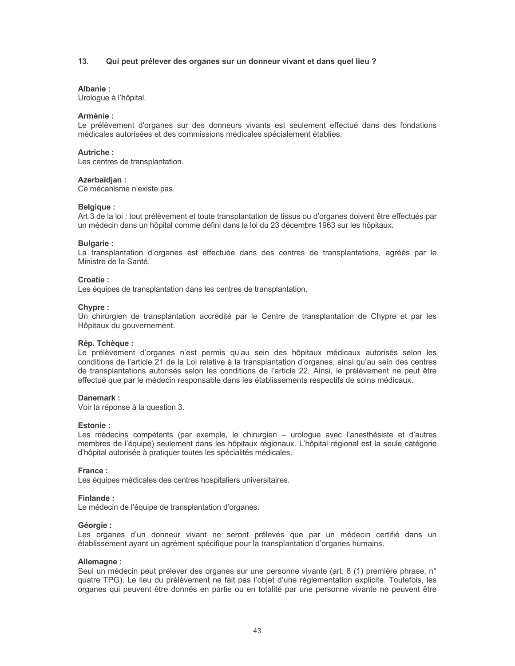#### $13.$ Qui peut prélever des organes sur un donneur vivant et dans quel lieu ?

#### Albanie:

Urologue à l'hôpital.

## Arménie :

Le prélèvement d'organes sur des donneurs vivants est seulement effectué dans des fondations médicales autorisées et des commissions médicales spécialement établies.

#### **Autriche:**

Les centres de transplantation.

#### Azerbaïdjan:

Ce mécanisme n'existe pas.

#### **Belgique:**

Art.3 de la loi : tout prélèvement et toute transplantation de tissus ou d'organes doivent être effectués par un médecin dans un hôpital comme défini dans la loi du 23 décembre 1963 sur les hôpitaux.

#### **Bulgarie:**

La transplantation d'organes est effectuée dans des centres de transplantations, agréés par le Ministre de la Santé.

#### Croatie:

Les équipes de transplantation dans les centres de transplantation.

#### Chypre:

Un chirurgien de transplantation accrédité par le Centre de transplantation de Chypre et par les Hôpitaux du gouvernement.

#### Rép. Tchèque :

Le prélèvement d'organes n'est permis qu'au sein des hôpitaux médicaux autorisés selon les conditions de l'article 21 de la Loi relative à la transplantation d'organes, ainsi qu'au sein des centres de transplantations autorisés selon les conditions de l'article 22. Ainsi, le prélèvement ne peut être effectué que par le médecin responsable dans les établissements respectifs de soins médicaux.

#### Danemark:

Voir la réponse à la question 3.

#### **Fstonie** ·

Les médecins compétents (par exemple, le chirurgien - urologue avec l'anesthésiste et d'autres membres de l'équipe) seulement dans les hôpitaux régionaux. L'hôpital régional est la seule catégorie d'hôpital autorisée à pratiquer toutes les spécialités médicales.

#### France:

Les équipes médicales des centres hospitaliers universitaires.

#### Finlande:

Le médecin de l'équipe de transplantation d'organes.

#### Géorgie :

Les organes d'un donneur vivant ne seront prélevés que par un médecin certifié dans un établissement ayant un agrément spécifique pour la transplantation d'organes humains.

#### Allemagne:

Seul un médecin peut prélever des organes sur une personne vivante (art. 8 (1) première phrase, n° quatre TPG). Le lieu du prélèvement ne fait pas l'objet d'une réglementation explicite. Toutefois, les organes qui peuvent être donnés en partie ou en totalité par une personne vivante ne peuvent être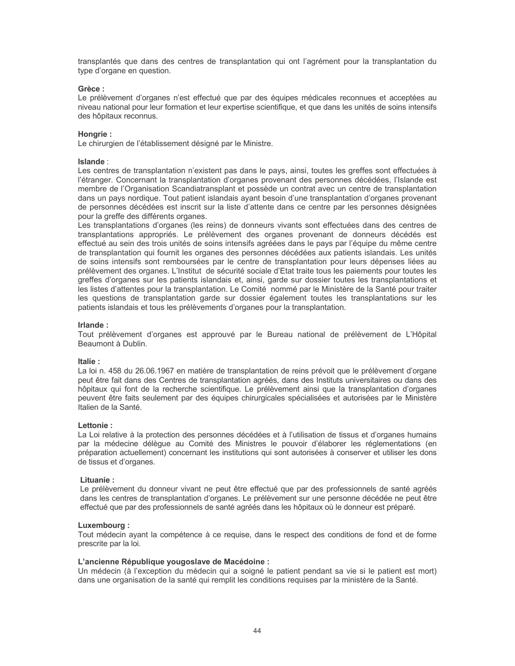transplantés que dans des centres de transplantation qui ont l'agrément pour la transplantation du type d'organe en question.

#### Grèce:

Le prélèvement d'organes n'est effectué que par des équipes médicales reconnues et acceptées au niveau national pour leur formation et leur expertise scientifique, et que dans les unités de soins intensifs des hôpitaux reconnus.

## Hongrie:

Le chirurgien de l'établissement désigné par le Ministre.

#### Islande:

Les centres de transplantation n'existent pas dans le pays, ainsi, toutes les greffes sont effectuées à l'étranger. Concernant la transplantation d'organes provenant des personnes décédées, l'Islande est membre de l'Organisation Scandiatransplant et possède un contrat avec un centre de transplantation dans un pays nordique. Tout patient islandais ayant besoin d'une transplantation d'organes provenant de personnes décédées est inscrit sur la liste d'attente dans ce centre par les personnes désignées pour la greffe des différents organes.

Les transplantations d'organes (les reins) de donneurs vivants sont effectuées dans des centres de transplantations appropriés. Le prélèvement des organes provenant de donneurs décédés est effectué au sein des trois unités de soins intensifs agréées dans le pays par l'équipe du même centre de transplantation qui fournit les organes des personnes décédées aux patients islandais. Les unités de soins intensifs sont remboursées par le centre de transplantation pour leurs dépenses liées au prélèvement des organes. L'Institut de sécurité sociale d'Etat traite tous les paiements pour toutes les greffes d'organes sur les patients islandais et, ainsi, garde sur dossier toutes les transplantations et les listes d'attentes pour la transplantation. Le Comité nommé par le Ministère de la Santé pour traiter les questions de transplantation garde sur dossier également toutes les transplantations sur les patients islandais et tous les prélèvements d'organes pour la transplantation.

#### Irlande:

Tout prélèvement d'organes est approuvé par le Bureau national de prélèvement de L'Hôpital Beaumont à Dublin.

#### Italie:

La loi n. 458 du 26.06.1967 en matière de transplantation de reins prévoit que le prélèvement d'organe peut être fait dans des Centres de transplantation agréés, dans des Instituts universitaires ou dans des hôpitaux qui font de la recherche scientifique. Le prélèvement ainsi que la transplantation d'organes peuvent être faits seulement par des équipes chirurgicales spécialisées et autorisées par le Ministère Italien de la Santé.

#### l ettonie ·

La Loi relative à la protection des personnes décédées et à l'utilisation de tissus et d'organes humains par la médecine délèque au Comité des Ministres le pouvoir d'élaborer les réglementations (en préparation actuellement) concernant les institutions qui sont autorisées à conserver et utiliser les dons de tissus et d'organes.

## Lituanie:

Le prélèvement du donneur vivant ne peut être effectué que par des professionnels de santé agréés dans les centres de transplantation d'organes. Le prélèvement sur une personne décédée ne peut être effectué que par des professionnels de santé agréés dans les hôpitaux où le donneur est préparé.

## Luxembourg:

Tout médecin ayant la compétence à ce requise, dans le respect des conditions de fond et de forme prescrite par la loi.

## L'ancienne République vougoslave de Macédoine :

Un médecin (à l'exception du médecin qui a soigné le patient pendant sa vie si le patient est mort) dans une organisation de la santé qui remplit les conditions requises par la ministère de la Santé.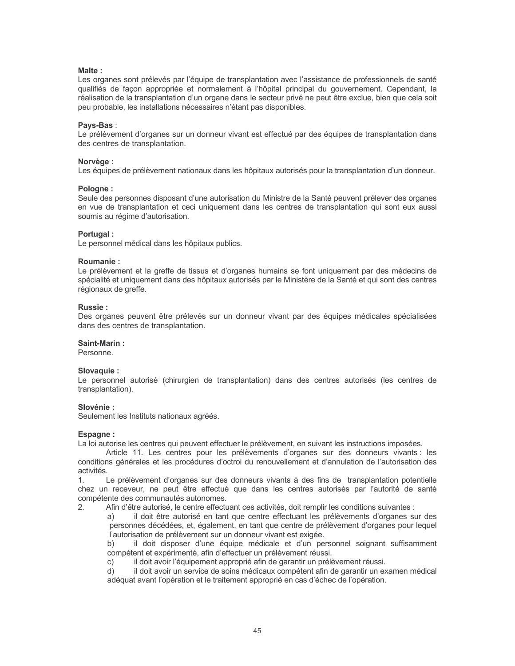## Malte:

Les organes sont prélevés par l'équipe de transplantation avec l'assistance de professionnels de santé qualifiés de facon appropriée et normalement à l'hôpital principal du gouvernement. Cependant, la réalisation de la transplantation d'un organe dans le secteur privé ne peut être exclue, bien que cela soit peu probable, les installations nécessaires n'étant pas disponibles.

## Pavs-Bas:

Le prélèvement d'organes sur un donneur vivant est effectué par des équipes de transplantation dans des centres de transplantation.

## Norvège :

Les équipes de prélèvement nationaux dans les hôpitaux autorisés pour la transplantation d'un donneur.

#### Pologne:

Seule des personnes disposant d'une autorisation du Ministre de la Santé peuvent prélever des organes en vue de transplantation et ceci uniquement dans les centres de transplantation qui sont eux aussi soumis au régime d'autorisation.

## Portugal:

Le personnel médical dans les hôpitaux publics.

#### Roumanie:

Le prélèvement et la greffe de tissus et d'organes humains se font uniquement par des médecins de spécialité et uniquement dans des hôpitaux autorisés par le Ministère de la Santé et qui sont des centres régionaux de greffe.

#### **Russie:**

Des organes peuvent être prélevés sur un donneur vivant par des équipes médicales spécialisées dans des centres de transplantation.

#### Saint-Marin:

Personne.

## Slovaguie:

Le personnel autorisé (chirurgien de transplantation) dans des centres autorisés (les centres de transplantation).

## Slovénie ·

Seulement les Instituts nationaux agréés.

#### Espagne:

La loi autorise les centres qui peuvent effectuer le prélèvement, en suivant les instructions imposées.

Article 11. Les centres pour les prélèvements d'organes sur des donneurs vivants : les conditions générales et les procédures d'octroi du renouvellement et d'annulation de l'autorisation des activités.

Le prélèvement d'organes sur des donneurs vivants à des fins de transplantation potentielle  $\mathbf{1}$ chez un receveur, ne peut être effectué que dans les centres autorisés par l'autorité de santé compétente des communautés autonomes.

Afin d'être autorisé, le centre effectuant ces activités, doit remplir les conditions suivantes :  $2<sub>1</sub>$ 

 $a)$ il doit être autorisé en tant que centre effectuant les prélèvements d'organes sur des personnes décédées, et, également, en tant que centre de prélèvement d'organes pour lequel l'autorisation de prélèvement sur un donneur vivant est exigée.

il doit disposer d'une équipe médicale et d'un personnel soignant suffisamment h) compétent et expérimenté, afin d'effectuer un prélèvement réussi.

il doit avoir l'équipement approprié afin de garantir un prélèvement réussi.  $\mathcal{C}$ )

il doit avoir un service de soins médicaux compétent afin de garantir un examen médical  $d)$ adéquat avant l'opération et le traitement approprié en cas d'échec de l'opération.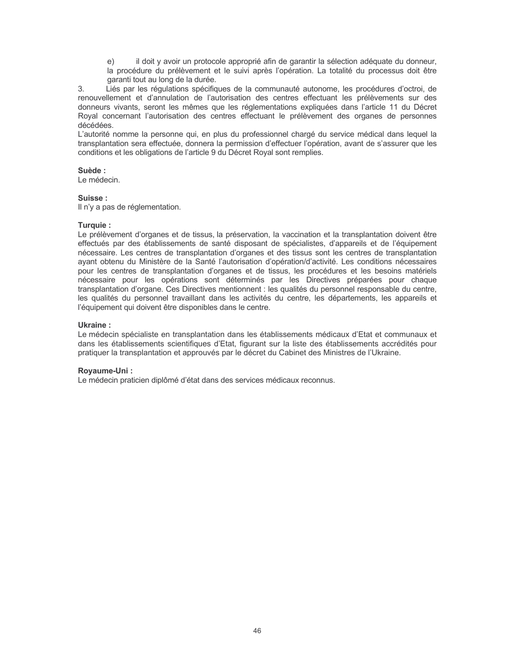il doit y avoir un protocole approprié afin de garantir la sélection adéquate du donneur,  $e)$ la procédure du prélèvement et le suivi après l'opération. La totalité du processus doit être garanti tout au long de la durée.

 $3.$ Liés par les réqulations spécifiques de la communauté autonome, les procédures d'octroi, de renouvellement et d'annulation de l'autorisation des centres effectuant les prélèvements sur des donneurs vivants, seront les mêmes que les réglementations expliquées dans l'article 11 du Décret Royal concernant l'autorisation des centres effectuant le prélèvement des organes de personnes décédées.

L'autorité nomme la personne qui, en plus du professionnel chargé du service médical dans lequel la transplantation sera effectuée, donnera la permission d'effectuer l'opération, avant de s'assurer que les conditions et les obligations de l'article 9 du Décret Royal sont remplies.

## Suède:

Le médecin.

#### Suisse:

Il n'y a pas de réglementation.

## Turquie:

Le prélèvement d'organes et de tissus, la préservation, la vaccination et la transplantation doivent être effectués par des établissements de santé disposant de spécialistes, d'appareils et de l'équipement nécessaire. Les centres de transplantation d'organes et des tissus sont les centres de transplantation ayant obtenu du Ministère de la Santé l'autorisation d'opération/d'activité. Les conditions nécessaires pour les centres de transplantation d'organes et de tissus, les procédures et les besoins matériels nécessaire pour les opérations sont déterminés par les Directives préparées pour chaque transplantation d'organe. Ces Directives mentionnent : les qualités du personnel responsable du centre, les qualités du personnel travaillant dans les activités du centre, les départements, les appareils et l'équipement qui doivent être disponibles dans le centre.

## **Ukraine:**

Le médecin spécialiste en transplantation dans les établissements médicaux d'Etat et communaux et dans les établissements scientifiques d'Etat, figurant sur la liste des établissements accrédités pour pratiquer la transplantation et approuvés par le décret du Cabinet des Ministres de l'Ukraine.

## Royaume-Uni:

Le médecin praticien diplômé d'état dans des services médicaux reconnus.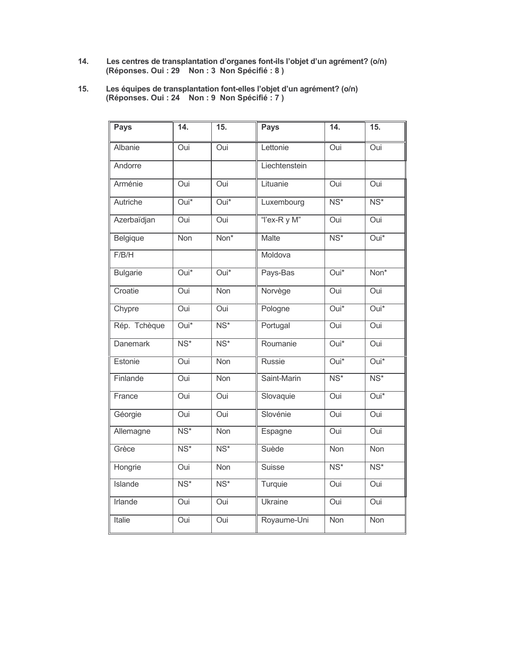- Les centres de transplantation d'organes font-ils l'objet d'un agrément? (o/n)<br>(Réponses. Oui : 29 Non : 3 Non Spécifié : 8 )  $14.$
- Les équipes de transplantation font-elles l'objet d'un agrément? (o/n)<br>(Réponses. Oui : 24 Non : 9 Non Spécifié : 7 )  $15.$

| <b>Pays</b>     | 14.                      | 15.                      | <b>Pays</b>    | 14.                      | 15.                       |
|-----------------|--------------------------|--------------------------|----------------|--------------------------|---------------------------|
| Albanie         | Oui                      | Oui                      | Lettonie       | Oui                      | Oui                       |
| Andorre         |                          |                          | Liechtenstein  |                          |                           |
| Arménie         | Oui                      | Oui                      | Lituanie       | Oui                      | Oui                       |
| <b>Autriche</b> | $Oui*$                   | $Oui*$                   | Luxembourg     | $\overline{\text{NS}^*}$ | $\overline{\text{NS}^*}$  |
| Azerbaïdjan     | Oui                      | Oui                      | "I'ex-R y M"   | Oui                      | Oui                       |
| Belgique        | Non                      | Non*                     | <b>Malte</b>   | $\overline{\text{NS}^*}$ | $Oui*$                    |
| F/B/H           |                          |                          | Moldova        |                          |                           |
| <b>Bulgarie</b> | $\overline{Oui^*}$       | $Oui*$                   | Pays-Bas       | $\overline{Oui^*}$       | $\overline{\text{Non}^*}$ |
| Croatie         | Oui                      | Non                      | Norvège        | Oui                      | Oui                       |
| Chypre          | Oui                      | Oui                      | Pologne        | Oui*                     | $Oui*$                    |
| Rép. Tchèque    | Oui*                     | $NS*$                    | Portugal       | Oui                      | Oui                       |
| <b>Danemark</b> | $\overline{\text{NS}^*}$ | $\overline{\text{NS}^*}$ | Roumanie       | Oui*                     | Oui                       |
| Estonie         | Oui                      | <b>Non</b>               | Russie         | $\overline{Oui^*}$       | $\overline{Oui^*}$        |
| Finlande        | Oui                      | Non                      | Saint-Marin    | $\overline{\text{NS}^*}$ | $\overline{\text{NS}^*}$  |
| France          | Oui                      | Oui                      | Slovaquie      | Oui                      | $Oui*$                    |
| Géorgie         | Oui                      | Oui                      | Slovénie       | Oui                      | Oui                       |
| Allemagne       | $\overline{\text{NS}^*}$ | Non                      | Espagne        | Oui                      | Oui                       |
| Grèce           | $\overline{\text{NS}^*}$ | $NS*$                    | Suède          | Non                      | Non                       |
| Hongrie         | Oui                      | <b>Non</b>               | <b>Suisse</b>  | $\overline{\text{NS}^*}$ | $\overline{\text{NS}^*}$  |
| <b>Islande</b>  | $\overline{\text{NS}^*}$ | $NS*$                    | Turquie        | Oui                      | Oui                       |
| Irlande         | Oui                      | Oui                      | <b>Ukraine</b> | Oui                      | Oui                       |
| Italie          | Oui                      | Oui                      | Royaume-Uni    | Non                      | Non                       |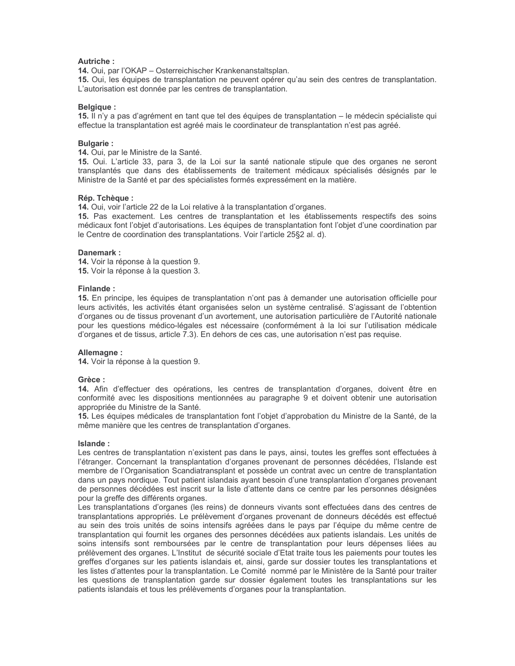#### **Autriche:**

14. Oui, par l'OKAP – Osterreichischer Krankenanstaltsplan.

15. Oui, les équipes de transplantation ne peuvent opérer qu'au sein des centres de transplantation. L'autorisation est donnée par les centres de transplantation.

#### **Belaiaue:**

15. Il n'y a pas d'agrément en tant que tel des équipes de transplantation – le médecin spécialiste qui effectue la transplantation est agréé mais le coordinateur de transplantation n'est pas agréé.

#### **Bulgarie:**

14. Oui, par le Ministre de la Santé.

15. Oui. L'article 33, para 3, de la Loi sur la santé nationale stipule que des organes ne seront transplantés que dans des établissements de traitement médicaux spécialisés désignés par le Ministre de la Santé et par des spécialistes formés expressément en la matière.

#### Rép. Tchèque :

14. Oui, voir l'article 22 de la Loi relative à la transplantation d'organes.

15. Pas exactement. Les centres de transplantation et les établissements respectifs des soins médicaux font l'objet d'autorisations. Les équipes de transplantation font l'objet d'une coordination par le Centre de coordination des transplantations. Voir l'article 25§2 al. d).

#### Danemark:

14. Voir la réponse à la question 9. 15. Voir la réponse à la question 3.

#### Finlande:

15. En principe, les équipes de transplantation n'ont pas à demander une autorisation officielle pour leurs activités, les activités étant organisées selon un système centralisé. S'agissant de l'obtention d'organes ou de tissus provenant d'un avortement, une autorisation particulière de l'Autorité nationale pour les questions médico-légales est nécessaire (conformément à la loi sur l'utilisation médicale d'organes et de tissus, article 7.3). En dehors de ces cas, une autorisation n'est pas requise.

#### Allemagne:

14. Voir la réponse à la question 9.

#### Grèce:

14. Afin d'effectuer des opérations, les centres de transplantation d'organes, doivent être en conformité avec les dispositions mentionnées au paragraphe 9 et doivent obtenir une autorisation appropriée du Ministre de la Santé.

15. Les équipes médicales de transplantation font l'objet d'approbation du Ministre de la Santé, de la même manière que les centres de transplantation d'organes.

#### Islande:

Les centres de transplantation n'existent pas dans le pays, ainsi, toutes les greffes sont effectuées à l'étranger. Concernant la transplantation d'organes provenant de personnes décédées, l'Islande est membre de l'Organisation Scandiatransplant et possède un contrat avec un centre de transplantation dans un pays nordique. Tout patient islandais ayant besoin d'une transplantation d'organes provenant de personnes décédées est inscrit sur la liste d'attente dans ce centre par les personnes désignées pour la greffe des différents organes.

Les transplantations d'organes (les reins) de donneurs vivants sont effectuées dans des centres de transplantations appropriés. Le prélèvement d'organes provenant de donneurs décédés est effectué au sein des trois unités de soins intensifs agréées dans le pays par l'équipe du même centre de transplantation qui fournit les organes des personnes décédées aux patients islandais. Les unités de soins intensifs sont remboursées par le centre de transplantation pour leurs dépenses liées au prélèvement des organes. L'Institut de sécurité sociale d'Etat traite tous les paiements pour toutes les greffes d'organes sur les patients islandais et, ainsi, garde sur dossier toutes les transplantations et les listes d'attentes pour la transplantation. Le Comité nommé par le Ministère de la Santé pour traiter les questions de transplantation garde sur dossier également toutes les transplantations sur les patients islandais et tous les prélèvements d'organes pour la transplantation.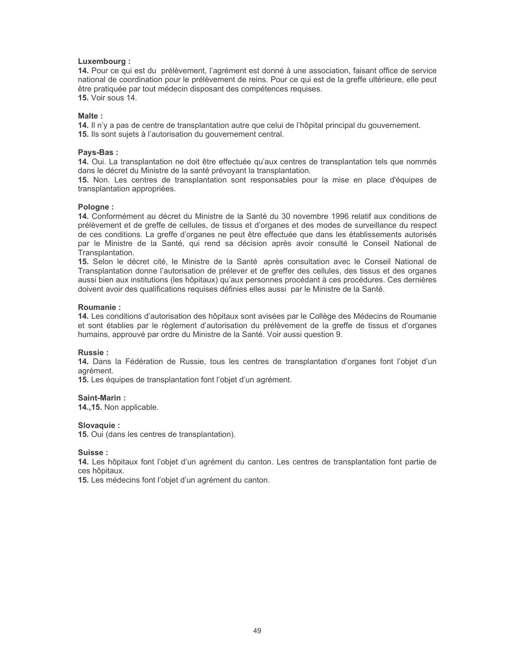#### Luxembourg:

14. Pour ce qui est du prélèvement, l'agrément est donné à une association, faisant office de service national de coordination pour le prélèvement de reins. Pour ce qui est de la greffe ultérieure, elle peut être pratiquée par tout médecin disposant des compétences requises. **15.** Voir sous 14.

#### Malte:

14. Il n'y a pas de centre de transplantation autre que celui de l'hôpital principal du gouvernement. 15. Ils sont sujets à l'autorisation du gouvernement central.

#### Pays-Bas:

14. Oui. La transplantation ne doit être effectuée qu'aux centres de transplantation tels que nommés dans le décret du Ministre de la santé prévoyant la transplantation.

15. Non. Les centres de transplantation sont responsables pour la mise en place d'équipes de transplantation appropriées.

#### Pologne:

14. Conformément au décret du Ministre de la Santé du 30 novembre 1996 relatif aux conditions de prélèvement et de greffe de cellules, de tissus et d'organes et des modes de surveillance du respect de ces conditions. La greffe d'organes ne peut être effectuée que dans les établissements autorisés par le Ministre de la Santé, qui rend sa décision après avoir consulté le Conseil National de Transplantation.

15. Selon le décret cité, le Ministre de la Santé après consultation avec le Conseil National de Transplantation donne l'autorisation de prélever et de greffer des cellules, des tissus et des organes aussi bien aux institutions (les hôpitaux) qu'aux personnes procédant à ces procédures. Ces dernières doivent avoir des qualifications requises définies elles aussi par le Ministre de la Santé.

## Roumanie:

14. Les conditions d'autorisation des hôpitaux sont avisées par le Collège des Médecins de Roumanie et sont établies par le règlement d'autorisation du prélèvement de la greffe de tissus et d'organes humains, approuvé par ordre du Ministre de la Santé. Voir aussi question 9.

#### **Russie:**

14. Dans la Fédération de Russie, tous les centres de transplantation d'organes font l'objet d'un agrément

15. Les équipes de transplantation font l'objet d'un agrément.

#### Saint-Marin:

14., 15. Non applicable.

#### Slovaquie:

15. Oui (dans les centres de transplantation).

#### Suisse:

14. Les hôpitaux font l'objet d'un agrément du canton. Les centres de transplantation font partie de ces hôpitaux.

15. Les médecins font l'objet d'un agrément du canton.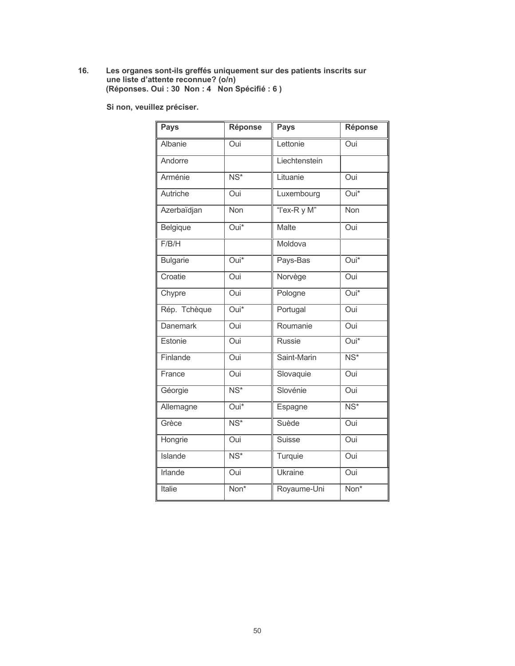# Les organes sont-ils greffés uniquement sur des patients inscrits sur<br>une liste d'attente reconnue? (o/n)<br>(Réponses. Oui : 30 Non : 4 Non Spécifié : 6 )  $16.$

Si non, veuillez préciser.

| <b>Pays</b>     | Réponse                  | <b>Pays</b>   | Réponse                  |
|-----------------|--------------------------|---------------|--------------------------|
| Albanie         | Oui                      | Lettonie      | Oui                      |
| Andorre         |                          | Liechtenstein |                          |
| Arménie         | $\overline{\text{NS}^*}$ | Lituanie      | Oui                      |
| Autriche        | Oui                      | Luxembourg    | Oui*                     |
| Azerbaïdjan     | Non                      | "I'ex-R y M"  | Non                      |
| Belgique        | Oui*                     | <b>Malte</b>  | Oui                      |
| F/B/H           |                          | Moldova       |                          |
| <b>Bulgarie</b> | $\overline{Oui^*}$       | Pays-Bas      | $\overline{Oui^*}$       |
| Croatie         | Oui                      | Norvège       | Oui                      |
| Chypre          | Oui                      | Pologne       | $\overline{Oui^*}$       |
| Rép. Tchèque    | Oui*                     | Portugal      | Oui                      |
| <b>Danemark</b> | Oui                      | Roumanie      | Oui                      |
| Estonie         | Oui                      | <b>Russie</b> | Oui*                     |
| Finlande        | Oui                      | Saint-Marin   | $\overline{\text{NS}^*}$ |
| France          | Oui                      | Slovaquie     | Oui                      |
| Géorgie         | $\overline{\text{NS}^*}$ | Slovénie      | Oui                      |
| Allemagne       | Oui*                     | Espagne       | $\overline{\text{NS}^*}$ |
| Grèce           | $\overline{\text{NS}^*}$ | Suède         | Oui                      |
| Hongrie         | Oui                      | <b>Suisse</b> | Oui                      |
| <b>Islande</b>  | $\overline{\text{NS}^*}$ | Turquie       | Oui                      |
| <b>Irlande</b>  | Oui                      | Ukraine       | Oui                      |
| <b>Italie</b>   | Non*                     | Royaume-Uni   | Non*                     |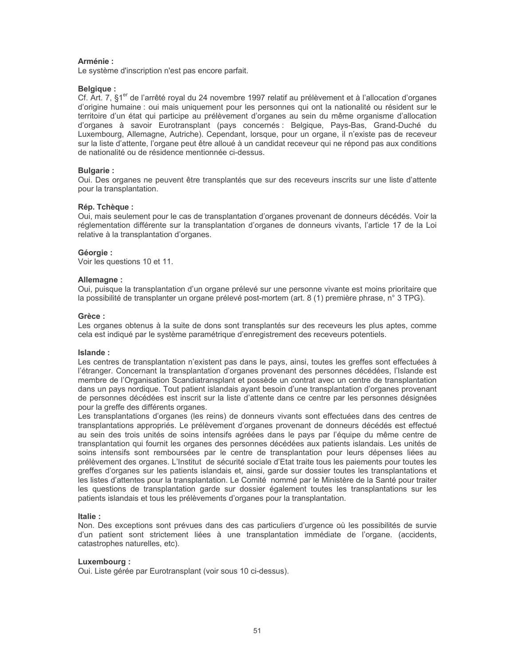## Arménie:

Le système d'inscription n'est pas encore parfait.

## **Belgique:**

Cf. Art. 7, §1<sup>er</sup> de l'arrêté royal du 24 novembre 1997 relatif au prélèvement et à l'allocation d'organes d'origine humaine : oui mais uniquement pour les personnes qui ont la nationalité ou résident sur le territoire d'un état qui participe au prélèvement d'organes au sein du même organisme d'allocation d'organes à savoir Eurotransplant (pays concernés : Belgique, Pays-Bas, Grand-Duché du Luxembourg, Allemagne, Autriche). Cependant, lorsque, pour un organe, il n'existe pas de receveur sur la liste d'attente, l'organe peut être alloué à un candidat receveur qui ne répond pas aux conditions de nationalité ou de résidence mentionnée ci-dessus.

## **Bulgarie:**

Oui. Des organes ne peuvent être transplantés que sur des receveurs inscrits sur une liste d'attente pour la transplantation.

## Rép. Tchèque :

Oui, mais seulement pour le cas de transplantation d'organes provenant de donneurs décédés. Voir la réglementation différente sur la transplantation d'organes de donneurs vivants, l'article 17 de la Loi relative à la transplantation d'organes.

#### Géorgie:

Voir les questions 10 et 11.

#### Allemagne:

Oui, puisque la transplantation d'un organe prélevé sur une personne vivante est moins prioritaire que la possibilité de transplanter un organe prélevé post-mortem (art. 8 (1) première phrase, n° 3 TPG).

#### Grèce:

Les organes obtenus à la suite de dons sont transplantés sur des receveurs les plus aptes, comme cela est indiqué par le système paramétrique d'enregistrement des receveurs potentiels.

#### Islande:

Les centres de transplantation n'existent pas dans le pays, ainsi, toutes les greffes sont effectuées à l'étranger. Concernant la transplantation d'organes provenant des personnes décédées, l'Islande est membre de l'Organisation Scandiatransplant et possède un contrat avec un centre de transplantation dans un pays nordique. Tout patient islandais ayant besoin d'une transplantation d'organes provenant de personnes décédées est inscrit sur la liste d'attente dans ce centre par les personnes désignées pour la greffe des différents organes.

Les transplantations d'organes (les reins) de donneurs vivants sont effectuées dans des centres de transplantations appropriés. Le prélèvement d'organes provenant de donneurs décédés est effectué au sein des trois unités de soins intensifs agréées dans le pays par l'équipe du même centre de transplantation qui fournit les organes des personnes décédées aux patients islandais. Les unités de soins intensifs sont remboursées par le centre de transplantation pour leurs dépenses liées au prélèvement des organes. L'Institut de sécurité sociale d'Etat traite tous les paiements pour toutes les greffes d'organes sur les patients islandais et, ainsi, garde sur dossier toutes les transplantations et les listes d'attentes pour la transplantation. Le Comité nommé par le Ministère de la Santé pour traiter les questions de transplantation garde sur dossier également toutes les transplantations sur les patients islandais et tous les prélèvements d'organes pour la transplantation.

## Italie:

Non. Des exceptions sont prévues dans des cas particuliers d'urgence où les possibilités de survie d'un patient sont strictement liées à une transplantation immédiate de l'organe. (accidents, catastrophes naturelles, etc).

## Luxembourg:

Oui. Liste gérée par Eurotransplant (voir sous 10 ci-dessus).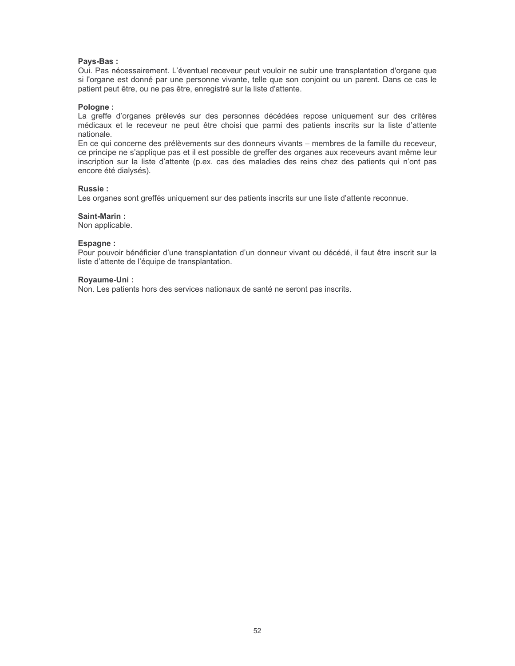## Pays-Bas:

Oui. Pas nécessairement. L'éventuel receveur peut vouloir ne subir une transplantation d'organe que si l'organe est donné par une personne vivante, telle que son conjoint ou un parent. Dans ce cas le patient peut être, ou ne pas être, enregistré sur la liste d'attente.

#### Pologne:

La greffe d'organes prélevés sur des personnes décédées repose uniquement sur des critères médicaux et le receveur ne peut être choisi que parmi des patients inscrits sur la liste d'attente nationale.

En ce qui concerne des prélèvements sur des donneurs vivants - membres de la famille du receveur, ce principe ne s'applique pas et il est possible de greffer des organes aux receveurs avant même leur inscription sur la liste d'attente (p.ex. cas des maladies des reins chez des patients qui n'ont pas encore été dialysés).

## **Russie:**

Les organes sont greffés uniquement sur des patients inscrits sur une liste d'attente reconnue.

#### Saint-Marin:

Non applicable.

#### Espagne:

Pour pouvoir bénéficier d'une transplantation d'un donneur vivant ou décédé, il faut être inscrit sur la liste d'attente de l'équipe de transplantation.

#### Rovaume-Uni:

Non. Les patients hors des services nationaux de santé ne seront pas inscrits.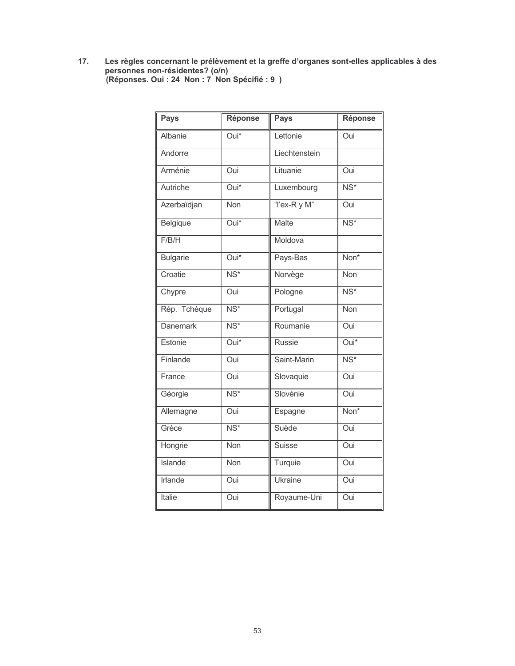Les règles concernant le prélèvement et la greffe d'organes sont-elles applicables à des<br>personnes non-résidentes? (o/n)<br>(Réponses. Oui : 24 Non : 7 Non Spécifié : 9 )  $17.$ 

| <b>Pays</b>     | <b>Réponse</b>           | <b>Pays</b>    | Réponse                  |
|-----------------|--------------------------|----------------|--------------------------|
| Albanie         | Oui*                     | Lettonie       | Oui                      |
| Andorre         |                          | Liechtenstein  |                          |
| Arménie         | Oui                      | Lituanie       | Oui                      |
| Autriche        | $\overline{Oui^*}$       | Luxembourg     | $\overline{\text{NS}^*}$ |
| Azerbaïdjan     | Non                      | "I'ex-R y M"   | Oui                      |
| Belgique        | $\overline{Oui^*}$       | <b>Malte</b>   | $\overline{\text{NS}^*}$ |
| F/B/H           |                          | Moldova        |                          |
| <b>Bulgarie</b> | Oui*                     | Pays-Bas       | Non*                     |
| Croatie         | $\overline{\text{NS}^*}$ | Norvège        | <b>Non</b>               |
| Chypre          | Oui                      | Pologne        | $\overline{\text{NS}^*}$ |
| Rép. Tchèque    | $\overline{\text{NS}^*}$ | Portugal       | <b>Non</b>               |
| <b>Danemark</b> | $\overline{\text{NS}^*}$ | Roumanie       | Oui                      |
| Estonie         | $Oui*$                   | <b>Russie</b>  | $\overline{Oui^*}$       |
| Finlande        | Oui                      | Saint-Marin    | $\overline{\text{NS}^*}$ |
| France          | $\overline{O}$ ui        | Slovaquie      | Oui                      |
| Géorgie         | $\overline{\text{NS}^*}$ | Slovénie       | Oui                      |
| Allemagne       | Oui                      | Espagne        | Non*                     |
| Grèce           | $\overline{\text{NS}^*}$ | Suède          | Oui                      |
| Hongrie         | $\overline{\text{Non}}$  | <b>Suisse</b>  | Oui                      |
| <b>Islande</b>  | <b>Non</b>               | Turquie        | Oui                      |
| <b>Irlande</b>  | Oui                      | <b>Ukraine</b> | Oui                      |
| Italie          | Oui                      | Royaume-Uni    | Oui                      |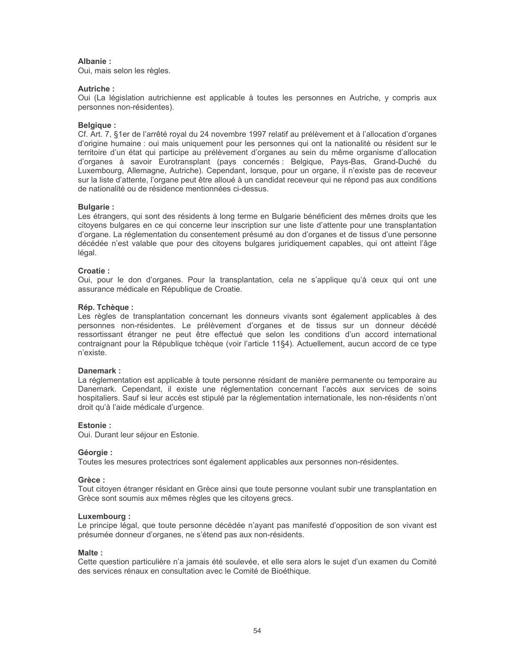## Albanie:

Oui, mais selon les règles.

## Autriche:

Oui (La législation autrichienne est applicable à toutes les personnes en Autriche, y compris aux personnes non-résidentes).

## **Belgique:**

Cf. Art. 7, §1er de l'arrêté royal du 24 novembre 1997 relatif au prélèvement et à l'allocation d'organes d'origine humaine : oui mais uniquement pour les personnes qui ont la nationalité ou résident sur le territoire d'un état qui participe au prélèvement d'organes au sein du même organisme d'allocation d'organes à savoir Eurotransplant (pays concernés : Belgique, Pays-Bas, Grand-Duché du Luxembourg, Allemagne, Autriche). Cependant, lorsque, pour un organe, il n'existe pas de receveur sur la liste d'attente, l'organe peut être alloué à un candidat receveur qui ne répond pas aux conditions de nationalité ou de résidence mentionnées ci-dessus.

## **Bulgarie:**

Les étrangers, qui sont des résidents à long terme en Bulgarie bénéficient des mêmes droits que les citoyens bulgares en ce qui concerne leur inscription sur une liste d'attente pour une transplantation d'organe. La réglementation du consentement présumé au don d'organes et de tissus d'une personne décédée n'est valable que pour des citoyens bulgares juridiquement capables, qui ont atteint l'âge légal.

## Croatie:

Oui, pour le don d'organes. Pour la transplantation, cela ne s'applique qu'à ceux qui ont une assurance médicale en République de Croatie.

## Rép. Tchèaue:

Les règles de transplantation concernant les donneurs vivants sont également applicables à des personnes non-résidentes. Le prélèvement d'organes et de tissus sur un donneur décédé ressortissant étranger ne peut être effectué que selon les conditions d'un accord international contraignant pour la République tchèque (voir l'article 11§4). Actuellement, aucun accord de ce type n'existe.

## Danemark:

La réglementation est applicable à toute personne résidant de manière permanente ou temporaire au Danemark. Cependant, il existe une réglementation concernant l'accès aux services de soins hospitaliers. Sauf si leur accès est stipulé par la réglementation internationale, les non-résidents n'ont droit qu'à l'aide médicale d'urgence.

## Fstonie ·

Oui. Durant leur séjour en Estonie.

## Géorgie :

Toutes les mesures protectrices sont également applicables aux personnes non-résidentes.

## Grèce:

Tout citoyen étranger résidant en Grèce ainsi que toute personne voulant subir une transplantation en Grèce sont soumis aux mêmes règles que les citoyens grecs.

## Luxembourg:

Le principe légal, que toute personne décédée n'ayant pas manifesté d'opposition de son vivant est présumée donneur d'organes, ne s'étend pas aux non-résidents.

#### Malte:

Cette question particulière n'a jamais été soulevée, et elle sera alors le sujet d'un examen du Comité des services rénaux en consultation avec le Comité de Bioéthique.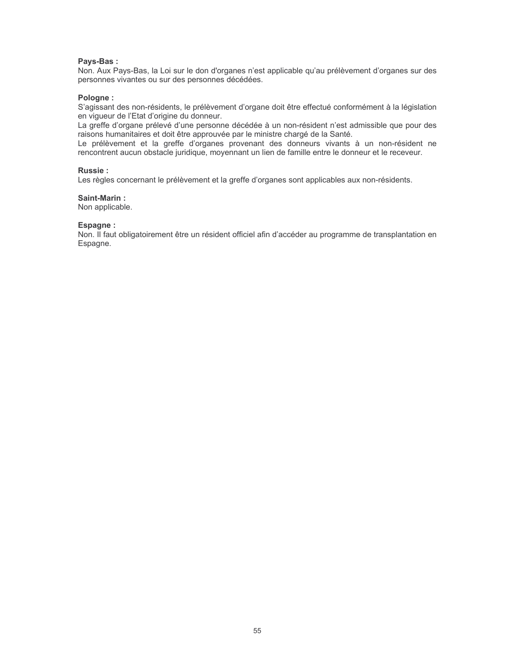#### Pays-Bas:

Non. Aux Pays-Bas, la Loi sur le don d'organes n'est applicable qu'au prélèvement d'organes sur des personnes vivantes ou sur des personnes décédées.

#### Pologne:

S'agissant des non-résidents, le prélèvement d'organe doit être effectué conformément à la législation en vigueur de l'Etat d'origine du donneur.

La greffe d'organe prélevé d'une personne décédée à un non-résident n'est admissible que pour des raisons humanitaires et doit être approuvée par le ministre chargé de la Santé.

Le prélèvement et la greffe d'organes provenant des donneurs vivants à un non-résident ne rencontrent aucun obstacle juridique, moyennant un lien de famille entre le donneur et le receveur.

#### **Russie:**

Les règles concernant le prélèvement et la greffe d'organes sont applicables aux non-résidents.

#### Saint-Marin:

Non applicable.

#### Espagne:

Non. Il faut obligatoirement être un résident officiel afin d'accéder au programme de transplantation en Espagne.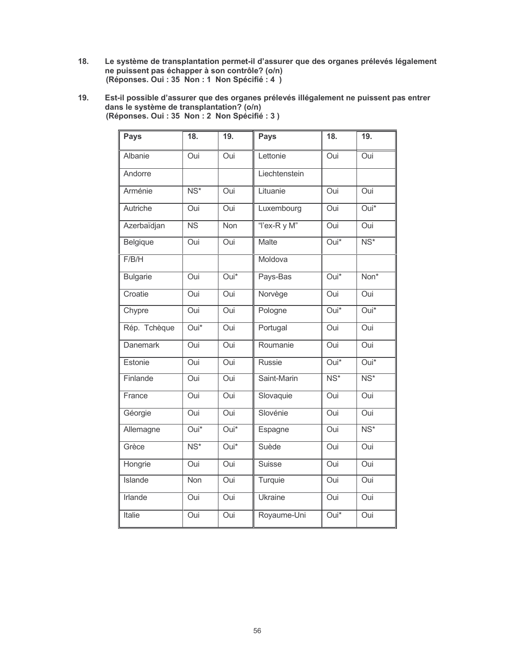- $18.$ Le système de transplantation permet-il d'assurer que des organes prélevés légalement ne puissent pas échapper à son contrôle? (o/n) (Réponses. Oui : 35 Non : 1 Non Spécifié : 4 )
- Est-il possible d'assurer que des organes prélevés illégalement ne puissent pas entrer<br>dans le système de transplantation? (o/n)<br>(Réponses. Oui : 35 Non : 2 Non Spécifié : 3 ) 19.

| <b>Pays</b>     | $\overline{18}$ .        | 19.                | <b>Pays</b>   | 18.                      | 19.                      |
|-----------------|--------------------------|--------------------|---------------|--------------------------|--------------------------|
| Albanie         | Oui                      | Oui                | Lettonie      | Oui                      | Oui                      |
| Andorre         |                          |                    | Liechtenstein |                          |                          |
| Arménie         | $\overline{\text{NS}^*}$ | <b>Oui</b>         | Lituanie      | Oui                      | Oui                      |
| Autriche        | Oui                      | Oui                | Luxembourg    | Oui                      | Oui*                     |
| Azerbaïdjan     | $\overline{\text{NS}}$   | <b>Non</b>         | "I'ex-R y M"  | Oui                      | Oui                      |
| <b>Belgique</b> | Oui                      | Oui                | Malte         | Oui*                     | $\overline{\text{NS}^*}$ |
| F/B/H           |                          |                    | Moldova       |                          |                          |
| <b>Bulgarie</b> | Oui                      | $\overline{Oui^*}$ | Pays-Bas      | $\overline{Oui^*}$       | Non*                     |
| Croatie         | Oui                      | Oui                | Norvège       | Oui                      | Oui                      |
| Chypre          | Oui                      | Oui                | Pologne       | $\overline{Oui^*}$       | Oui*                     |
| Rép. Tchèque    | $\overline{Oui^*}$       | Oui                | Portugal      | Oui                      | Oui                      |
| <b>Danemark</b> | Oui                      | Oui                | Roumanie      | Oui                      | Oui                      |
| Estonie         | Oui                      | <b>Oui</b>         | <b>Russie</b> | Oui*                     | $Oui*$                   |
| Finlande        | Oui                      | Oui                | Saint-Marin   | $\overline{\text{NS}^*}$ | $\overline{\text{NS}^*}$ |
| France          | Oui                      | Oui                | Slovaquie     | Oui                      | Oui                      |
| Géorgie         | Oui                      | Oui                | Slovénie      | Oui                      | Oui                      |
| Allemagne       | Oui*                     | $Oui*$             | Espagne       | Oui                      | $\overline{\text{NS}^*}$ |
| Grèce           | $\overline{\text{NS}^*}$ | Oui*               | Suède         | Oui                      | Oui                      |
| Hongrie         | Oui                      | Oui                | <b>Suisse</b> | Oui                      | Oui                      |
| <b>Islande</b>  | <b>Non</b>               | Oui                | Turquie       | Oui                      | Oui                      |
| Irlande         | Oui                      | Oui                | Ukraine       | Oui                      | Oui                      |
| Italie          | Oui                      | Oui                | Royaume-Uni   | $\overline{Oui^*}$       | Oui                      |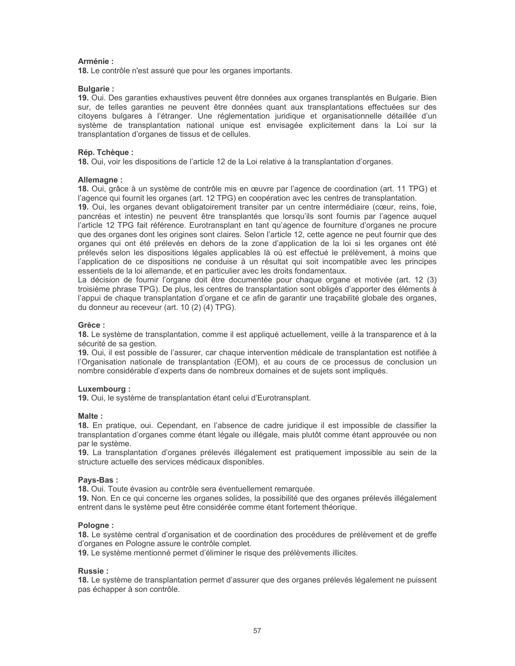## Arménie:

18. Le contrôle n'est assuré que pour les organes importants.

## **Bulgarie:**

19. Oui. Des garanties exhaustives peuvent être données aux organes transplantés en Bulgarie. Bien sur, de telles garanties ne peuvent être données quant aux transplantations effectuées sur des citoyens bulgares à l'étranger. Une réglementation juridique et organisationnelle détaillée d'un système de transplantation national unique est envisagée explicitement dans la Loi sur la transplantation d'organes de tissus et de cellules.

## Rép. Tchèque :

18. Oui, voir les dispositions de l'article 12 de la Loi relative à la transplantation d'organes.

#### Allemagne:

18. Oui, grâce à un système de contrôle mis en œuvre par l'agence de coordination (art. 11 TPG) et l'agence qui fournit les organes (art. 12 TPG) en coopération avec les centres de transplantation.

19. Oui, les organes devant obligatoirement transiter par un centre intermédiaire (cœur, reins, foie, pancréas et intestin) ne peuvent être transplantés que lorsqu'ils sont fournis par l'agence auquel l'article 12 TPG fait référence. Eurotransplant en tant qu'agence de fourniture d'organes ne procure que des organes dont les origines sont claires. Selon l'article 12, cette agence ne peut fournir que des organes qui ont été prélevés en dehors de la zone d'application de la loi si les organes ont été prélevés selon les dispositions légales applicables là où est effectué le prélèvement, à moins que l'application de ce dispositions ne conduise à un résultat qui soit incompatible avec les principes essentiels de la loi allemande, et en particulier avec les droits fondamentaux.

La décision de fournir l'organe doit être documentée pour chaque organe et motivée (art. 12 (3) troisième phrase TPG). De plus, les centres de transplantation sont obligés d'apporter des éléments à l'appui de chaque transplantation d'organe et ce afin de garantir une traçabilité globale des organes, du donneur au receveur (art. 10 (2) (4) TPG).

#### Grèce:

18. Le système de transplantation, comme il est appliqué actuellement, veille à la transparence et à la sécurité de sa gestion.

19. Qui, il est possible de l'assurer, car chaque intervention médicale de transplantation est notifiée à l'Organisation nationale de transplantation (EOM), et au cours de ce processus de conclusion un nombre considérable d'experts dans de nombreux domaines et de sujets sont impliqués.

#### Luxembourg:

19. Oui, le système de transplantation étant celui d'Eurotransplant.

## Malte:

18. En pratique, oui. Cependant, en l'absence de cadre juridique il est impossible de classifier la transplantation d'organes comme étant légale ou illégale, mais plutôt comme étant approuvée ou non par le système.

19. La transplantation d'organes prélevés illégalement est pratiquement impossible au sein de la structure actuelle des services médicaux disponibles.

#### Pays-Bas:

18. Oui. Toute évasion au contrôle sera éventuellement remarquée.

19. Non. En ce qui concerne les organes solides, la possibilité que des organes prélevés illégalement entrent dans le système peut être considérée comme étant fortement théorique.

#### Pologne:

18. Le système central d'organisation et de coordination des procédures de prélèvement et de greffe d'organes en Pologne assure le contrôle complet.

19. Le système mentionné permet d'éliminer le risque des prélèvements illicites.

#### Russie:

18. Le système de transplantation permet d'assurer que des organes prélevés légalement ne puissent pas échapper à son contrôle.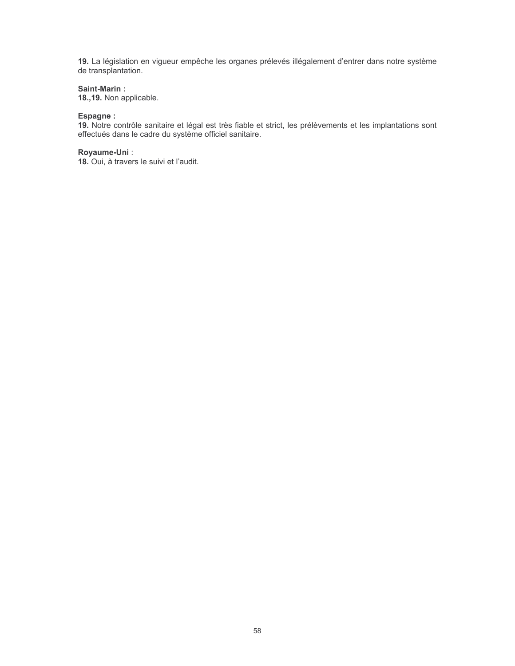19. La législation en vigueur empêche les organes prélevés illégalement d'entrer dans notre système de transplantation.

## Saint-Marin:

18., 19. Non applicable.

## Espagne :

19. Notre contrôle sanitaire et légal est très fiable et strict, les prélèvements et les implantations sont effectués dans le cadre du système officiel sanitaire.

## Royaume-Uni:

18. Oui, à travers le suivi et l'audit.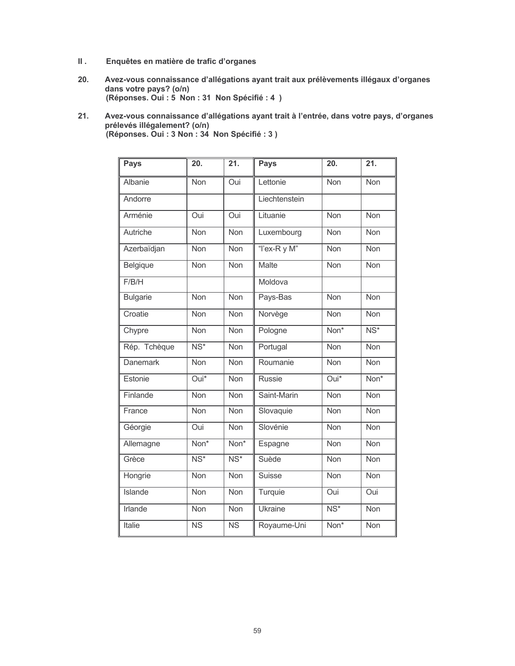- $\mathbf{II}$ . Enquêtes en matière de trafic d'organes
- $20.$ Avez-vous connaissance d'allégations ayant trait aux prélèvements illégaux d'organes dans votre pays? (o/n) (Réponses. Oui : 5 Non : 31 Non Spécifié : 4 )
- Avez-vous connaissance d'allégations ayant trait à l'entrée, dans votre pays, d'organes  $21.$ prélevés illégalement? (o/n)<br>(Réponses. Oui : 3 Non : 34 Non Spécifié : 3 )

| Pays            | 20.                       | 21.                       | <b>Pays</b>    | 20.                      | 21.                      |
|-----------------|---------------------------|---------------------------|----------------|--------------------------|--------------------------|
| Albanie         | Non                       | Oui                       | Lettonie       | Non                      | Non                      |
| Andorre         |                           |                           | Liechtenstein  |                          |                          |
| Arménie         | Oui                       | Oui                       | Lituanie       | Non                      | Non                      |
| Autriche        | <b>Non</b>                | <b>Non</b>                | Luxembourg     | Non                      | Non                      |
| Azerbaïdjan     | <b>Non</b>                | Non                       | "I'ex-R y M"   | Non                      | Non                      |
| Belgique        | Non                       | Non                       | <b>Malte</b>   | Non                      | Non                      |
| F/B/H           |                           |                           | Moldova        |                          |                          |
| <b>Bulgarie</b> | <b>Non</b>                | $\overline{\text{Non}}$   | Pays-Bas       | <b>Non</b>               | <b>Non</b>               |
| Croatie         | Non                       | Non                       | Norvège        | Non                      | Non                      |
| Chypre          | Non                       | Non                       | Pologne        | Non*                     | $\overline{\text{NS}^*}$ |
| Rép. Tchèque    | $\overline{\text{NS}^*}$  | Non                       | Portugal       | Non                      | <b>Non</b>               |
| <b>Danemark</b> | <b>Non</b>                | Non                       | Roumanie       | Non                      | <b>Non</b>               |
| Estonie         | $\overline{Oui^*}$        | <b>Non</b>                | <b>Russie</b>  | Oui*                     | Non*                     |
| Finlande        | Non                       | <b>Non</b>                | Saint-Marin    | Non                      | <b>Non</b>               |
| France          | Non                       | <b>Non</b>                | Slovaquie      | Non                      | <b>Non</b>               |
| Géorgie         | Oui                       | <b>Non</b>                | Slovénie       | Non                      | <b>Non</b>               |
| Allemagne       | $\overline{\text{Non}^*}$ | $\overline{\text{Non}^*}$ | Espagne        | Non                      | <b>Non</b>               |
| Grèce           | $\overline{\text{NS}^*}$  | $\overline{\text{NS}^*}$  | Suède          | Non                      | Non                      |
| Hongrie         | <b>Non</b>                | $\overline{\text{Non}}$   | <b>Suisse</b>  | <b>Non</b>               | $\overline{\text{Non}}$  |
| Islande         | Non                       | <b>Non</b>                | Turquie        | Oui                      | Oui                      |
| <b>Irlande</b>  | Non                       | Non                       | <b>Ukraine</b> | $\overline{\text{NS}^*}$ | Non                      |
| <b>Italie</b>   | $\overline{\text{NS}}$    | $\overline{\text{NS}}$    | Royaume-Uni    | $\overline{Non*}$        | Non                      |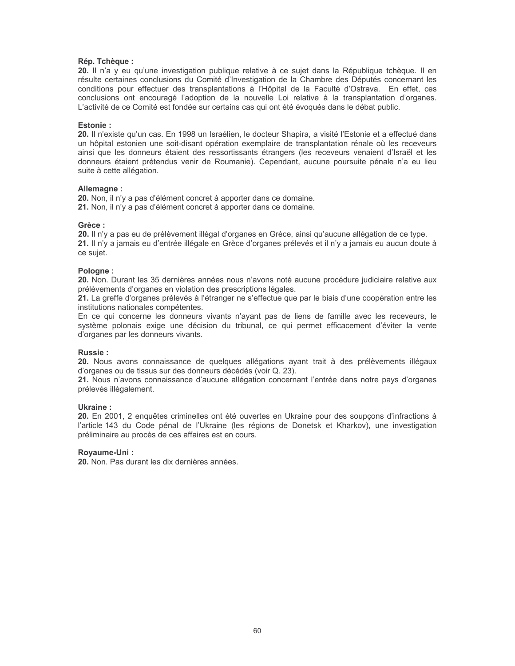#### Rép. Tchèque :

20. Il n'a y eu qu'une investigation publique relative à ce sujet dans la République tchèque. Il en résulte certaines conclusions du Comité d'Investigation de la Chambre des Députés concernant les conditions pour effectuer des transplantations à l'Hôpital de la Faculté d'Ostrava. En effet, ces conclusions ont encouragé l'adoption de la nouvelle Loi relative à la transplantation d'organes. L'activité de ce Comité est fondée sur certains cas qui ont été évoqués dans le débat public.

#### **Fstonie** ·

20. Il n'existe qu'un cas. En 1998 un Israélien, le docteur Shapira, a visité l'Estonie et a effectué dans un hôpital estonien une soit-disant opération exemplaire de transplantation rénale où les receveurs ainsi que les donneurs étaient des ressortissants étrangers (les receveurs venaient d'Israël et les donneurs étaient prétendus venir de Roumanie). Cependant, aucune poursuite pénale n'a eu lieu suite à cette allégation.

#### Allemagne:

20. Non, il n'y a pas d'élément concret à apporter dans ce domaine. 21. Non, il n'y a pas d'élément concret à apporter dans ce domaine.

#### Grèce:

20. Il n'y a pas eu de prélèvement illégal d'organes en Grèce, ainsi qu'aucune allégation de ce type. 21. Il n'y a jamais eu d'entrée illégale en Grèce d'organes prélevés et il n'y a jamais eu aucun doute à ce suiet.

#### Pologne:

20. Non. Durant les 35 dernières années nous n'avons noté aucune procédure judiciaire relative aux prélèvements d'organes en violation des prescriptions légales.

21. La greffe d'organes prélevés à l'étranger ne s'effectue que par le biais d'une coopération entre les institutions nationales compétentes.

En ce qui concerne les donneurs vivants n'ayant pas de liens de famille avec les receveurs, le système polonais exige une décision du tribunal, ce qui permet efficacement d'éviter la vente d'organes par les donneurs vivants.

#### **Russie:**

20. Nous avons connaissance de quelques allégations ayant trait à des prélèvements illégaux d'organes ou de tissus sur des donneurs décédés (voir Q. 23).

21. Nous n'avons connaissance d'aucune allégation concernant l'entrée dans notre pays d'organes prélevés illégalement.

#### Ukraine ·

20. En 2001, 2 enquêtes criminelles ont été ouvertes en Ukraine pour des soupçons d'infractions à l'article 143 du Code pénal de l'Ukraine (les régions de Donetsk et Kharkov), une investigation préliminaire au procès de ces affaires est en cours.

#### Royaume-Uni:

20. Non. Pas durant les dix dernières années.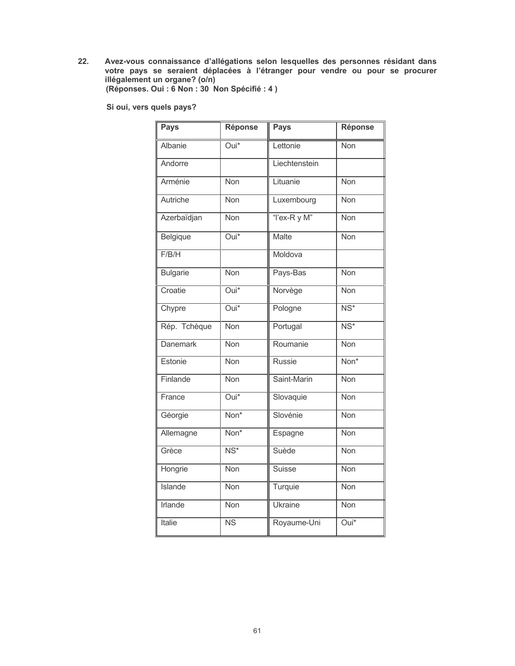Avez-vous connaissance d'allégations selon lesquelles des personnes résidant dans<br>votre pays se seraient déplacées à l'étranger pour vendre ou pour se procurer<br>illégalement un organe? (o/n)<br>(Réponses. Oui : 6 Non : 30 Non  $22.$ 

Si oui, vers quels pays?

| <b>Pays</b>     | Réponse                  | <b>Pays</b>    | Réponse                  |
|-----------------|--------------------------|----------------|--------------------------|
| Albanie         | Oui*                     | Lettonie       | Non                      |
| Andorre         |                          | Liechtenstein  |                          |
| Arménie         | <b>Non</b>               | Lituanie       | <b>Non</b>               |
| Autriche        | Non                      | Luxembourg     | Non                      |
| Azerbaïdjan     | Non                      | "I'ex-R y M"   | Non                      |
| Belgique        | $\overline{Oui^*}$       | Malte          | <b>Non</b>               |
| F/B/H           |                          | Moldova        |                          |
| <b>Bulgarie</b> | <b>Non</b>               | Pays-Bas       | Non                      |
| Croatie         | $\overline{Oui^*}$       | Norvège        | <b>Non</b>               |
| Chypre          | $\overline{Oui^*}$       | Pologne        | $\overline{\text{NS}^*}$ |
| Rép. Tchèque    | <b>Non</b>               | Portugal       | $\overline{\text{NS}^*}$ |
| <b>Danemark</b> | <b>Non</b>               | Roumanie       | <b>Non</b>               |
| Estonie         | <b>Non</b>               | <b>Russie</b>  | Non*                     |
| Finlande        | <b>Non</b>               | Saint-Marin    | <b>Non</b>               |
| France          | Oui*                     | Slovaquie      | <b>Non</b>               |
| Géorgie         | Non*                     | Slovénie       | Non                      |
| Allemagne       | Non*                     | Espagne        | Non                      |
| Grèce           | $\overline{\text{NS}^*}$ | Suède          | <b>Non</b>               |
| Hongrie         | <b>Non</b>               | <b>Suisse</b>  | Non                      |
| <b>Islande</b>  | <b>Non</b>               | Turquie        | <b>Non</b>               |
| <b>Irlande</b>  | Non                      | <b>Ukraine</b> | Non                      |
| <b>Italie</b>   | $\overline{\text{NS}}$   | Royaume-Uni    | Oui*                     |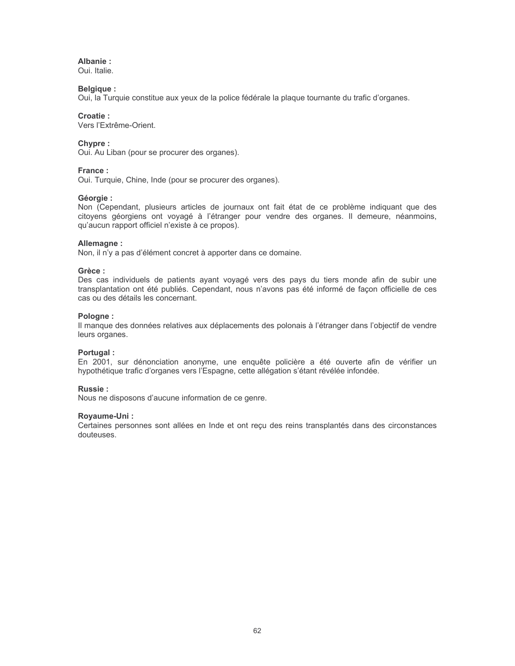## Albanie:

Oui. Italie.

## **Belgique:**

Oui, la Turquie constitue aux yeux de la police fédérale la plaque tournante du trafic d'organes.

## Croatie:

Vers l'Extrême-Orient.

## Chypre:

Oui. Au Liban (pour se procurer des organes).

## France:

Oui. Turquie, Chine, Inde (pour se procurer des organes).

## Géorgie :

Non (Cependant, plusieurs articles de journaux ont fait état de ce problème indiquant que des citoyens géorgiens ont voyagé à l'étranger pour vendre des organes. Il demeure, néanmoins, qu'aucun rapport officiel n'existe à ce propos).

## Allemagne:

Non, il n'y a pas d'élément concret à apporter dans ce domaine.

## Grèce :

Des cas individuels de patients ayant voyagé vers des pays du tiers monde afin de subir une transplantation ont été publiés. Cependant, nous n'avons pas été informé de façon officielle de ces cas ou des détails les concernant.

## Pologne:

Il manque des données relatives aux déplacements des polonais à l'étranger dans l'objectif de vendre leurs organes.

## Portugal:

En 2001, sur dénonciation anonyme, une enquête policière a été ouverte afin de vérifier un hypothétique trafic d'organes vers l'Espagne, cette allégation s'étant révélée infondée.

## **Russie:**

Nous ne disposons d'aucune information de ce genre.

## Royaume-Uni:

Certaines personnes sont allées en Inde et ont reçu des reins transplantés dans des circonstances douteuses.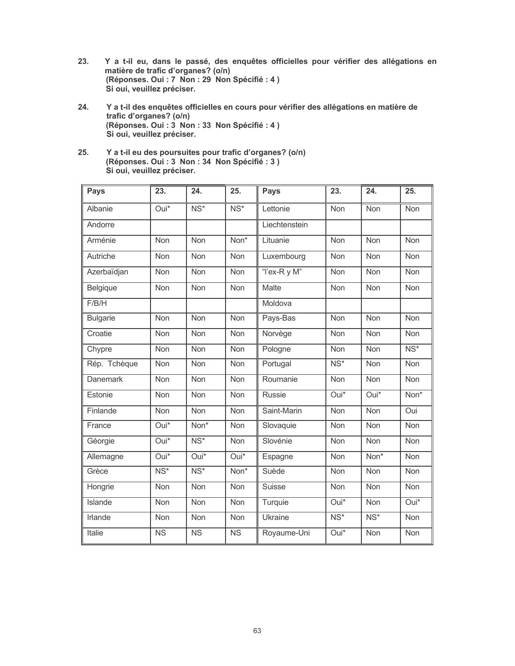- 23. Y a t-il eu, dans le passé, des enquêtes officielles pour vérifier des allégations en matière de trafic d'organes? (o/n) (Réponses. Oui : 7 Non : 29 Non Spécifié : 4) Si oui, veuillez préciser.
- 24. Y a t-il des enquêtes officielles en cours pour vérifier des allégations en matière de trafic d'organes? (o/n) (Réponses. Oui : 3 Non : 33 Non Spécifié : 4) Si oui, veuillez préciser.
- $25.$ Y a t-il eu des poursuites pour trafic d'organes? (o/n) (Réponses. Oui : 3 Non : 34 Non Spécifié : 3) Si oui, veuillez préciser.

| Pays            | 23.                    | 24.                    | 25.                    | <b>Pays</b>    | 23.                      | 24.                | $\overline{25}$ .        |
|-----------------|------------------------|------------------------|------------------------|----------------|--------------------------|--------------------|--------------------------|
| Albanie         | Oui*                   | NS*                    | NS*                    | Lettonie       | Non                      | Non                | Non                      |
| Andorre         |                        |                        |                        | Liechtenstein  |                          |                    |                          |
| Arménie         | Non                    | Non                    | Non <sup>*</sup>       | Lituanie       | Non                      | Non                | Non                      |
| Autriche        | Non                    | Non                    | Non                    | Luxembourg     | Non                      | Non                | Non                      |
| Azerbaïdjan     | Non                    | Non                    | Non                    | "I'ex-R y M"   | Non                      | Non                | Non                      |
| Belgique        | Non                    | Non                    | Non                    | Malte          | Non                      | Non                | Non                      |
| F/B/H           |                        |                        |                        | Moldova        |                          |                    |                          |
| <b>Bulgarie</b> | <b>Non</b>             | <b>Non</b>             | <b>Non</b>             | Pays-Bas       | Non                      | Non                | <b>Non</b>               |
| Croatie         | Non                    | Non                    | Non                    | Norvège        | Non                      | Non                | Non                      |
| Chypre          | <b>Non</b>             | Non                    | Non                    | Pologne        | Non                      | Non                | $\overline{\text{NS}^*}$ |
| Rép. Tchèque    | Non                    | Non                    | Non                    | Portugal       | $\overline{\text{NS}^*}$ | Non                | Non                      |
| <b>Danemark</b> | Non                    | Non                    | Non                    | Roumanie       | Non                      | Non                | Non                      |
| Estonie         | <b>Non</b>             | <b>Non</b>             | <b>Non</b>             | <b>Russie</b>  | $\overline{Oui^*}$       | $\overline{Oui^*}$ | Non*                     |
| Finlande        | Non                    | Non                    | Non                    | Saint-Marin    | Non                      | Non                | Oui                      |
| France          | Oui*                   | Non*                   | Non                    | Slovaquie      | Non                      | Non                | Non                      |
| Géorgie         | $Oui*$                 | $NS*$                  | Non                    | Slovénie       | Non                      | Non                | <b>Non</b>               |
| Allemagne       | Oui*                   | $\overline{Oui^*}$     | Oui*                   | Espagne        | Non                      | Non*               | Non                      |
| Grèce           | $NS*$                  | $NS*$                  | Non*                   | Suède          | Non                      | Non                | Non                      |
| Hongrie         | <b>Non</b>             | Non                    | Non                    | <b>Suisse</b>  | Non                      | Non                | Non                      |
| <b>Islande</b>  | Non                    | Non                    | Non                    | Turquie        | Oui*                     | Non                | $Oui*$                   |
| Irlande         | Non                    | Non                    | Non                    | <b>Ukraine</b> | $NS*$                    | $NS*$              | Non                      |
| Italie          | $\overline{\text{NS}}$ | $\overline{\text{NS}}$ | $\overline{\text{NS}}$ | Royaume-Uni    | Oui*                     | Non                | Non                      |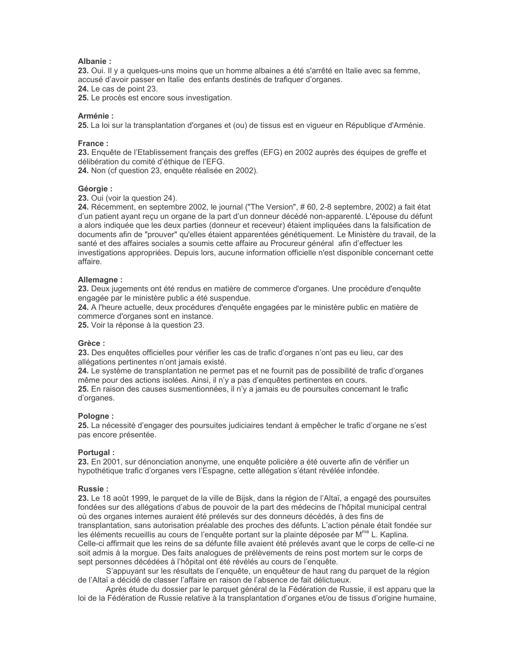## Albanie:

23. Oui. Il y a quelques-uns moins que un homme albaines a été s'arrêté en Italie avec sa femme. accusé d'avoir passer en Italie des enfants destinés de trafiquer d'organes. 24. Le cas de point 23.

25. Le procès est encore sous investigation.

## Arménie:

25. La loi sur la transplantation d'organes et (ou) de tissus est en vigueur en République d'Arménie.

#### France:

23. Enquête de l'Etablissement français des greffes (EFG) en 2002 auprès des équipes de greffe et délibération du comité d'éthique de l'EFG.

24. Non (cf question 23, enquête réalisée en 2002).

## Géorgie :

23. Oui (voir la question 24).

24. Récemment, en septembre 2002, le journal ("The Version", #60, 2-8 septembre, 2002) a fait état d'un patient ayant reçu un organe de la part d'un donneur décédé non-apparenté. L'épouse du défunt a alors indiquée que les deux parties (donneur et receveur) étaient impliquées dans la falsification de documents afin de "prouver" qu'elles étaient apparentées génétiquement. Le Ministère du travail, de la santé et des affaires sociales a soumis cette affaire au Procureur général afin d'effectuer les investigations appropriées. Depuis lors, aucune information officielle n'est disponible concernant cette affaire.

## Allemagne:

23. Deux jugements ont été rendus en matière de commerce d'organes. Une procédure d'enguête engagée par le ministère public a été suspendue.

24. A l'heure actuelle, deux procédures d'enquête engagées par le ministère public en matière de commerce d'organes sont en instance.

25. Voir la réponse à la question 23.

#### Grèce:

23. Des enquêtes officielles pour vérifier les cas de trafic d'organes n'ont pas eu lieu, car des allégations pertinentes n'ont jamais existé.

24. Le système de transplantation ne permet pas et ne fournit pas de possibilité de trafic d'organes même pour des actions isolées. Ainsi, il n'y a pas d'enquêtes pertinentes en cours. 25. En raison des causes susmentionnées, il n'y a jamais eu de poursuites concernant le trafic d'organes.

## Pologne:

25. La nécessité d'engager des poursuites judiciaires tendant à empêcher le trafic d'organe ne s'est pas encore présentée.

## Portugal:

23. En 2001, sur dénonciation anonyme, une enquête policière a été ouverte afin de vérifier un hypothétique trafic d'organes vers l'Espagne, cette allégation s'étant révélée infondée.

#### Russie:

23. Le 18 août 1999, le parquet de la ville de Bijsk, dans la région de l'Altaï, a engagé des poursuites fondées sur des allégations d'abus de pouvoir de la part des médecins de l'hôpital municipal central où des organes internes auraient été prélevés sur des donneurs décédés, à des fins de transplantation, sans autorisation préalable des proches des défunts. L'action pénale était fondée sur les éléments recueillis au cours de l'enquête portant sur la plainte déposée par M<sup>me</sup> L. Kaplina. Celle-ci affirmait que les reins de sa défunte fille avaient été prélevés avant que le corps de celle-ci ne soit admis à la morque. Des faits analogues de prélèvements de reins post mortem sur le corps de sept personnes décédées à l'hôpital ont été révélés au cours de l'enquête.

S'appuyant sur les résultats de l'enguête, un enguêteur de haut rang du parquet de la région de l'Altaï a décidé de classer l'affaire en raison de l'absence de fait délictueux.

Après étude du dossier par le parquet général de la Fédération de Russie, il est apparu que la loi de la Fédération de Russie relative à la transplantation d'organes et/ou de tissus d'origine humaine,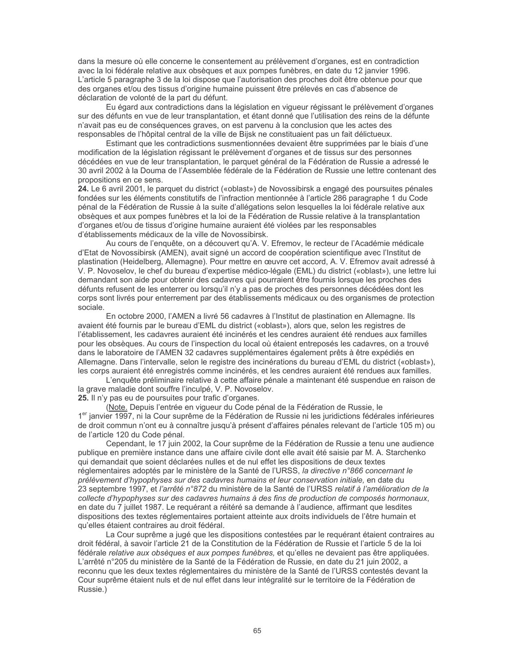dans la mesure où elle concerne le consentement au prélèvement d'organes, est en contradiction avec la loi fédérale relative aux obsèques et aux pompes funèbres, en date du 12 janvier 1996. L'article 5 paragraphe 3 de la loi dispose que l'autorisation des proches doit être obtenue pour que des organes et/ou des tissus d'origine humaine puissent être prélevés en cas d'absence de déclaration de volonté de la part du défunt.

Eu égard aux contradictions dans la législation en vigueur régissant le prélèvement d'organes sur des défunts en vue de leur transplantation, et étant donné que l'utilisation des reins de la défunte n'avait pas eu de conséquences graves, on est parvenu à la conclusion que les actes des responsables de l'hôpital central de la ville de Bijsk ne constituaient pas un fait délictueux.

Estimant que les contradictions susmentionnées devaient être supprimées par le biais d'une modification de la législation régissant le prélèvement d'organes et de tissus sur des personnes décédées en vue de leur transplantation, le parquet général de la Fédération de Russie a adressé le 30 avril 2002 à la Douma de l'Assemblée fédérale de la Fédération de Russie une lettre contenant des propositions en ce sens.

24. Le 6 avril 2001, le parquet du district («oblast») de Novossibirsk a engagé des poursuites pénales fondées sur les éléments constitutifs de l'infraction mentionnée à l'article 286 paragraphe 1 du Code pénal de la Fédération de Russie à la suite d'allégations selon lesquelles la loi fédérale relative aux obsèques et aux pompes funèbres et la loi de la Fédération de Russie relative à la transplantation d'organes et/ou de tissus d'origine humaine auraient été violées par les responsables d'établissements médicaux de la ville de Novossibirsk.

Au cours de l'enquête, on a découvert qu'A. V. Efremov, le recteur de l'Académie médicale d'Etat de Novossibirsk (AMEN), avait signé un accord de coopération scientifique avec l'Institut de plastination (Heidelberg, Allemagne). Pour mettre en œuvre cet accord, A. V. Efremov avait adressé à V. P. Novoselov, le chef du bureau d'expertise médico-légale (EML) du district («oblast»), une lettre lui demandant son aide pour obtenir des cadavres qui pourraient être fournis lorsque les proches des défunts refusent de les enterrer ou lorsqu'il n'y a pas de proches des personnes décédées dont les corps sont livrés pour enterrement par des établissements médicaux ou des organismes de protection sociale.

En octobre 2000, l'AMEN a livré 56 cadavres à l'Institut de plastination en Allemagne. Ils avaient été fournis par le bureau d'EML du district («oblast»), alors que, selon les registres de l'établissement, les cadavres auraient été incinérés et les cendres auraient été rendues aux familles pour les obsèques. Au cours de l'inspection du local où étaient entreposés les cadavres, on a trouvé dans le laboratoire de l'AMEN 32 cadavres supplémentaires également prêts à être expédiés en Allemagne. Dans l'intervalle, selon le registre des incinérations du bureau d'EML du district («oblast»), les corps auraient été enregistrés comme incinérés, et les cendres auraient été rendues aux familles.

L'enquête préliminaire relative à cette affaire pénale a maintenant été suspendue en raison de la grave maladie dont souffre l'inculpé, V. P. Novoselov. 25. Il n'y pas eu de poursuites pour trafic d'organes.

(Note. Depuis l'entrée en vigueur du Code pénal de la Fédération de Russie, le 1<sup>er</sup> janvier 1997, ni la Cour suprême de la Fédération de Russie ni les juridictions fédérales inférieures de droit commun n'ont eu à connaître jusqu'à présent d'affaires pénales relevant de l'article 105 m) ou de l'article 120 du Code pénal.

Cependant, le 17 juin 2002, la Cour suprême de la Fédération de Russie a tenu une audience publique en première instance dans une affaire civile dont elle avait été saisie par M. A. Starchenko qui demandait que soient déclarées nulles et de nul effet les dispositions de deux textes réglementaires adoptés par le ministère de la Santé de l'URSS, la directive n°866 concernant le prélèvement d'hypophyses sur des cadavres humains et leur conservation initiale, en date du 23 septembre 1997, et l'arrêté n°872 du ministère de la Santé de l'URSS relatif à l'amélioration de la collecte d'hypophyses sur des cadavres humains à des fins de production de composés hormonaux, en date du 7 juillet 1987. Le requérant a réitéré sa demande à l'audience, affirmant que lesdites dispositions des textes réglementaires portaient atteinte aux droits individuels de l'être humain et qu'elles étaient contraires au droit fédéral.

La Cour suprême a jugé que les dispositions contestées par le requérant étaient contraires au droit fédéral, à savoir l'article 21 de la Constitution de la Fédération de Russie et l'article 5 de la loi fédérale relative aux obséques et aux pompes funèbres, et qu'elles ne devaient pas être appliquées. L'arrêté n°205 du ministère de la Santé de la Fédération de Russie, en date du 21 juin 2002, a reconnu que les deux textes réglementaires du ministère de la Santé de l'URSS contestés devant la Cour suprême étaient nuls et de nul effet dans leur intégralité sur le territoire de la Fédération de Russie.)